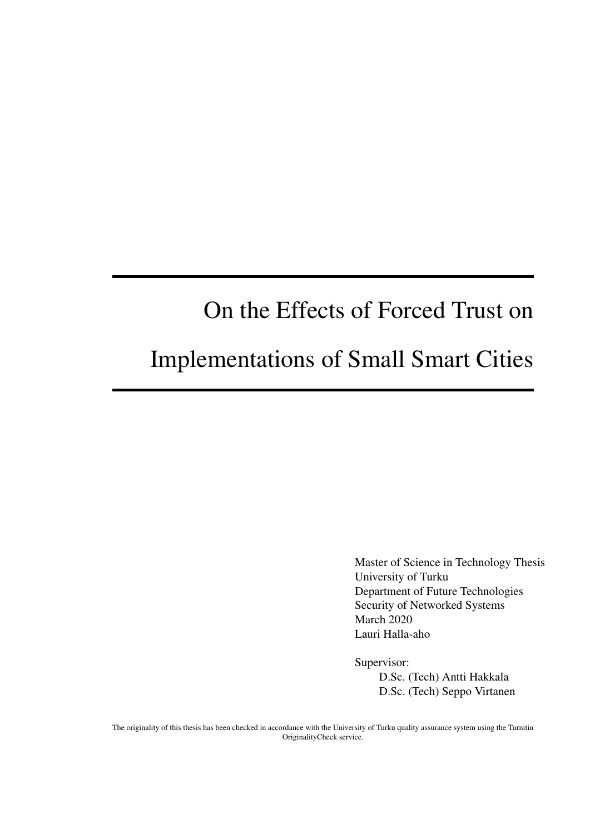# On the Effects of Forced Trust on

# Implementations of Small Smart Cities

Master of Science in Technology Thesis University of Turku Department of Future Technologies Security of Networked Systems March 2020 Lauri Halla-aho

Supervisor:

D.Sc. (Tech) Antti Hakkala D.Sc. (Tech) Seppo Virtanen

The originality of this thesis has been checked in accordance with the University of Turku quality assurance system using the Turnitin OriginalityCheck service.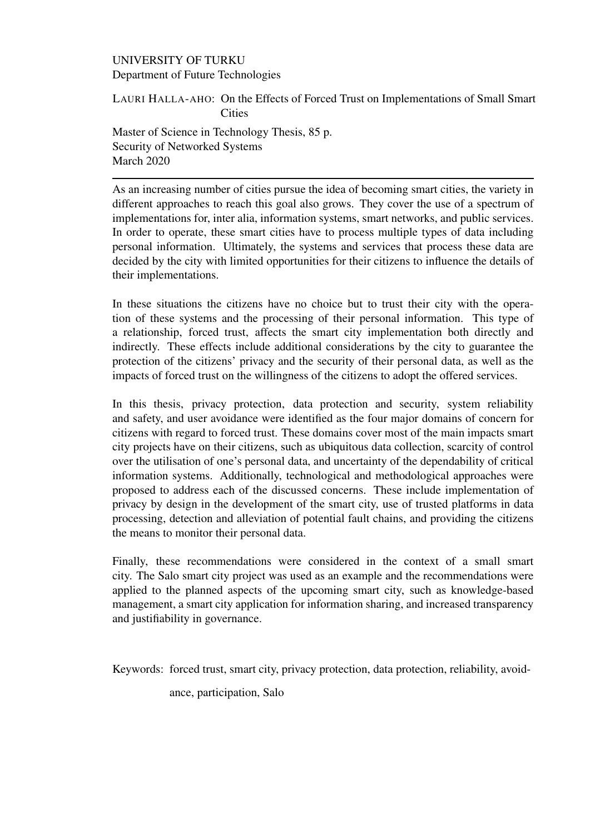#### UNIVERSITY OF TURKU Department of Future Technologies

LAURI HALLA-AHO: On the Effects of Forced Trust on Implementations of Small Smart Cities

Master of Science in Technology Thesis, 85 p. Security of Networked Systems March 2020

As an increasing number of cities pursue the idea of becoming smart cities, the variety in different approaches to reach this goal also grows. They cover the use of a spectrum of implementations for, inter alia, information systems, smart networks, and public services. In order to operate, these smart cities have to process multiple types of data including personal information. Ultimately, the systems and services that process these data are decided by the city with limited opportunities for their citizens to influence the details of their implementations.

In these situations the citizens have no choice but to trust their city with the operation of these systems and the processing of their personal information. This type of a relationship, forced trust, affects the smart city implementation both directly and indirectly. These effects include additional considerations by the city to guarantee the protection of the citizens' privacy and the security of their personal data, as well as the impacts of forced trust on the willingness of the citizens to adopt the offered services.

In this thesis, privacy protection, data protection and security, system reliability and safety, and user avoidance were identified as the four major domains of concern for citizens with regard to forced trust. These domains cover most of the main impacts smart city projects have on their citizens, such as ubiquitous data collection, scarcity of control over the utilisation of one's personal data, and uncertainty of the dependability of critical information systems. Additionally, technological and methodological approaches were proposed to address each of the discussed concerns. These include implementation of privacy by design in the development of the smart city, use of trusted platforms in data processing, detection and alleviation of potential fault chains, and providing the citizens the means to monitor their personal data.

Finally, these recommendations were considered in the context of a small smart city. The Salo smart city project was used as an example and the recommendations were applied to the planned aspects of the upcoming smart city, such as knowledge-based management, a smart city application for information sharing, and increased transparency and justifiability in governance.

Keywords: forced trust, smart city, privacy protection, data protection, reliability, avoid-

ance, participation, Salo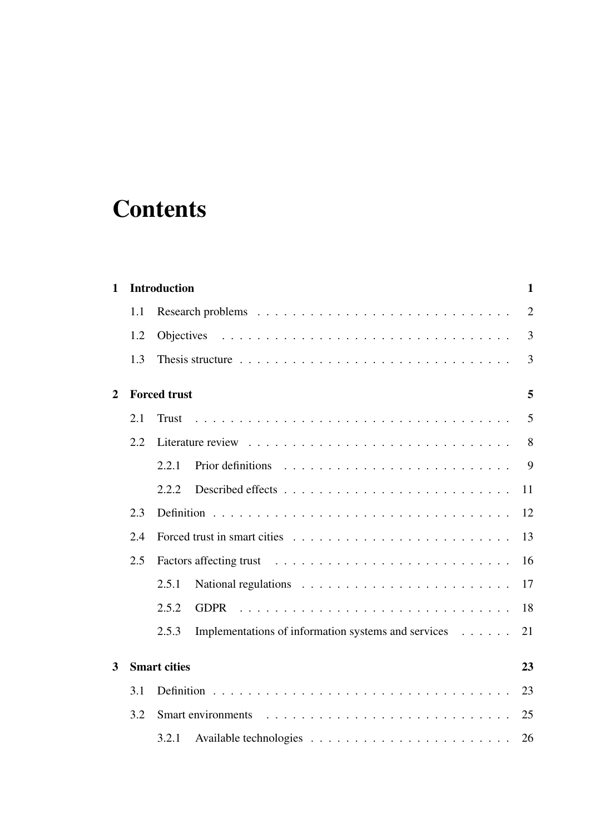# **Contents**

| 1 |                           | <b>Introduction</b><br>$\mathbf{1}$                                |  |  |  |  |  |  |
|---|---------------------------|--------------------------------------------------------------------|--|--|--|--|--|--|
|   | 1.1                       | $\overline{2}$                                                     |  |  |  |  |  |  |
|   | 1.2                       | 3                                                                  |  |  |  |  |  |  |
|   | 1.3                       | 3                                                                  |  |  |  |  |  |  |
| 2 | <b>Forced trust</b>       |                                                                    |  |  |  |  |  |  |
|   | 2.1                       | 5<br><b>Trust</b>                                                  |  |  |  |  |  |  |
|   | 2.2                       | 8                                                                  |  |  |  |  |  |  |
|   |                           | 9<br>2.2.1                                                         |  |  |  |  |  |  |
|   |                           | 2.2.2<br>11                                                        |  |  |  |  |  |  |
|   | 2.3                       | 12                                                                 |  |  |  |  |  |  |
|   | 2.4                       | 13                                                                 |  |  |  |  |  |  |
|   | 2.5                       | 16                                                                 |  |  |  |  |  |  |
|   |                           | 2.5.1<br>17                                                        |  |  |  |  |  |  |
|   |                           | 2.5.2<br>18<br><b>GDPR</b>                                         |  |  |  |  |  |  |
|   |                           | Implementations of information systems and services<br>21<br>2.5.3 |  |  |  |  |  |  |
| 3 | <b>Smart cities</b><br>23 |                                                                    |  |  |  |  |  |  |
|   | 3.1                       | 23                                                                 |  |  |  |  |  |  |
|   | 3.2                       | 25<br>Smart environments                                           |  |  |  |  |  |  |
|   |                           | 3.2.1<br>26                                                        |  |  |  |  |  |  |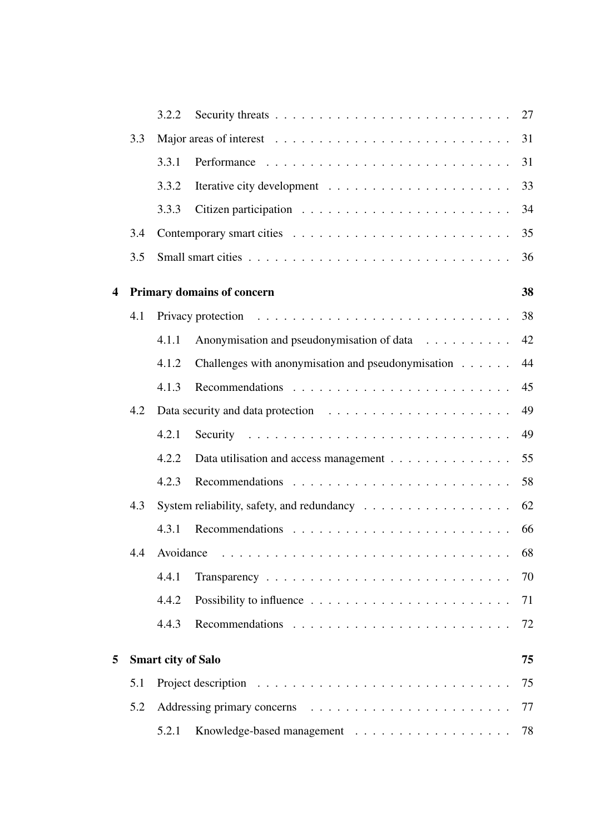| 3.3 |       |                                                    |                                                                                                                                     |  |  |  |  |  |  |
|-----|-------|----------------------------------------------------|-------------------------------------------------------------------------------------------------------------------------------------|--|--|--|--|--|--|
|     |       |                                                    | 31                                                                                                                                  |  |  |  |  |  |  |
|     | 3.3.1 |                                                    | 31                                                                                                                                  |  |  |  |  |  |  |
|     | 3.3.2 |                                                    | 33                                                                                                                                  |  |  |  |  |  |  |
|     | 3.3.3 |                                                    | 34                                                                                                                                  |  |  |  |  |  |  |
| 3.4 |       |                                                    | 35                                                                                                                                  |  |  |  |  |  |  |
| 3.5 |       |                                                    | 36                                                                                                                                  |  |  |  |  |  |  |
|     | 38    |                                                    |                                                                                                                                     |  |  |  |  |  |  |
| 4.1 |       |                                                    | 38                                                                                                                                  |  |  |  |  |  |  |
|     | 4.1.1 | Anonymisation and pseudonymisation of data         | 42                                                                                                                                  |  |  |  |  |  |  |
|     | 4.1.2 | Challenges with anonymisation and pseudonymisation | 44                                                                                                                                  |  |  |  |  |  |  |
|     | 4.1.3 |                                                    | 45                                                                                                                                  |  |  |  |  |  |  |
| 4.2 |       |                                                    | 49                                                                                                                                  |  |  |  |  |  |  |
|     | 4.2.1 |                                                    | 49                                                                                                                                  |  |  |  |  |  |  |
|     | 4.2.2 | Data utilisation and access management             | 55                                                                                                                                  |  |  |  |  |  |  |
|     | 4.2.3 |                                                    | 58                                                                                                                                  |  |  |  |  |  |  |
| 4.3 |       |                                                    | 62                                                                                                                                  |  |  |  |  |  |  |
|     | 4.3.1 |                                                    | 66                                                                                                                                  |  |  |  |  |  |  |
|     |       |                                                    | 68                                                                                                                                  |  |  |  |  |  |  |
|     | 4.4.1 |                                                    | 70                                                                                                                                  |  |  |  |  |  |  |
|     | 4.4.2 |                                                    | 71                                                                                                                                  |  |  |  |  |  |  |
|     | 4.4.3 |                                                    | 72                                                                                                                                  |  |  |  |  |  |  |
|     |       |                                                    | 75                                                                                                                                  |  |  |  |  |  |  |
| 5.1 |       |                                                    | 75                                                                                                                                  |  |  |  |  |  |  |
| 5.2 |       |                                                    |                                                                                                                                     |  |  |  |  |  |  |
|     | 5.2.1 |                                                    | 78                                                                                                                                  |  |  |  |  |  |  |
|     |       |                                                    | <b>Primary domains of concern</b><br>System reliability, safety, and redundancy<br>4.4 Avoidance<br><b>Smart city of Salo</b><br>77 |  |  |  |  |  |  |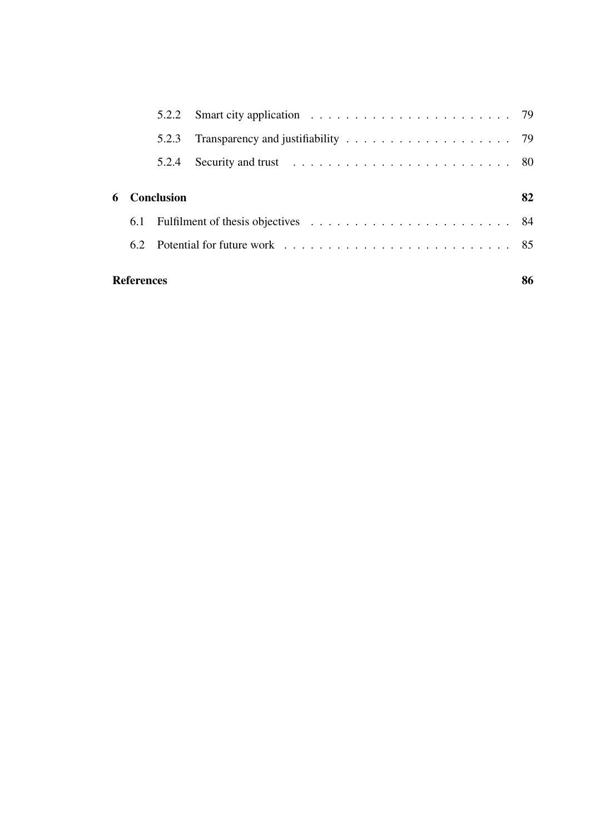|                         | 5.2.3 |                   |    |  |  |  |  |  |  |
|-------------------------|-------|-------------------|----|--|--|--|--|--|--|
|                         | 5.2.4 |                   |    |  |  |  |  |  |  |
| 6                       |       |                   | 82 |  |  |  |  |  |  |
|                         |       |                   |    |  |  |  |  |  |  |
|                         |       |                   |    |  |  |  |  |  |  |
| 86<br><b>References</b> |       |                   |    |  |  |  |  |  |  |
|                         |       | <b>Conclusion</b> |    |  |  |  |  |  |  |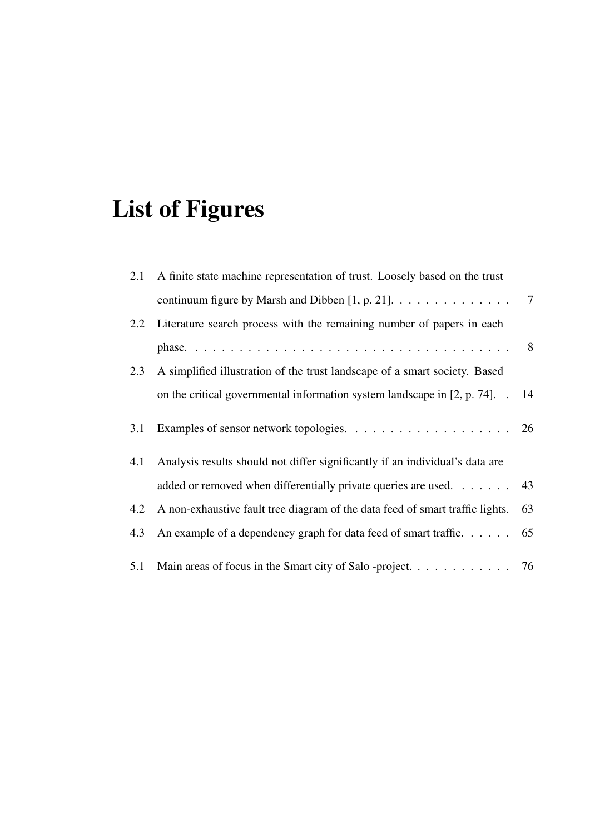# List of Figures

| 2.1 | A finite state machine representation of trust. Loosely based on the trust             |                |  |
|-----|----------------------------------------------------------------------------------------|----------------|--|
|     | continuum figure by Marsh and Dibben [1, p. 21]. $\dots \dots \dots \dots \dots \dots$ |                |  |
|     | 2.2 Literature search process with the remaining number of papers in each              |                |  |
|     |                                                                                        | 8 <sup>8</sup> |  |
| 2.3 | A simplified illustration of the trust landscape of a smart society. Based             |                |  |
|     | on the critical governmental information system landscape in $[2, p. 74]$ . . 14       |                |  |
| 3.1 |                                                                                        |                |  |
| 4.1 | Analysis results should not differ significantly if an individual's data are           |                |  |
|     | added or removed when differentially private queries are used. 43                      |                |  |
| 4.2 | A non-exhaustive fault tree diagram of the data feed of smart traffic lights.          | 63             |  |
| 4.3 | An example of a dependency graph for data feed of smart traffic. $\dots$ 65            |                |  |
| 5.1 | Main areas of focus in the Smart city of Salo -project. 76                             |                |  |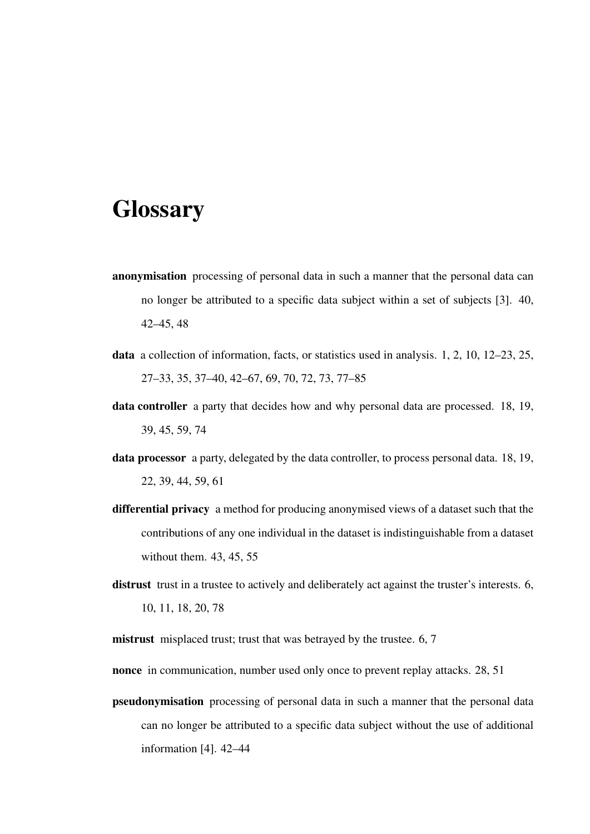# **Glossary**

- anonymisation processing of personal data in such a manner that the personal data can no longer be attributed to a specific data subject within a set of subjects [3]. 40, 42–45, 48
- data a collection of information, facts, or statistics used in analysis. 1, 2, 10, 12–23, 25, 27–33, 35, 37–40, 42–67, 69, 70, 72, 73, 77–85
- data controller a party that decides how and why personal data are processed. 18, 19, 39, 45, 59, 74
- data processor a party, delegated by the data controller, to process personal data. 18, 19, 22, 39, 44, 59, 61
- differential privacy a method for producing anonymised views of a dataset such that the contributions of any one individual in the dataset is indistinguishable from a dataset without them. 43, 45, 55
- distrust trust in a trustee to actively and deliberately act against the truster's interests. 6, 10, 11, 18, 20, 78

mistrust misplaced trust; trust that was betrayed by the trustee. 6, 7

- nonce in communication, number used only once to prevent replay attacks. 28, 51
- pseudonymisation processing of personal data in such a manner that the personal data can no longer be attributed to a specific data subject without the use of additional information [4]. 42–44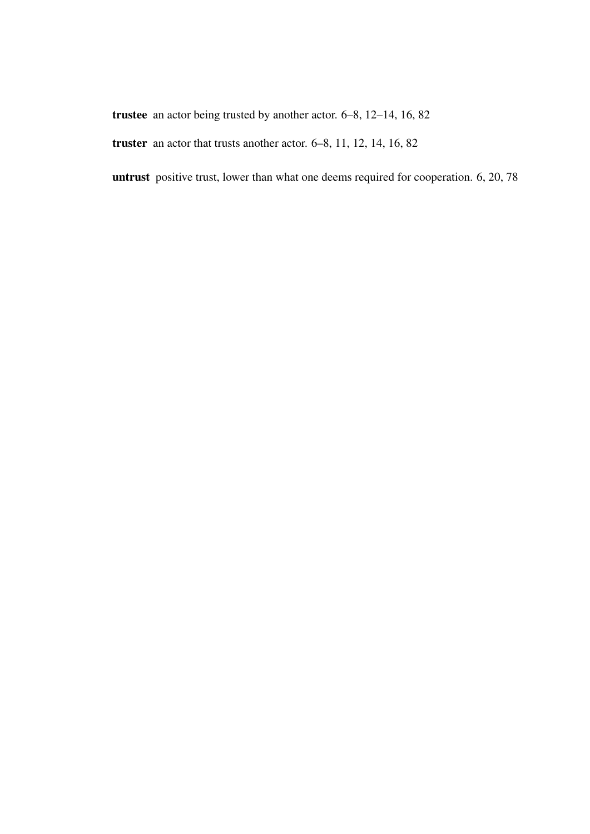trustee an actor being trusted by another actor. 6–8, 12–14, 16, 82

truster an actor that trusts another actor. 6–8, 11, 12, 14, 16, 82

untrust positive trust, lower than what one deems required for cooperation. 6, 20, 78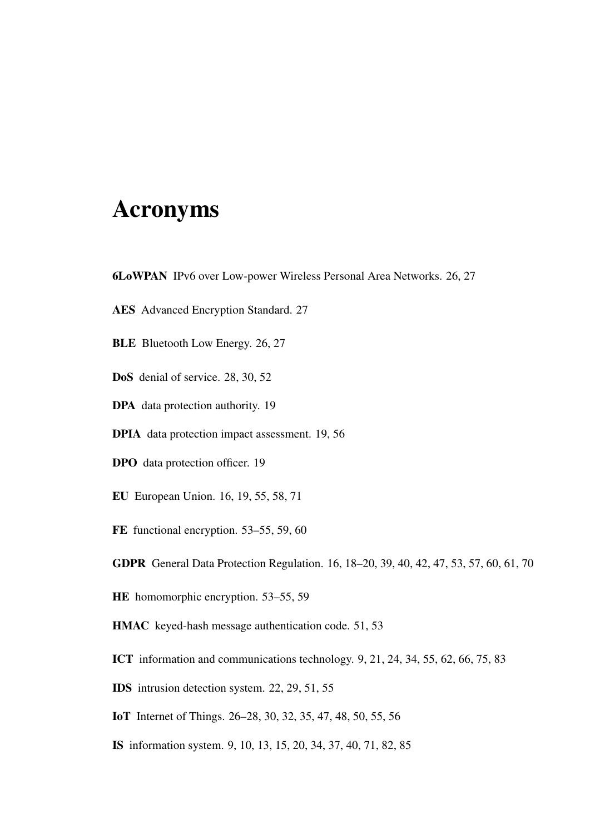# Acronyms

- 6LoWPAN IPv6 over Low-power Wireless Personal Area Networks. 26, 27
- AES Advanced Encryption Standard. 27
- BLE Bluetooth Low Energy. 26, 27
- DoS denial of service. 28, 30, 52
- DPA data protection authority. 19
- DPIA data protection impact assessment. 19, 56
- DPO data protection officer. 19
- EU European Union. 16, 19, 55, 58, 71
- FE functional encryption. 53–55, 59, 60
- GDPR General Data Protection Regulation. 16, 18–20, 39, 40, 42, 47, 53, 57, 60, 61, 70
- HE homomorphic encryption. 53–55, 59
- HMAC keyed-hash message authentication code. 51, 53
- ICT information and communications technology. 9, 21, 24, 34, 55, 62, 66, 75, 83
- IDS intrusion detection system. 22, 29, 51, 55
- IoT Internet of Things. 26–28, 30, 32, 35, 47, 48, 50, 55, 56
- IS information system. 9, 10, 13, 15, 20, 34, 37, 40, 71, 82, 85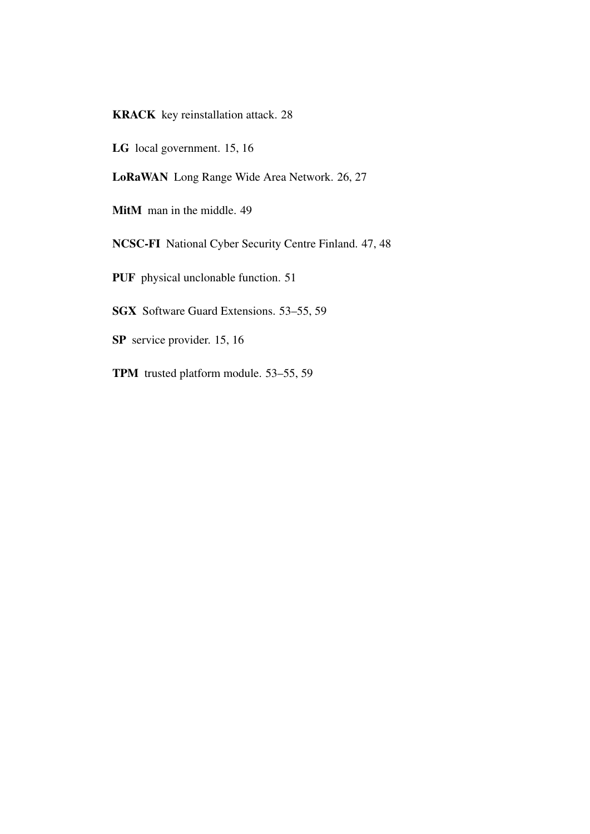KRACK key reinstallation attack. 28

LG local government. 15, 16

LoRaWAN Long Range Wide Area Network. 26, 27

MitM man in the middle. 49

NCSC-FI National Cyber Security Centre Finland. 47, 48

PUF physical unclonable function. 51

SGX Software Guard Extensions. 53–55, 59

SP service provider. 15, 16

TPM trusted platform module. 53–55, 59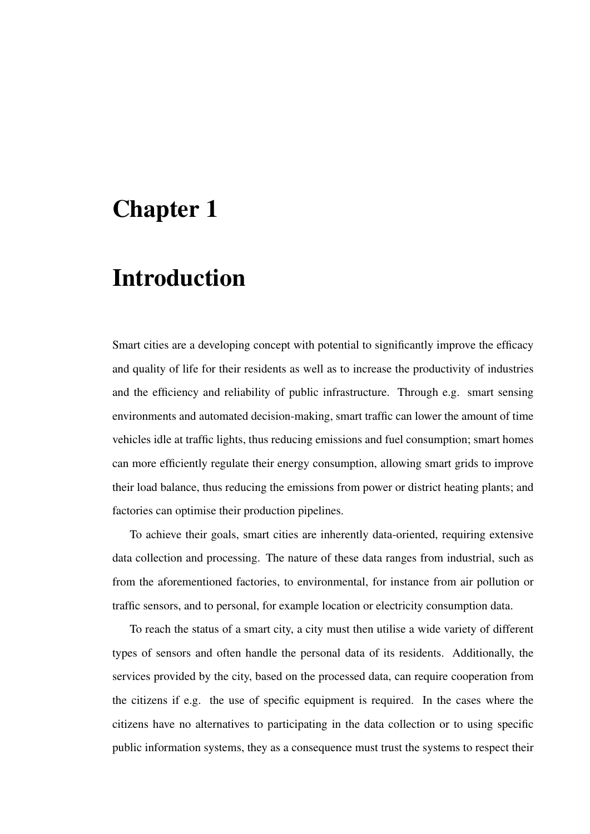# Chapter 1

# Introduction

Smart cities are a developing concept with potential to significantly improve the efficacy and quality of life for their residents as well as to increase the productivity of industries and the efficiency and reliability of public infrastructure. Through e.g. smart sensing environments and automated decision-making, smart traffic can lower the amount of time vehicles idle at traffic lights, thus reducing emissions and fuel consumption; smart homes can more efficiently regulate their energy consumption, allowing smart grids to improve their load balance, thus reducing the emissions from power or district heating plants; and factories can optimise their production pipelines.

To achieve their goals, smart cities are inherently data-oriented, requiring extensive data collection and processing. The nature of these data ranges from industrial, such as from the aforementioned factories, to environmental, for instance from air pollution or traffic sensors, and to personal, for example location or electricity consumption data.

To reach the status of a smart city, a city must then utilise a wide variety of different types of sensors and often handle the personal data of its residents. Additionally, the services provided by the city, based on the processed data, can require cooperation from the citizens if e.g. the use of specific equipment is required. In the cases where the citizens have no alternatives to participating in the data collection or to using specific public information systems, they as a consequence must trust the systems to respect their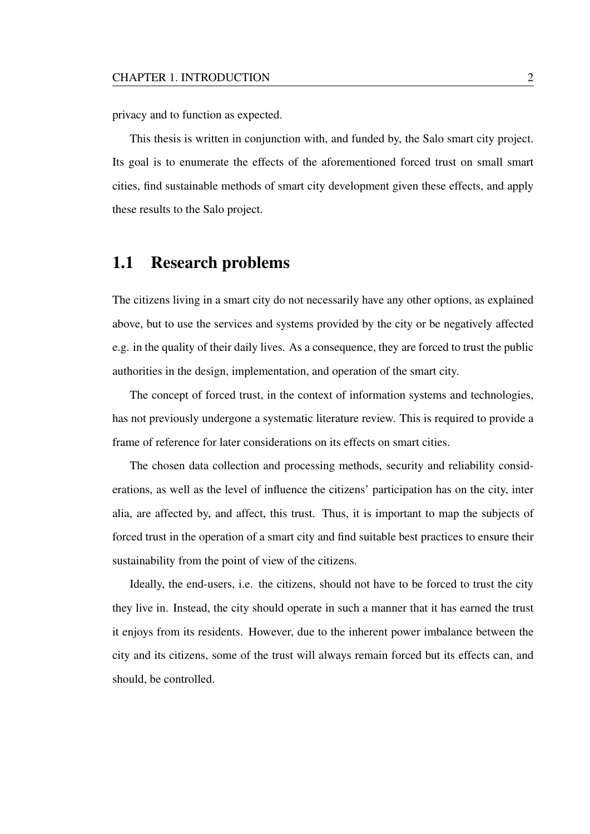privacy and to function as expected.

This thesis is written in conjunction with, and funded by, the Salo smart city project. Its goal is to enumerate the effects of the aforementioned forced trust on small smart cities, find sustainable methods of smart city development given these effects, and apply these results to the Salo project.

## 1.1 Research problems

The citizens living in a smart city do not necessarily have any other options, as explained above, but to use the services and systems provided by the city or be negatively affected e.g. in the quality of their daily lives. As a consequence, they are forced to trust the public authorities in the design, implementation, and operation of the smart city.

The concept of forced trust, in the context of information systems and technologies, has not previously undergone a systematic literature review. This is required to provide a frame of reference for later considerations on its effects on smart cities.

The chosen data collection and processing methods, security and reliability considerations, as well as the level of influence the citizens' participation has on the city, inter alia, are affected by, and affect, this trust. Thus, it is important to map the subjects of forced trust in the operation of a smart city and find suitable best practices to ensure their sustainability from the point of view of the citizens.

Ideally, the end-users, i.e. the citizens, should not have to be forced to trust the city they live in. Instead, the city should operate in such a manner that it has earned the trust it enjoys from its residents. However, due to the inherent power imbalance between the city and its citizens, some of the trust will always remain forced but its effects can, and should, be controlled.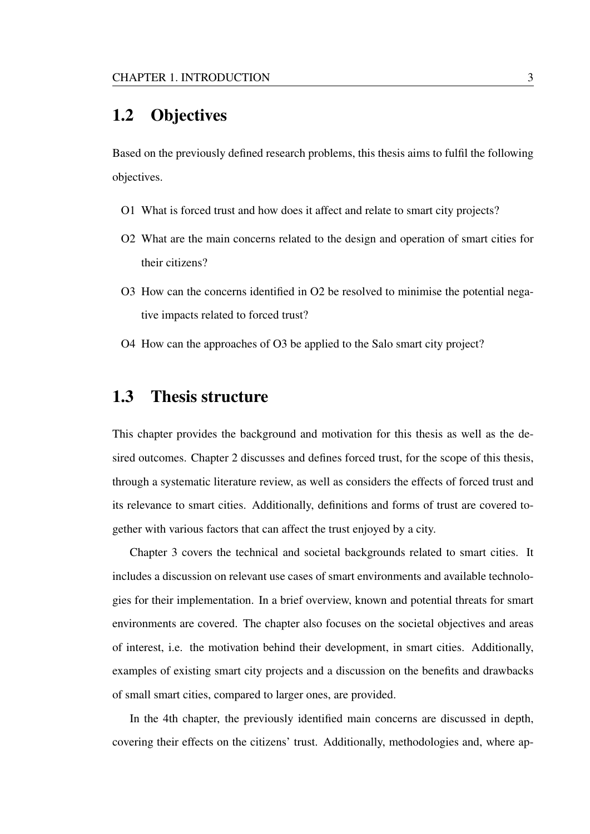### 1.2 Objectives

Based on the previously defined research problems, this thesis aims to fulfil the following objectives.

- O1 What is forced trust and how does it affect and relate to smart city projects?
- O2 What are the main concerns related to the design and operation of smart cities for their citizens?
- O3 How can the concerns identified in O2 be resolved to minimise the potential negative impacts related to forced trust?
- O4 How can the approaches of O3 be applied to the Salo smart city project?

### 1.3 Thesis structure

This chapter provides the background and motivation for this thesis as well as the desired outcomes. Chapter 2 discusses and defines forced trust, for the scope of this thesis, through a systematic literature review, as well as considers the effects of forced trust and its relevance to smart cities. Additionally, definitions and forms of trust are covered together with various factors that can affect the trust enjoyed by a city.

Chapter 3 covers the technical and societal backgrounds related to smart cities. It includes a discussion on relevant use cases of smart environments and available technologies for their implementation. In a brief overview, known and potential threats for smart environments are covered. The chapter also focuses on the societal objectives and areas of interest, i.e. the motivation behind their development, in smart cities. Additionally, examples of existing smart city projects and a discussion on the benefits and drawbacks of small smart cities, compared to larger ones, are provided.

In the 4th chapter, the previously identified main concerns are discussed in depth, covering their effects on the citizens' trust. Additionally, methodologies and, where ap-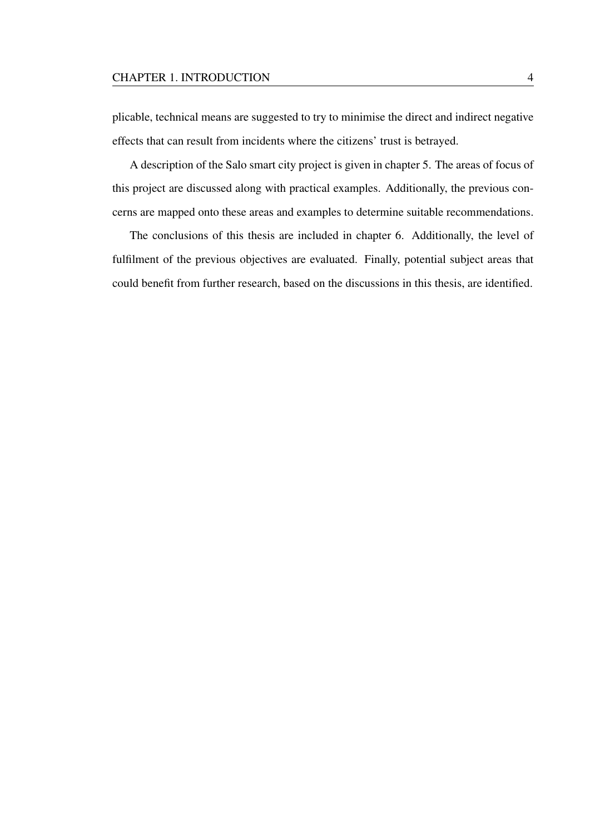#### CHAPTER 1. INTRODUCTION 4

plicable, technical means are suggested to try to minimise the direct and indirect negative effects that can result from incidents where the citizens' trust is betrayed.

A description of the Salo smart city project is given in chapter 5. The areas of focus of this project are discussed along with practical examples. Additionally, the previous concerns are mapped onto these areas and examples to determine suitable recommendations.

The conclusions of this thesis are included in chapter 6. Additionally, the level of fulfilment of the previous objectives are evaluated. Finally, potential subject areas that could benefit from further research, based on the discussions in this thesis, are identified.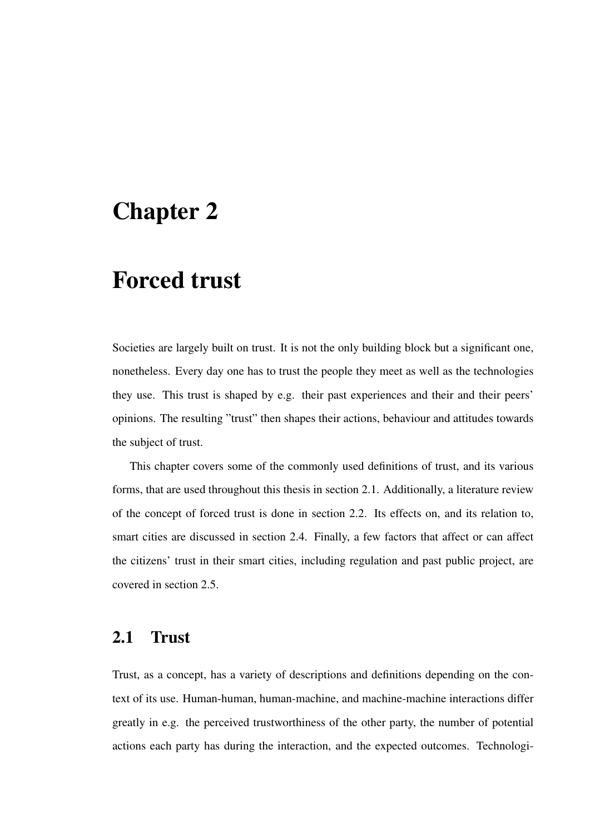# Chapter 2

# Forced trust

Societies are largely built on trust. It is not the only building block but a significant one, nonetheless. Every day one has to trust the people they meet as well as the technologies they use. This trust is shaped by e.g. their past experiences and their and their peers' opinions. The resulting "trust" then shapes their actions, behaviour and attitudes towards the subject of trust.

This chapter covers some of the commonly used definitions of trust, and its various forms, that are used throughout this thesis in section 2.1. Additionally, a literature review of the concept of forced trust is done in section 2.2. Its effects on, and its relation to, smart cities are discussed in section 2.4. Finally, a few factors that affect or can affect the citizens' trust in their smart cities, including regulation and past public project, are covered in section 2.5.

### 2.1 Trust

Trust, as a concept, has a variety of descriptions and definitions depending on the context of its use. Human-human, human-machine, and machine-machine interactions differ greatly in e.g. the perceived trustworthiness of the other party, the number of potential actions each party has during the interaction, and the expected outcomes. Technologi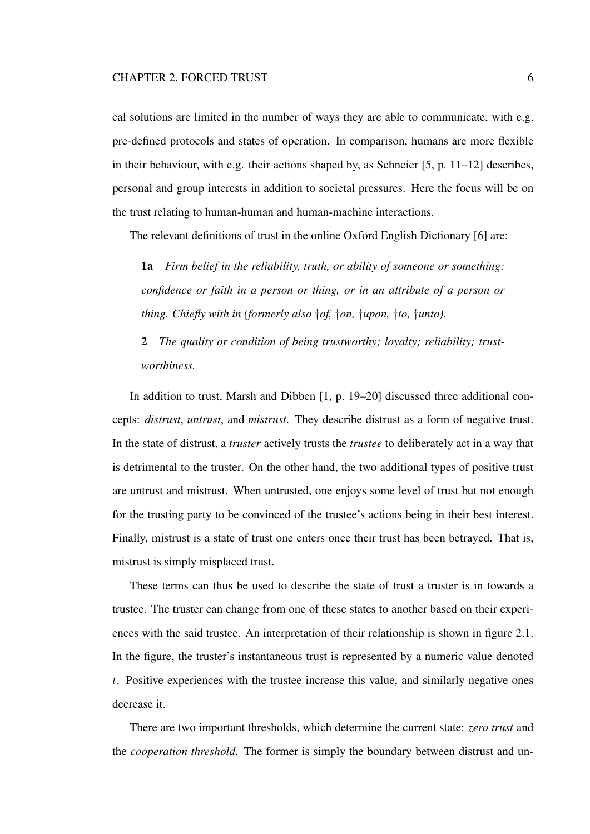cal solutions are limited in the number of ways they are able to communicate, with e.g. pre-defined protocols and states of operation. In comparison, humans are more flexible in their behaviour, with e.g. their actions shaped by, as Schneier [5, p. 11–12] describes, personal and group interests in addition to societal pressures. Here the focus will be on the trust relating to human-human and human-machine interactions.

The relevant definitions of trust in the online Oxford English Dictionary [6] are:

1a *Firm belief in the reliability, truth, or ability of someone or something; confidence or faith in a person or thing, or in an attribute of a person or thing. Chiefly with in (formerly also* †*of,* †*on,* †*upon,* †*to,* †*unto).*

2 *The quality or condition of being trustworthy; loyalty; reliability; trustworthiness.*

In addition to trust, Marsh and Dibben [1, p. 19–20] discussed three additional concepts: *distrust*, *untrust*, and *mistrust*. They describe distrust as a form of negative trust. In the state of distrust, a *truster* actively trusts the *trustee* to deliberately act in a way that is detrimental to the truster. On the other hand, the two additional types of positive trust are untrust and mistrust. When untrusted, one enjoys some level of trust but not enough for the trusting party to be convinced of the trustee's actions being in their best interest. Finally, mistrust is a state of trust one enters once their trust has been betrayed. That is, mistrust is simply misplaced trust.

These terms can thus be used to describe the state of trust a truster is in towards a trustee. The truster can change from one of these states to another based on their experiences with the said trustee. An interpretation of their relationship is shown in figure 2.1. In the figure, the truster's instantaneous trust is represented by a numeric value denoted t. Positive experiences with the trustee increase this value, and similarly negative ones decrease it.

There are two important thresholds, which determine the current state: *zero trust* and the *cooperation threshold*. The former is simply the boundary between distrust and un-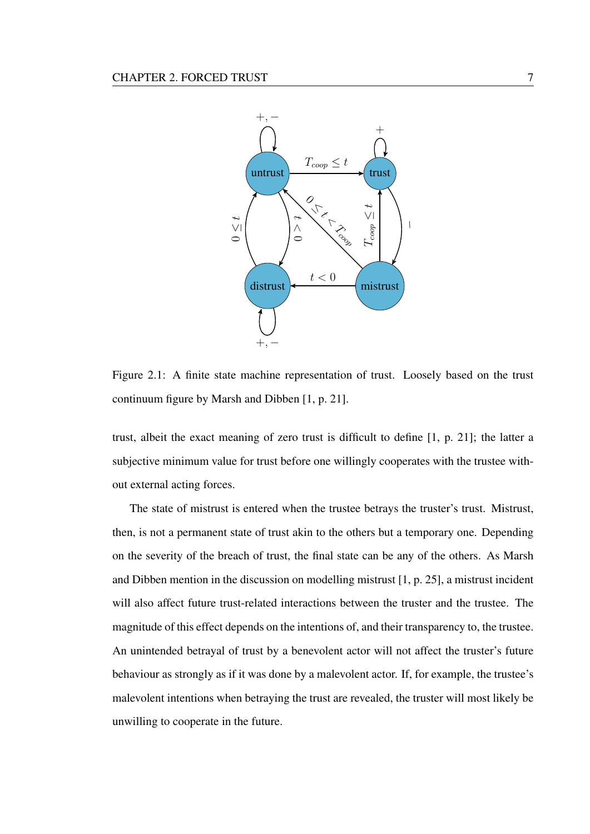

Figure 2.1: A finite state machine representation of trust. Loosely based on the trust continuum figure by Marsh and Dibben [1, p. 21].

trust, albeit the exact meaning of zero trust is difficult to define [1, p. 21]; the latter a subjective minimum value for trust before one willingly cooperates with the trustee without external acting forces.

The state of mistrust is entered when the trustee betrays the truster's trust. Mistrust, then, is not a permanent state of trust akin to the others but a temporary one. Depending on the severity of the breach of trust, the final state can be any of the others. As Marsh and Dibben mention in the discussion on modelling mistrust [1, p. 25], a mistrust incident will also affect future trust-related interactions between the truster and the trustee. The magnitude of this effect depends on the intentions of, and their transparency to, the trustee. An unintended betrayal of trust by a benevolent actor will not affect the truster's future behaviour as strongly as if it was done by a malevolent actor. If, for example, the trustee's malevolent intentions when betraying the trust are revealed, the truster will most likely be unwilling to cooperate in the future.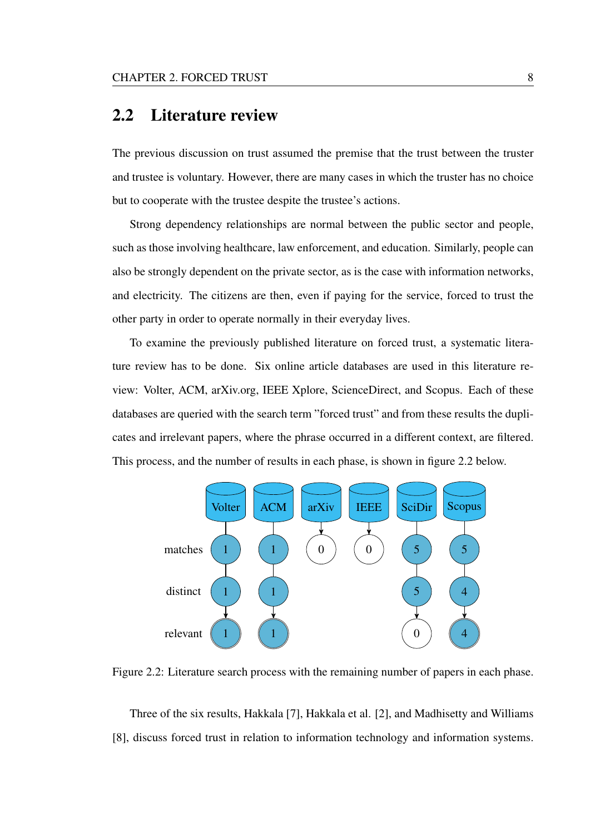### 2.2 Literature review

The previous discussion on trust assumed the premise that the trust between the truster and trustee is voluntary. However, there are many cases in which the truster has no choice but to cooperate with the trustee despite the trustee's actions.

Strong dependency relationships are normal between the public sector and people, such as those involving healthcare, law enforcement, and education. Similarly, people can also be strongly dependent on the private sector, as is the case with information networks, and electricity. The citizens are then, even if paying for the service, forced to trust the other party in order to operate normally in their everyday lives.

To examine the previously published literature on forced trust, a systematic literature review has to be done. Six online article databases are used in this literature review: Volter, ACM, arXiv.org, IEEE Xplore, ScienceDirect, and Scopus. Each of these databases are queried with the search term "forced trust" and from these results the duplicates and irrelevant papers, where the phrase occurred in a different context, are filtered. This process, and the number of results in each phase, is shown in figure 2.2 below.



Figure 2.2: Literature search process with the remaining number of papers in each phase.

Three of the six results, Hakkala [7], Hakkala et al. [2], and Madhisetty and Williams [8], discuss forced trust in relation to information technology and information systems.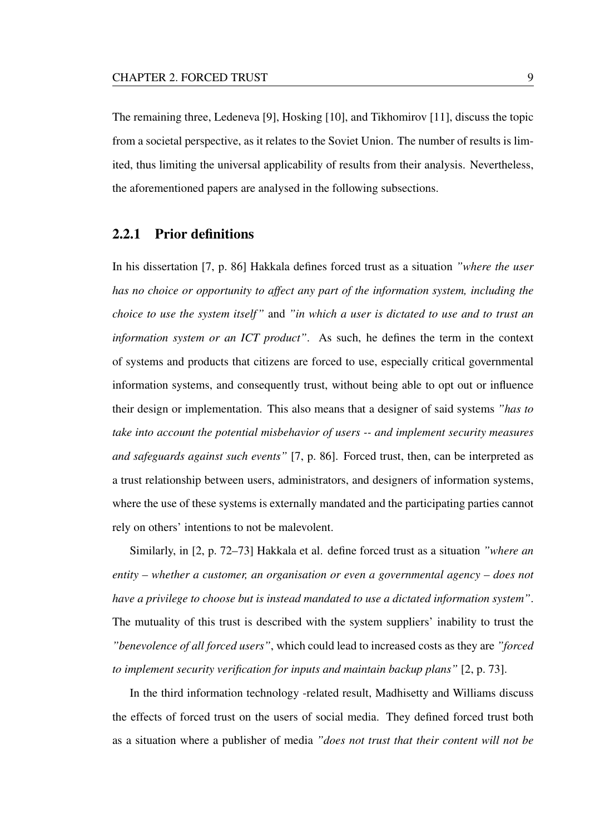The remaining three, Ledeneva [9], Hosking [10], and Tikhomirov [11], discuss the topic from a societal perspective, as it relates to the Soviet Union. The number of results is limited, thus limiting the universal applicability of results from their analysis. Nevertheless, the aforementioned papers are analysed in the following subsections.

#### 2.2.1 Prior definitions

In his dissertation [7, p. 86] Hakkala defines forced trust as a situation *"where the user has no choice or opportunity to affect any part of the information system, including the choice to use the system itself"* and *"in which a user is dictated to use and to trust an information system or an ICT product"*. As such, he defines the term in the context of systems and products that citizens are forced to use, especially critical governmental information systems, and consequently trust, without being able to opt out or influence their design or implementation. This also means that a designer of said systems *"has to take into account the potential misbehavior of users -- and implement security measures and safeguards against such events"* [7, p. 86]. Forced trust, then, can be interpreted as a trust relationship between users, administrators, and designers of information systems, where the use of these systems is externally mandated and the participating parties cannot rely on others' intentions to not be malevolent.

Similarly, in [2, p. 72–73] Hakkala et al. define forced trust as a situation *"where an entity – whether a customer, an organisation or even a governmental agency – does not have a privilege to choose but is instead mandated to use a dictated information system"*. The mutuality of this trust is described with the system suppliers' inability to trust the *"benevolence of all forced users"*, which could lead to increased costs as they are *"forced to implement security verification for inputs and maintain backup plans"* [2, p. 73].

In the third information technology -related result, Madhisetty and Williams discuss the effects of forced trust on the users of social media. They defined forced trust both as a situation where a publisher of media *"does not trust that their content will not be*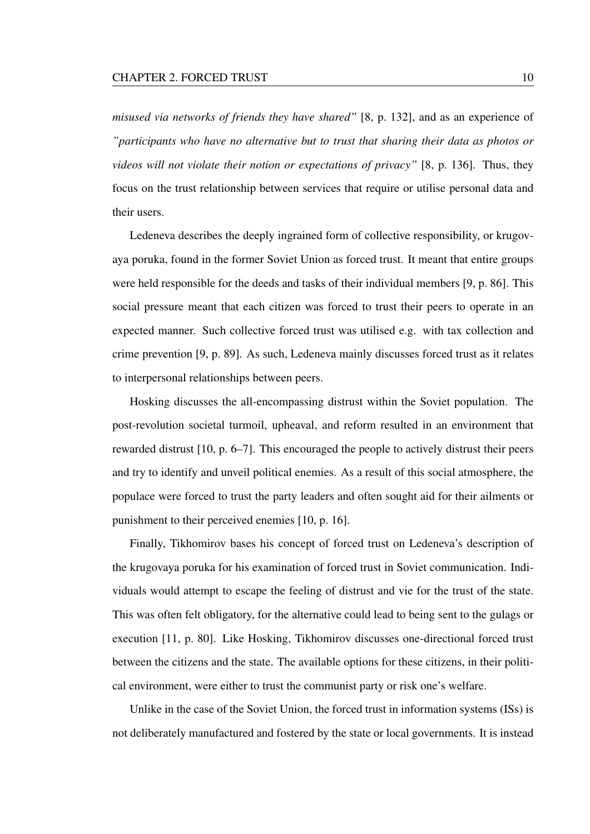*misused via networks of friends they have shared"* [8, p. 132], and as an experience of *"participants who have no alternative but to trust that sharing their data as photos or videos will not violate their notion or expectations of privacy"* [8, p. 136]. Thus, they focus on the trust relationship between services that require or utilise personal data and their users.

Ledeneva describes the deeply ingrained form of collective responsibility, or krugovaya poruka, found in the former Soviet Union as forced trust. It meant that entire groups were held responsible for the deeds and tasks of their individual members [9, p. 86]. This social pressure meant that each citizen was forced to trust their peers to operate in an expected manner. Such collective forced trust was utilised e.g. with tax collection and crime prevention [9, p. 89]. As such, Ledeneva mainly discusses forced trust as it relates to interpersonal relationships between peers.

Hosking discusses the all-encompassing distrust within the Soviet population. The post-revolution societal turmoil, upheaval, and reform resulted in an environment that rewarded distrust [10, p. 6–7]. This encouraged the people to actively distrust their peers and try to identify and unveil political enemies. As a result of this social atmosphere, the populace were forced to trust the party leaders and often sought aid for their ailments or punishment to their perceived enemies [10, p. 16].

Finally, Tikhomirov bases his concept of forced trust on Ledeneva's description of the krugovaya poruka for his examination of forced trust in Soviet communication. Individuals would attempt to escape the feeling of distrust and vie for the trust of the state. This was often felt obligatory, for the alternative could lead to being sent to the gulags or execution [11, p. 80]. Like Hosking, Tikhomirov discusses one-directional forced trust between the citizens and the state. The available options for these citizens, in their political environment, were either to trust the communist party or risk one's welfare.

Unlike in the case of the Soviet Union, the forced trust in information systems (ISs) is not deliberately manufactured and fostered by the state or local governments. It is instead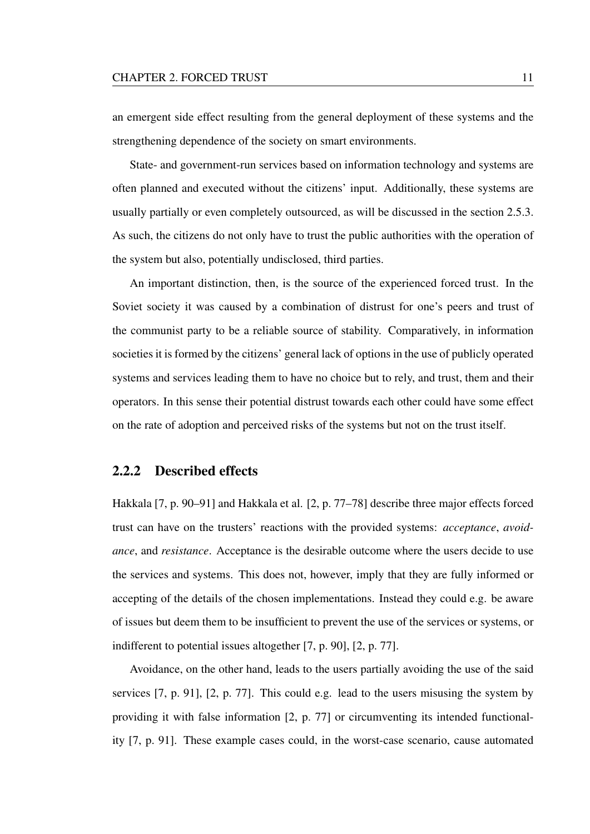an emergent side effect resulting from the general deployment of these systems and the strengthening dependence of the society on smart environments.

State- and government-run services based on information technology and systems are often planned and executed without the citizens' input. Additionally, these systems are usually partially or even completely outsourced, as will be discussed in the section 2.5.3. As such, the citizens do not only have to trust the public authorities with the operation of the system but also, potentially undisclosed, third parties.

An important distinction, then, is the source of the experienced forced trust. In the Soviet society it was caused by a combination of distrust for one's peers and trust of the communist party to be a reliable source of stability. Comparatively, in information societies it is formed by the citizens' general lack of options in the use of publicly operated systems and services leading them to have no choice but to rely, and trust, them and their operators. In this sense their potential distrust towards each other could have some effect on the rate of adoption and perceived risks of the systems but not on the trust itself.

#### 2.2.2 Described effects

Hakkala [7, p. 90–91] and Hakkala et al. [2, p. 77–78] describe three major effects forced trust can have on the trusters' reactions with the provided systems: *acceptance*, *avoidance*, and *resistance*. Acceptance is the desirable outcome where the users decide to use the services and systems. This does not, however, imply that they are fully informed or accepting of the details of the chosen implementations. Instead they could e.g. be aware of issues but deem them to be insufficient to prevent the use of the services or systems, or indifferent to potential issues altogether [7, p. 90], [2, p. 77].

Avoidance, on the other hand, leads to the users partially avoiding the use of the said services [7, p. 91], [2, p. 77]. This could e.g. lead to the users misusing the system by providing it with false information [2, p. 77] or circumventing its intended functionality [7, p. 91]. These example cases could, in the worst-case scenario, cause automated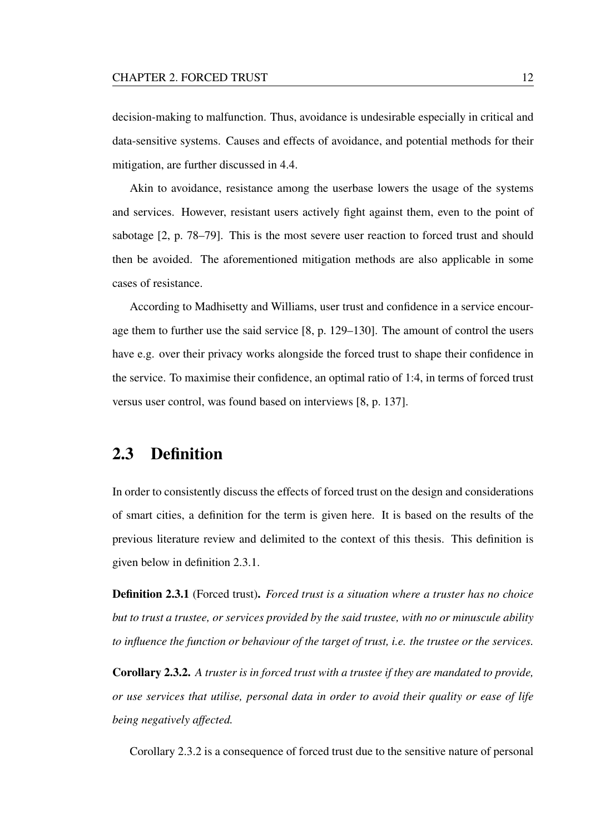decision-making to malfunction. Thus, avoidance is undesirable especially in critical and data-sensitive systems. Causes and effects of avoidance, and potential methods for their mitigation, are further discussed in 4.4.

Akin to avoidance, resistance among the userbase lowers the usage of the systems and services. However, resistant users actively fight against them, even to the point of sabotage [2, p. 78–79]. This is the most severe user reaction to forced trust and should then be avoided. The aforementioned mitigation methods are also applicable in some cases of resistance.

According to Madhisetty and Williams, user trust and confidence in a service encourage them to further use the said service [8, p. 129–130]. The amount of control the users have e.g. over their privacy works alongside the forced trust to shape their confidence in the service. To maximise their confidence, an optimal ratio of 1:4, in terms of forced trust versus user control, was found based on interviews [8, p. 137].

### 2.3 Definition

In order to consistently discuss the effects of forced trust on the design and considerations of smart cities, a definition for the term is given here. It is based on the results of the previous literature review and delimited to the context of this thesis. This definition is given below in definition 2.3.1.

Definition 2.3.1 (Forced trust). *Forced trust is a situation where a truster has no choice but to trust a trustee, or services provided by the said trustee, with no or minuscule ability to influence the function or behaviour of the target of trust, i.e. the trustee or the services.*

Corollary 2.3.2. *A truster is in forced trust with a trustee if they are mandated to provide, or use services that utilise, personal data in order to avoid their quality or ease of life being negatively affected.*

Corollary 2.3.2 is a consequence of forced trust due to the sensitive nature of personal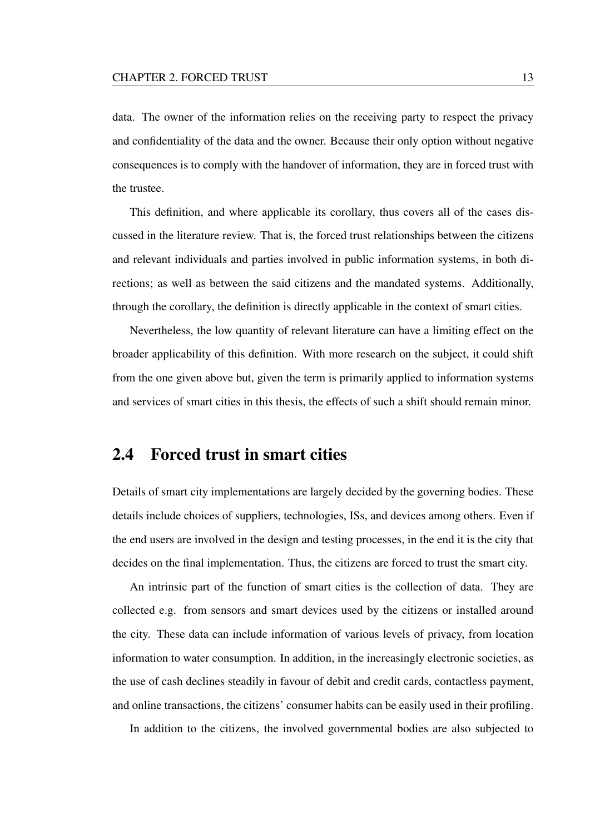data. The owner of the information relies on the receiving party to respect the privacy and confidentiality of the data and the owner. Because their only option without negative consequences is to comply with the handover of information, they are in forced trust with the trustee.

This definition, and where applicable its corollary, thus covers all of the cases discussed in the literature review. That is, the forced trust relationships between the citizens and relevant individuals and parties involved in public information systems, in both directions; as well as between the said citizens and the mandated systems. Additionally, through the corollary, the definition is directly applicable in the context of smart cities.

Nevertheless, the low quantity of relevant literature can have a limiting effect on the broader applicability of this definition. With more research on the subject, it could shift from the one given above but, given the term is primarily applied to information systems and services of smart cities in this thesis, the effects of such a shift should remain minor.

### 2.4 Forced trust in smart cities

Details of smart city implementations are largely decided by the governing bodies. These details include choices of suppliers, technologies, ISs, and devices among others. Even if the end users are involved in the design and testing processes, in the end it is the city that decides on the final implementation. Thus, the citizens are forced to trust the smart city.

An intrinsic part of the function of smart cities is the collection of data. They are collected e.g. from sensors and smart devices used by the citizens or installed around the city. These data can include information of various levels of privacy, from location information to water consumption. In addition, in the increasingly electronic societies, as the use of cash declines steadily in favour of debit and credit cards, contactless payment, and online transactions, the citizens' consumer habits can be easily used in their profiling.

In addition to the citizens, the involved governmental bodies are also subjected to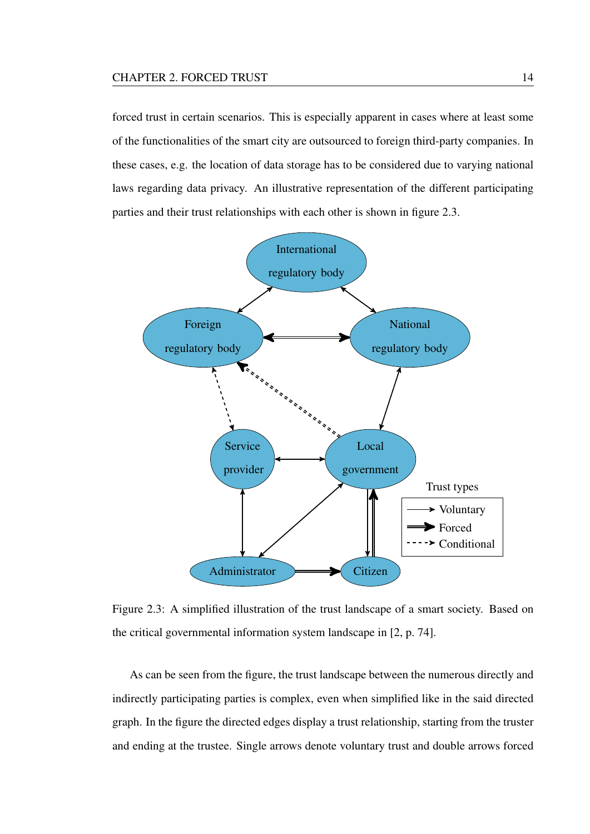forced trust in certain scenarios. This is especially apparent in cases where at least some of the functionalities of the smart city are outsourced to foreign third-party companies. In these cases, e.g. the location of data storage has to be considered due to varying national laws regarding data privacy. An illustrative representation of the different participating parties and their trust relationships with each other is shown in figure 2.3.



Figure 2.3: A simplified illustration of the trust landscape of a smart society. Based on the critical governmental information system landscape in [2, p. 74].

As can be seen from the figure, the trust landscape between the numerous directly and indirectly participating parties is complex, even when simplified like in the said directed graph. In the figure the directed edges display a trust relationship, starting from the truster and ending at the trustee. Single arrows denote voluntary trust and double arrows forced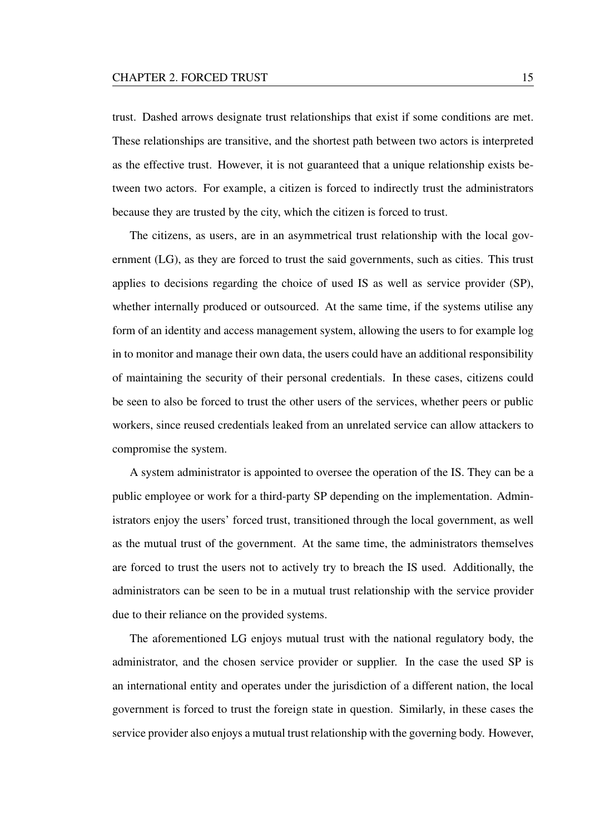trust. Dashed arrows designate trust relationships that exist if some conditions are met. These relationships are transitive, and the shortest path between two actors is interpreted as the effective trust. However, it is not guaranteed that a unique relationship exists between two actors. For example, a citizen is forced to indirectly trust the administrators because they are trusted by the city, which the citizen is forced to trust.

The citizens, as users, are in an asymmetrical trust relationship with the local government (LG), as they are forced to trust the said governments, such as cities. This trust applies to decisions regarding the choice of used IS as well as service provider (SP), whether internally produced or outsourced. At the same time, if the systems utilise any form of an identity and access management system, allowing the users to for example log in to monitor and manage their own data, the users could have an additional responsibility of maintaining the security of their personal credentials. In these cases, citizens could be seen to also be forced to trust the other users of the services, whether peers or public workers, since reused credentials leaked from an unrelated service can allow attackers to compromise the system.

A system administrator is appointed to oversee the operation of the IS. They can be a public employee or work for a third-party SP depending on the implementation. Administrators enjoy the users' forced trust, transitioned through the local government, as well as the mutual trust of the government. At the same time, the administrators themselves are forced to trust the users not to actively try to breach the IS used. Additionally, the administrators can be seen to be in a mutual trust relationship with the service provider due to their reliance on the provided systems.

The aforementioned LG enjoys mutual trust with the national regulatory body, the administrator, and the chosen service provider or supplier. In the case the used SP is an international entity and operates under the jurisdiction of a different nation, the local government is forced to trust the foreign state in question. Similarly, in these cases the service provider also enjoys a mutual trust relationship with the governing body. However,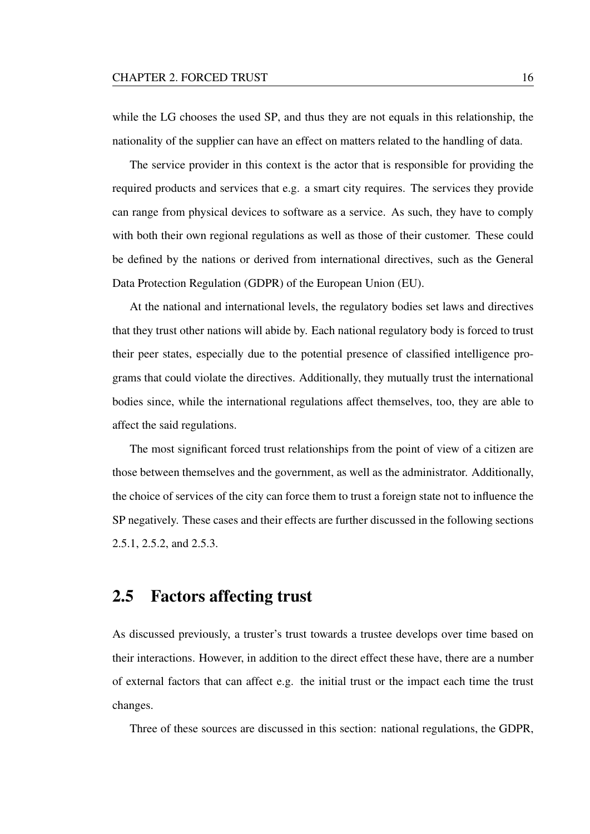while the LG chooses the used SP, and thus they are not equals in this relationship, the nationality of the supplier can have an effect on matters related to the handling of data.

The service provider in this context is the actor that is responsible for providing the required products and services that e.g. a smart city requires. The services they provide can range from physical devices to software as a service. As such, they have to comply with both their own regional regulations as well as those of their customer. These could be defined by the nations or derived from international directives, such as the General Data Protection Regulation (GDPR) of the European Union (EU).

At the national and international levels, the regulatory bodies set laws and directives that they trust other nations will abide by. Each national regulatory body is forced to trust their peer states, especially due to the potential presence of classified intelligence programs that could violate the directives. Additionally, they mutually trust the international bodies since, while the international regulations affect themselves, too, they are able to affect the said regulations.

The most significant forced trust relationships from the point of view of a citizen are those between themselves and the government, as well as the administrator. Additionally, the choice of services of the city can force them to trust a foreign state not to influence the SP negatively. These cases and their effects are further discussed in the following sections 2.5.1, 2.5.2, and 2.5.3.

### 2.5 Factors affecting trust

As discussed previously, a truster's trust towards a trustee develops over time based on their interactions. However, in addition to the direct effect these have, there are a number of external factors that can affect e.g. the initial trust or the impact each time the trust changes.

Three of these sources are discussed in this section: national regulations, the GDPR,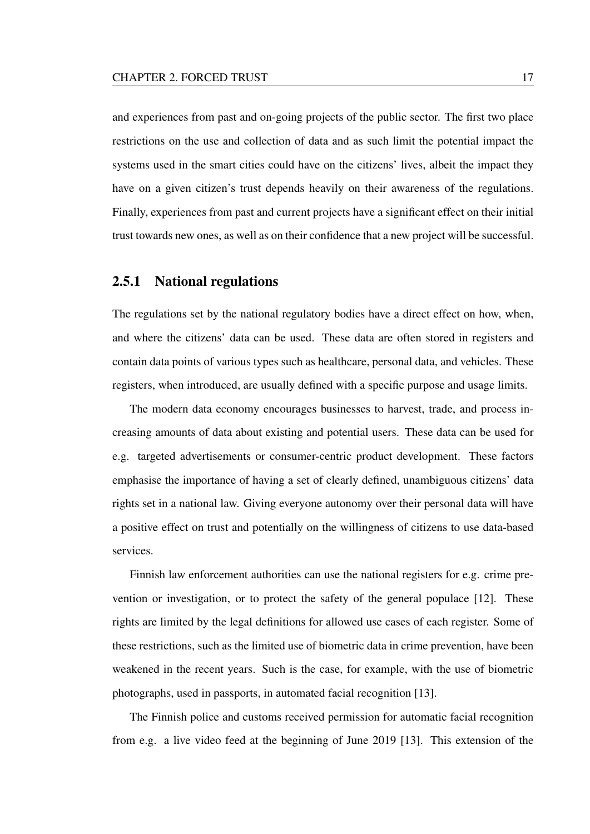and experiences from past and on-going projects of the public sector. The first two place restrictions on the use and collection of data and as such limit the potential impact the systems used in the smart cities could have on the citizens' lives, albeit the impact they have on a given citizen's trust depends heavily on their awareness of the regulations. Finally, experiences from past and current projects have a significant effect on their initial trust towards new ones, as well as on their confidence that a new project will be successful.

#### 2.5.1 National regulations

The regulations set by the national regulatory bodies have a direct effect on how, when, and where the citizens' data can be used. These data are often stored in registers and contain data points of various types such as healthcare, personal data, and vehicles. These registers, when introduced, are usually defined with a specific purpose and usage limits.

The modern data economy encourages businesses to harvest, trade, and process increasing amounts of data about existing and potential users. These data can be used for e.g. targeted advertisements or consumer-centric product development. These factors emphasise the importance of having a set of clearly defined, unambiguous citizens' data rights set in a national law. Giving everyone autonomy over their personal data will have a positive effect on trust and potentially on the willingness of citizens to use data-based services.

Finnish law enforcement authorities can use the national registers for e.g. crime prevention or investigation, or to protect the safety of the general populace [12]. These rights are limited by the legal definitions for allowed use cases of each register. Some of these restrictions, such as the limited use of biometric data in crime prevention, have been weakened in the recent years. Such is the case, for example, with the use of biometric photographs, used in passports, in automated facial recognition [13].

The Finnish police and customs received permission for automatic facial recognition from e.g. a live video feed at the beginning of June 2019 [13]. This extension of the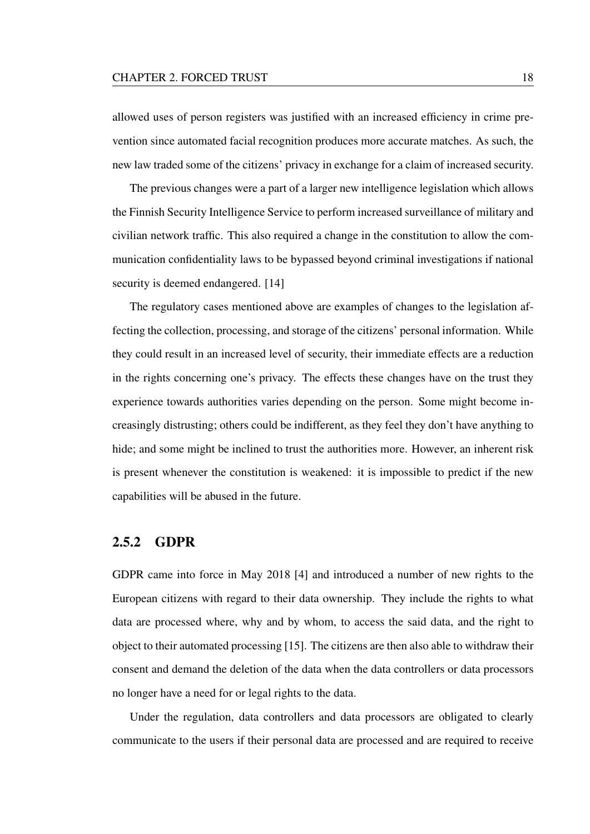#### CHAPTER 2. FORCED TRUST 18

allowed uses of person registers was justified with an increased efficiency in crime prevention since automated facial recognition produces more accurate matches. As such, the new law traded some of the citizens' privacy in exchange for a claim of increased security.

The previous changes were a part of a larger new intelligence legislation which allows the Finnish Security Intelligence Service to perform increased surveillance of military and civilian network traffic. This also required a change in the constitution to allow the communication confidentiality laws to be bypassed beyond criminal investigations if national security is deemed endangered. [14]

The regulatory cases mentioned above are examples of changes to the legislation affecting the collection, processing, and storage of the citizens' personal information. While they could result in an increased level of security, their immediate effects are a reduction in the rights concerning one's privacy. The effects these changes have on the trust they experience towards authorities varies depending on the person. Some might become increasingly distrusting; others could be indifferent, as they feel they don't have anything to hide; and some might be inclined to trust the authorities more. However, an inherent risk is present whenever the constitution is weakened: it is impossible to predict if the new capabilities will be abused in the future.

#### 2.5.2 GDPR

GDPR came into force in May 2018 [4] and introduced a number of new rights to the European citizens with regard to their data ownership. They include the rights to what data are processed where, why and by whom, to access the said data, and the right to object to their automated processing [15]. The citizens are then also able to withdraw their consent and demand the deletion of the data when the data controllers or data processors no longer have a need for or legal rights to the data.

Under the regulation, data controllers and data processors are obligated to clearly communicate to the users if their personal data are processed and are required to receive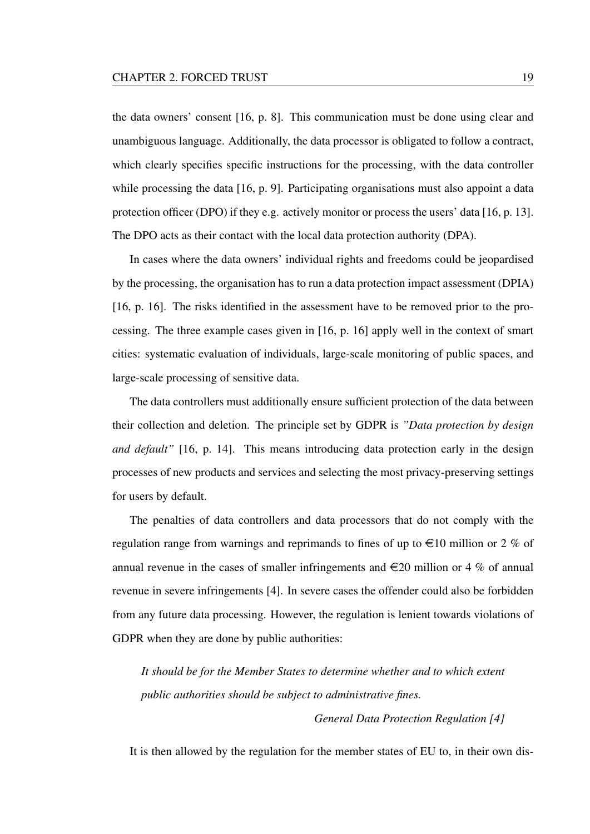the data owners' consent [16, p. 8]. This communication must be done using clear and unambiguous language. Additionally, the data processor is obligated to follow a contract, which clearly specifies specific instructions for the processing, with the data controller while processing the data [16, p. 9]. Participating organisations must also appoint a data protection officer (DPO) if they e.g. actively monitor or process the users' data [16, p. 13]. The DPO acts as their contact with the local data protection authority (DPA).

In cases where the data owners' individual rights and freedoms could be jeopardised by the processing, the organisation has to run a data protection impact assessment (DPIA) [16, p. 16]. The risks identified in the assessment have to be removed prior to the processing. The three example cases given in [16, p. 16] apply well in the context of smart cities: systematic evaluation of individuals, large-scale monitoring of public spaces, and large-scale processing of sensitive data.

The data controllers must additionally ensure sufficient protection of the data between their collection and deletion. The principle set by GDPR is *"Data protection by design and default"* [16, p. 14]. This means introducing data protection early in the design processes of new products and services and selecting the most privacy-preserving settings for users by default.

The penalties of data controllers and data processors that do not comply with the regulation range from warnings and reprimands to fines of up to  $\in$ 10 million or 2 % of annual revenue in the cases of smaller infringements and  $\infty$  20 million or 4 % of annual revenue in severe infringements [4]. In severe cases the offender could also be forbidden from any future data processing. However, the regulation is lenient towards violations of GDPR when they are done by public authorities:

*It should be for the Member States to determine whether and to which extent public authorities should be subject to administrative fines.*

*General Data Protection Regulation [4]*

It is then allowed by the regulation for the member states of EU to, in their own dis-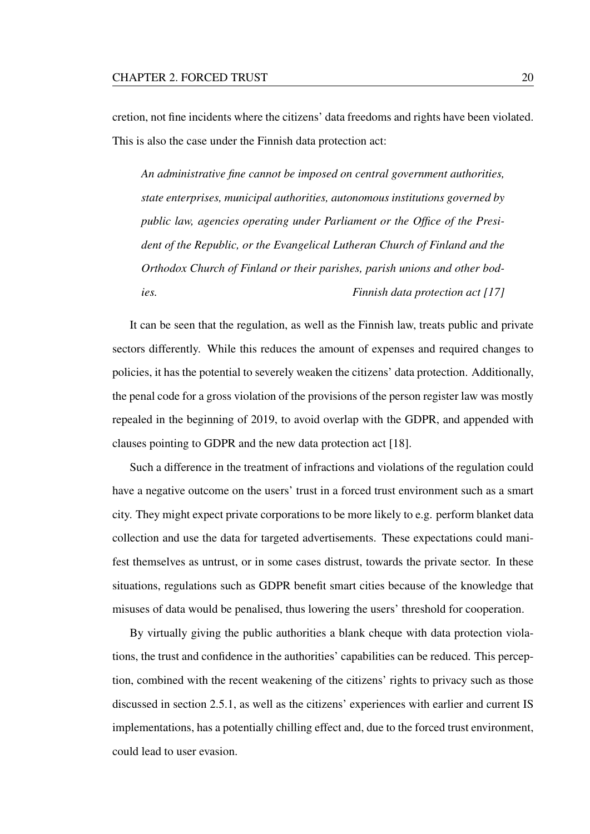cretion, not fine incidents where the citizens' data freedoms and rights have been violated. This is also the case under the Finnish data protection act:

*An administrative fine cannot be imposed on central government authorities, state enterprises, municipal authorities, autonomous institutions governed by public law, agencies operating under Parliament or the Office of the President of the Republic, or the Evangelical Lutheran Church of Finland and the Orthodox Church of Finland or their parishes, parish unions and other bodies. Finnish data protection act [17]*

It can be seen that the regulation, as well as the Finnish law, treats public and private sectors differently. While this reduces the amount of expenses and required changes to policies, it has the potential to severely weaken the citizens' data protection. Additionally, the penal code for a gross violation of the provisions of the person register law was mostly repealed in the beginning of 2019, to avoid overlap with the GDPR, and appended with clauses pointing to GDPR and the new data protection act [18].

Such a difference in the treatment of infractions and violations of the regulation could have a negative outcome on the users' trust in a forced trust environment such as a smart city. They might expect private corporations to be more likely to e.g. perform blanket data collection and use the data for targeted advertisements. These expectations could manifest themselves as untrust, or in some cases distrust, towards the private sector. In these situations, regulations such as GDPR benefit smart cities because of the knowledge that misuses of data would be penalised, thus lowering the users' threshold for cooperation.

By virtually giving the public authorities a blank cheque with data protection violations, the trust and confidence in the authorities' capabilities can be reduced. This perception, combined with the recent weakening of the citizens' rights to privacy such as those discussed in section 2.5.1, as well as the citizens' experiences with earlier and current IS implementations, has a potentially chilling effect and, due to the forced trust environment, could lead to user evasion.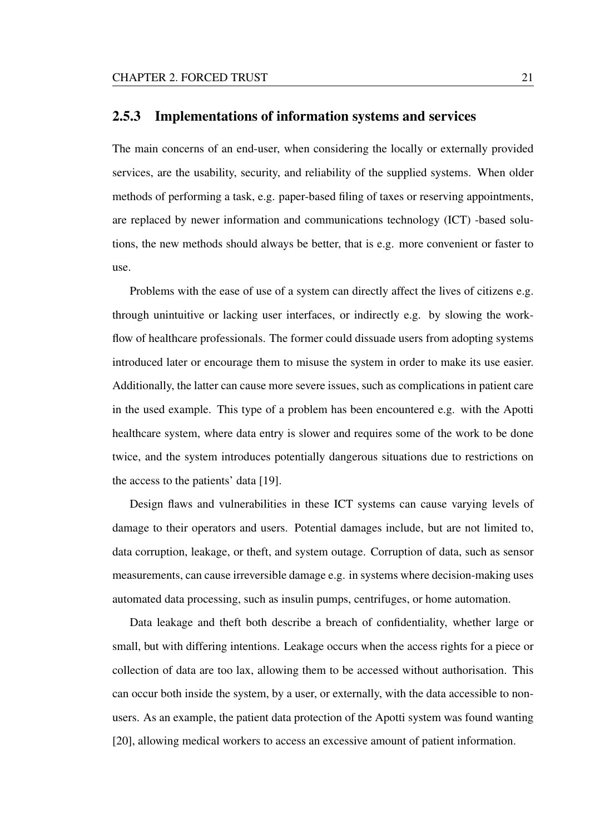#### 2.5.3 Implementations of information systems and services

The main concerns of an end-user, when considering the locally or externally provided services, are the usability, security, and reliability of the supplied systems. When older methods of performing a task, e.g. paper-based filing of taxes or reserving appointments, are replaced by newer information and communications technology (ICT) -based solutions, the new methods should always be better, that is e.g. more convenient or faster to use.

Problems with the ease of use of a system can directly affect the lives of citizens e.g. through unintuitive or lacking user interfaces, or indirectly e.g. by slowing the workflow of healthcare professionals. The former could dissuade users from adopting systems introduced later or encourage them to misuse the system in order to make its use easier. Additionally, the latter can cause more severe issues, such as complications in patient care in the used example. This type of a problem has been encountered e.g. with the Apotti healthcare system, where data entry is slower and requires some of the work to be done twice, and the system introduces potentially dangerous situations due to restrictions on the access to the patients' data [19].

Design flaws and vulnerabilities in these ICT systems can cause varying levels of damage to their operators and users. Potential damages include, but are not limited to, data corruption, leakage, or theft, and system outage. Corruption of data, such as sensor measurements, can cause irreversible damage e.g. in systems where decision-making uses automated data processing, such as insulin pumps, centrifuges, or home automation.

Data leakage and theft both describe a breach of confidentiality, whether large or small, but with differing intentions. Leakage occurs when the access rights for a piece or collection of data are too lax, allowing them to be accessed without authorisation. This can occur both inside the system, by a user, or externally, with the data accessible to nonusers. As an example, the patient data protection of the Apotti system was found wanting [20], allowing medical workers to access an excessive amount of patient information.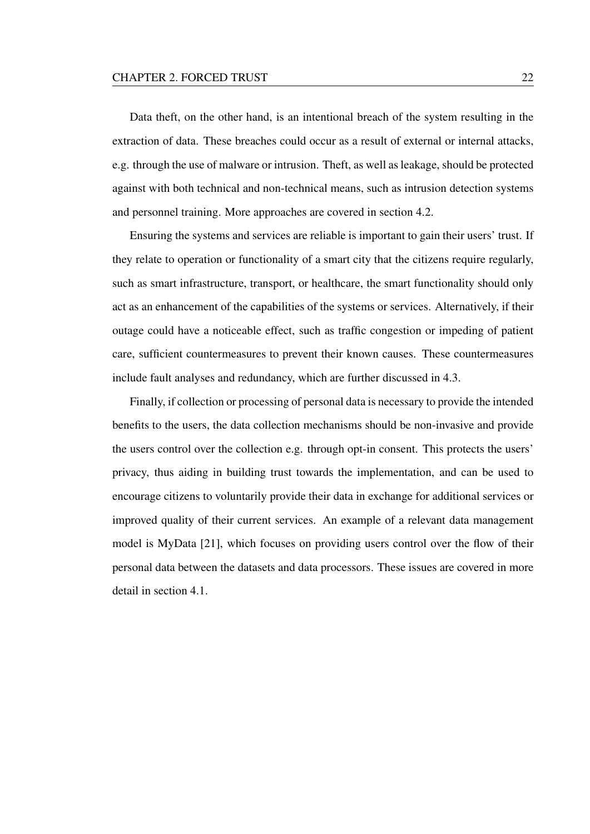Data theft, on the other hand, is an intentional breach of the system resulting in the extraction of data. These breaches could occur as a result of external or internal attacks, e.g. through the use of malware or intrusion. Theft, as well as leakage, should be protected against with both technical and non-technical means, such as intrusion detection systems and personnel training. More approaches are covered in section 4.2.

Ensuring the systems and services are reliable is important to gain their users' trust. If they relate to operation or functionality of a smart city that the citizens require regularly, such as smart infrastructure, transport, or healthcare, the smart functionality should only act as an enhancement of the capabilities of the systems or services. Alternatively, if their outage could have a noticeable effect, such as traffic congestion or impeding of patient care, sufficient countermeasures to prevent their known causes. These countermeasures include fault analyses and redundancy, which are further discussed in 4.3.

Finally, if collection or processing of personal data is necessary to provide the intended benefits to the users, the data collection mechanisms should be non-invasive and provide the users control over the collection e.g. through opt-in consent. This protects the users' privacy, thus aiding in building trust towards the implementation, and can be used to encourage citizens to voluntarily provide their data in exchange for additional services or improved quality of their current services. An example of a relevant data management model is MyData [21], which focuses on providing users control over the flow of their personal data between the datasets and data processors. These issues are covered in more detail in section 4.1.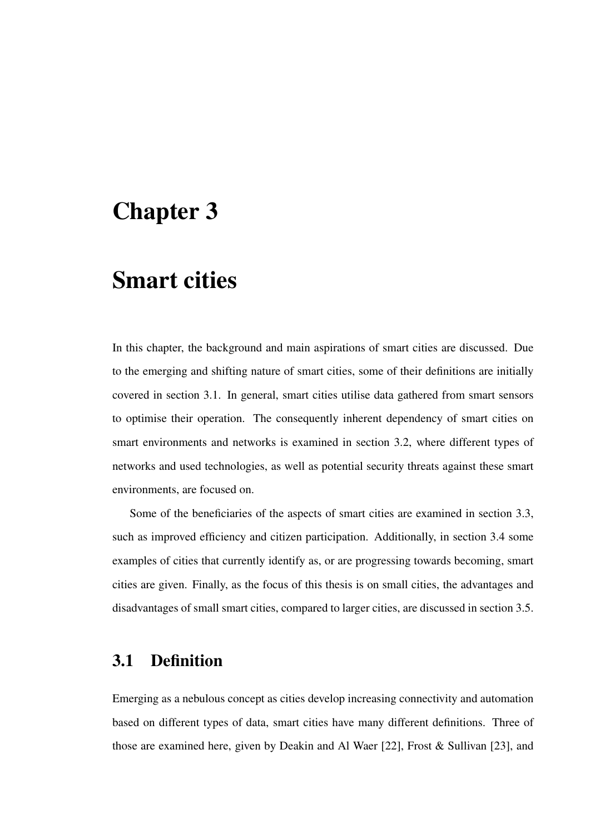# Chapter 3

## Smart cities

In this chapter, the background and main aspirations of smart cities are discussed. Due to the emerging and shifting nature of smart cities, some of their definitions are initially covered in section 3.1. In general, smart cities utilise data gathered from smart sensors to optimise their operation. The consequently inherent dependency of smart cities on smart environments and networks is examined in section 3.2, where different types of networks and used technologies, as well as potential security threats against these smart environments, are focused on.

Some of the beneficiaries of the aspects of smart cities are examined in section 3.3, such as improved efficiency and citizen participation. Additionally, in section 3.4 some examples of cities that currently identify as, or are progressing towards becoming, smart cities are given. Finally, as the focus of this thesis is on small cities, the advantages and disadvantages of small smart cities, compared to larger cities, are discussed in section 3.5.

### 3.1 Definition

Emerging as a nebulous concept as cities develop increasing connectivity and automation based on different types of data, smart cities have many different definitions. Three of those are examined here, given by Deakin and Al Waer [22], Frost & Sullivan [23], and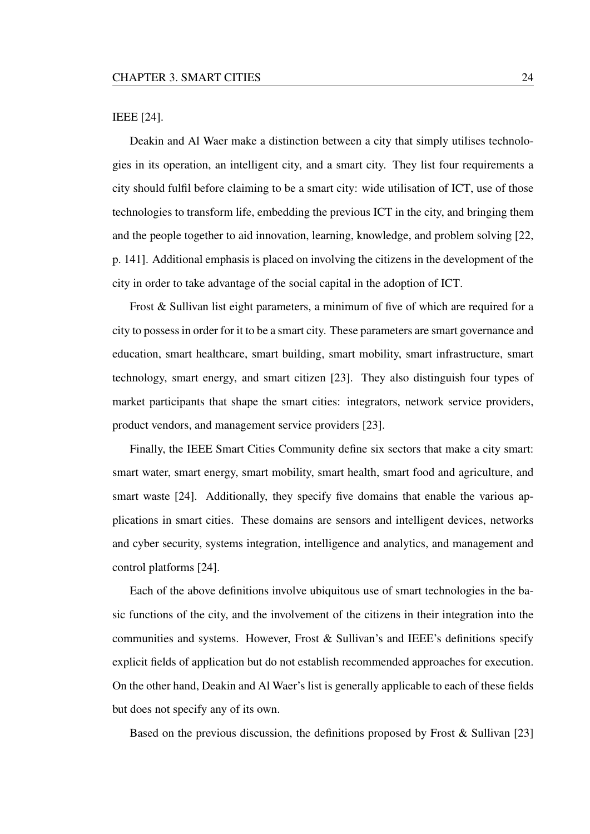#### IEEE [24].

Deakin and Al Waer make a distinction between a city that simply utilises technologies in its operation, an intelligent city, and a smart city. They list four requirements a city should fulfil before claiming to be a smart city: wide utilisation of ICT, use of those technologies to transform life, embedding the previous ICT in the city, and bringing them and the people together to aid innovation, learning, knowledge, and problem solving [22, p. 141]. Additional emphasis is placed on involving the citizens in the development of the city in order to take advantage of the social capital in the adoption of ICT.

Frost & Sullivan list eight parameters, a minimum of five of which are required for a city to possess in order for it to be a smart city. These parameters are smart governance and education, smart healthcare, smart building, smart mobility, smart infrastructure, smart technology, smart energy, and smart citizen [23]. They also distinguish four types of market participants that shape the smart cities: integrators, network service providers, product vendors, and management service providers [23].

Finally, the IEEE Smart Cities Community define six sectors that make a city smart: smart water, smart energy, smart mobility, smart health, smart food and agriculture, and smart waste [24]. Additionally, they specify five domains that enable the various applications in smart cities. These domains are sensors and intelligent devices, networks and cyber security, systems integration, intelligence and analytics, and management and control platforms [24].

Each of the above definitions involve ubiquitous use of smart technologies in the basic functions of the city, and the involvement of the citizens in their integration into the communities and systems. However, Frost & Sullivan's and IEEE's definitions specify explicit fields of application but do not establish recommended approaches for execution. On the other hand, Deakin and Al Waer's list is generally applicable to each of these fields but does not specify any of its own.

Based on the previous discussion, the definitions proposed by Frost & Sullivan [23]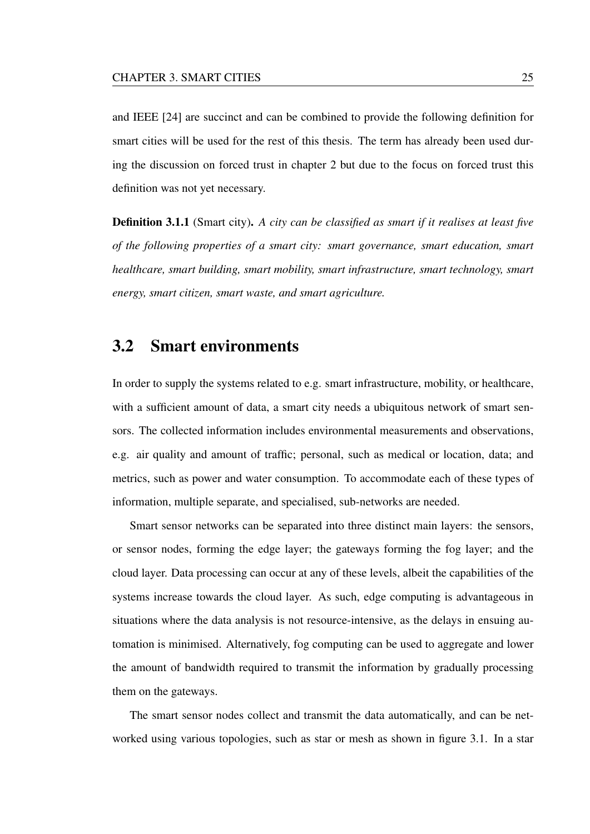and IEEE [24] are succinct and can be combined to provide the following definition for smart cities will be used for the rest of this thesis. The term has already been used during the discussion on forced trust in chapter 2 but due to the focus on forced trust this definition was not yet necessary.

Definition 3.1.1 (Smart city). *A city can be classified as smart if it realises at least five of the following properties of a smart city: smart governance, smart education, smart healthcare, smart building, smart mobility, smart infrastructure, smart technology, smart energy, smart citizen, smart waste, and smart agriculture.*

### 3.2 Smart environments

In order to supply the systems related to e.g. smart infrastructure, mobility, or healthcare, with a sufficient amount of data, a smart city needs a ubiquitous network of smart sensors. The collected information includes environmental measurements and observations, e.g. air quality and amount of traffic; personal, such as medical or location, data; and metrics, such as power and water consumption. To accommodate each of these types of information, multiple separate, and specialised, sub-networks are needed.

Smart sensor networks can be separated into three distinct main layers: the sensors, or sensor nodes, forming the edge layer; the gateways forming the fog layer; and the cloud layer. Data processing can occur at any of these levels, albeit the capabilities of the systems increase towards the cloud layer. As such, edge computing is advantageous in situations where the data analysis is not resource-intensive, as the delays in ensuing automation is minimised. Alternatively, fog computing can be used to aggregate and lower the amount of bandwidth required to transmit the information by gradually processing them on the gateways.

The smart sensor nodes collect and transmit the data automatically, and can be networked using various topologies, such as star or mesh as shown in figure 3.1. In a star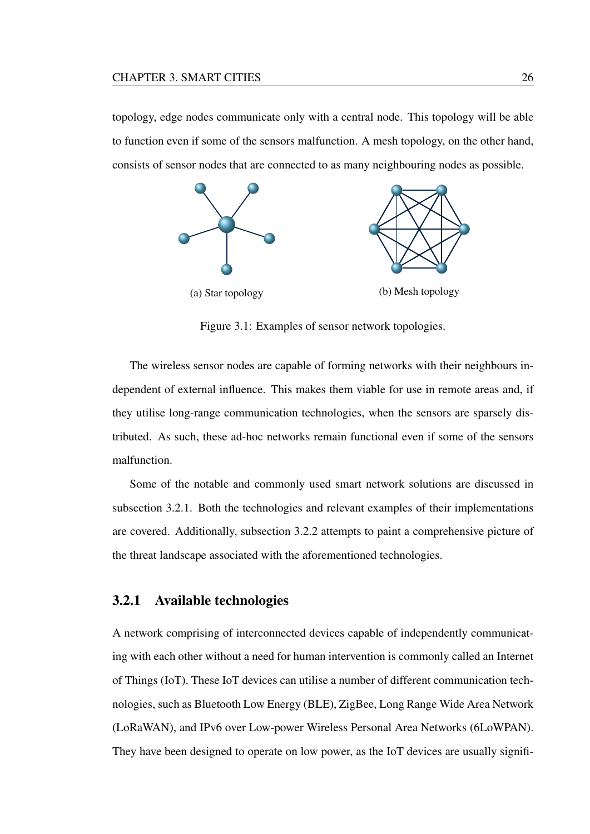topology, edge nodes communicate only with a central node. This topology will be able to function even if some of the sensors malfunction. A mesh topology, on the other hand, consists of sensor nodes that are connected to as many neighbouring nodes as possible.



Figure 3.1: Examples of sensor network topologies.

The wireless sensor nodes are capable of forming networks with their neighbours independent of external influence. This makes them viable for use in remote areas and, if they utilise long-range communication technologies, when the sensors are sparsely distributed. As such, these ad-hoc networks remain functional even if some of the sensors malfunction.

Some of the notable and commonly used smart network solutions are discussed in subsection 3.2.1. Both the technologies and relevant examples of their implementations are covered. Additionally, subsection 3.2.2 attempts to paint a comprehensive picture of the threat landscape associated with the aforementioned technologies.

#### 3.2.1 Available technologies

A network comprising of interconnected devices capable of independently communicating with each other without a need for human intervention is commonly called an Internet of Things (IoT). These IoT devices can utilise a number of different communication technologies, such as Bluetooth Low Energy (BLE), ZigBee, Long Range Wide Area Network (LoRaWAN), and IPv6 over Low-power Wireless Personal Area Networks (6LoWPAN). They have been designed to operate on low power, as the IoT devices are usually signifi-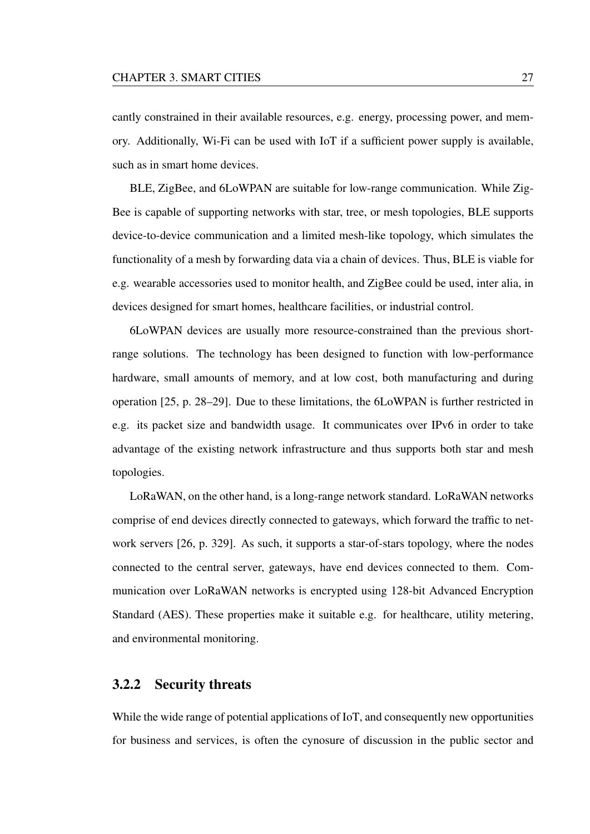cantly constrained in their available resources, e.g. energy, processing power, and memory. Additionally, Wi-Fi can be used with IoT if a sufficient power supply is available, such as in smart home devices.

BLE, ZigBee, and 6LoWPAN are suitable for low-range communication. While Zig-Bee is capable of supporting networks with star, tree, or mesh topologies, BLE supports device-to-device communication and a limited mesh-like topology, which simulates the functionality of a mesh by forwarding data via a chain of devices. Thus, BLE is viable for e.g. wearable accessories used to monitor health, and ZigBee could be used, inter alia, in devices designed for smart homes, healthcare facilities, or industrial control.

6LoWPAN devices are usually more resource-constrained than the previous shortrange solutions. The technology has been designed to function with low-performance hardware, small amounts of memory, and at low cost, both manufacturing and during operation [25, p. 28–29]. Due to these limitations, the 6LoWPAN is further restricted in e.g. its packet size and bandwidth usage. It communicates over IPv6 in order to take advantage of the existing network infrastructure and thus supports both star and mesh topologies.

LoRaWAN, on the other hand, is a long-range network standard. LoRaWAN networks comprise of end devices directly connected to gateways, which forward the traffic to network servers [26, p. 329]. As such, it supports a star-of-stars topology, where the nodes connected to the central server, gateways, have end devices connected to them. Communication over LoRaWAN networks is encrypted using 128-bit Advanced Encryption Standard (AES). These properties make it suitable e.g. for healthcare, utility metering, and environmental monitoring.

### 3.2.2 Security threats

While the wide range of potential applications of IoT, and consequently new opportunities for business and services, is often the cynosure of discussion in the public sector and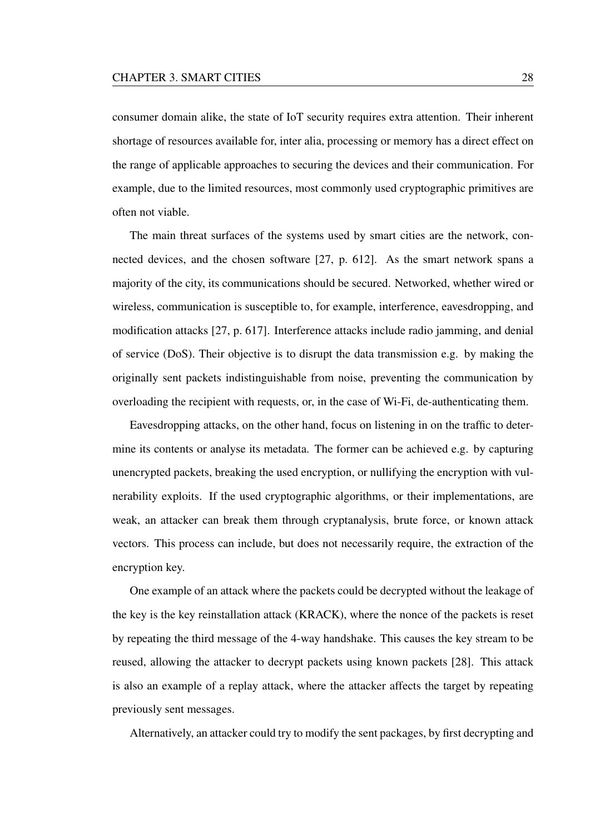consumer domain alike, the state of IoT security requires extra attention. Their inherent shortage of resources available for, inter alia, processing or memory has a direct effect on the range of applicable approaches to securing the devices and their communication. For example, due to the limited resources, most commonly used cryptographic primitives are often not viable.

The main threat surfaces of the systems used by smart cities are the network, connected devices, and the chosen software [27, p. 612]. As the smart network spans a majority of the city, its communications should be secured. Networked, whether wired or wireless, communication is susceptible to, for example, interference, eavesdropping, and modification attacks [27, p. 617]. Interference attacks include radio jamming, and denial of service (DoS). Their objective is to disrupt the data transmission e.g. by making the originally sent packets indistinguishable from noise, preventing the communication by overloading the recipient with requests, or, in the case of Wi-Fi, de-authenticating them.

Eavesdropping attacks, on the other hand, focus on listening in on the traffic to determine its contents or analyse its metadata. The former can be achieved e.g. by capturing unencrypted packets, breaking the used encryption, or nullifying the encryption with vulnerability exploits. If the used cryptographic algorithms, or their implementations, are weak, an attacker can break them through cryptanalysis, brute force, or known attack vectors. This process can include, but does not necessarily require, the extraction of the encryption key.

One example of an attack where the packets could be decrypted without the leakage of the key is the key reinstallation attack (KRACK), where the nonce of the packets is reset by repeating the third message of the 4-way handshake. This causes the key stream to be reused, allowing the attacker to decrypt packets using known packets [28]. This attack is also an example of a replay attack, where the attacker affects the target by repeating previously sent messages.

Alternatively, an attacker could try to modify the sent packages, by first decrypting and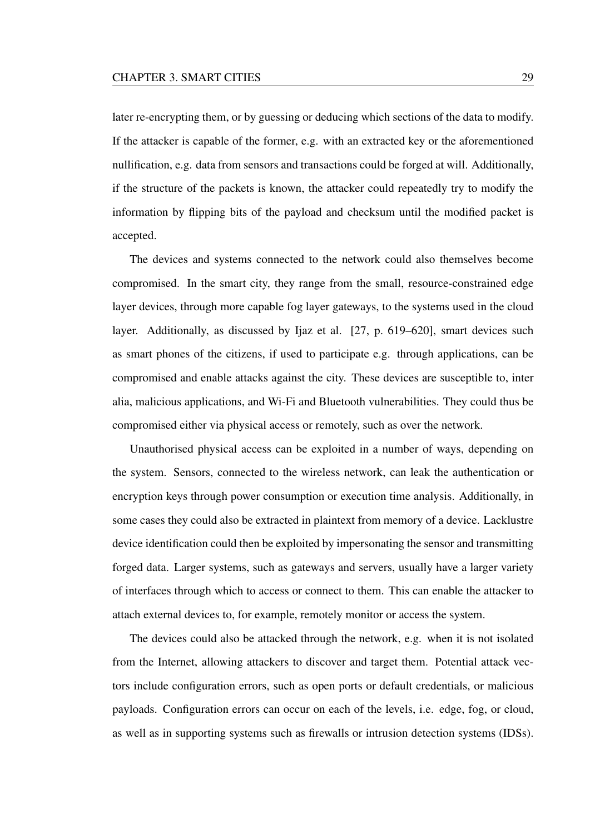later re-encrypting them, or by guessing or deducing which sections of the data to modify. If the attacker is capable of the former, e.g. with an extracted key or the aforementioned nullification, e.g. data from sensors and transactions could be forged at will. Additionally, if the structure of the packets is known, the attacker could repeatedly try to modify the information by flipping bits of the payload and checksum until the modified packet is accepted.

The devices and systems connected to the network could also themselves become compromised. In the smart city, they range from the small, resource-constrained edge layer devices, through more capable fog layer gateways, to the systems used in the cloud layer. Additionally, as discussed by Ijaz et al. [27, p. 619–620], smart devices such as smart phones of the citizens, if used to participate e.g. through applications, can be compromised and enable attacks against the city. These devices are susceptible to, inter alia, malicious applications, and Wi-Fi and Bluetooth vulnerabilities. They could thus be compromised either via physical access or remotely, such as over the network.

Unauthorised physical access can be exploited in a number of ways, depending on the system. Sensors, connected to the wireless network, can leak the authentication or encryption keys through power consumption or execution time analysis. Additionally, in some cases they could also be extracted in plaintext from memory of a device. Lacklustre device identification could then be exploited by impersonating the sensor and transmitting forged data. Larger systems, such as gateways and servers, usually have a larger variety of interfaces through which to access or connect to them. This can enable the attacker to attach external devices to, for example, remotely monitor or access the system.

The devices could also be attacked through the network, e.g. when it is not isolated from the Internet, allowing attackers to discover and target them. Potential attack vectors include configuration errors, such as open ports or default credentials, or malicious payloads. Configuration errors can occur on each of the levels, i.e. edge, fog, or cloud, as well as in supporting systems such as firewalls or intrusion detection systems (IDSs).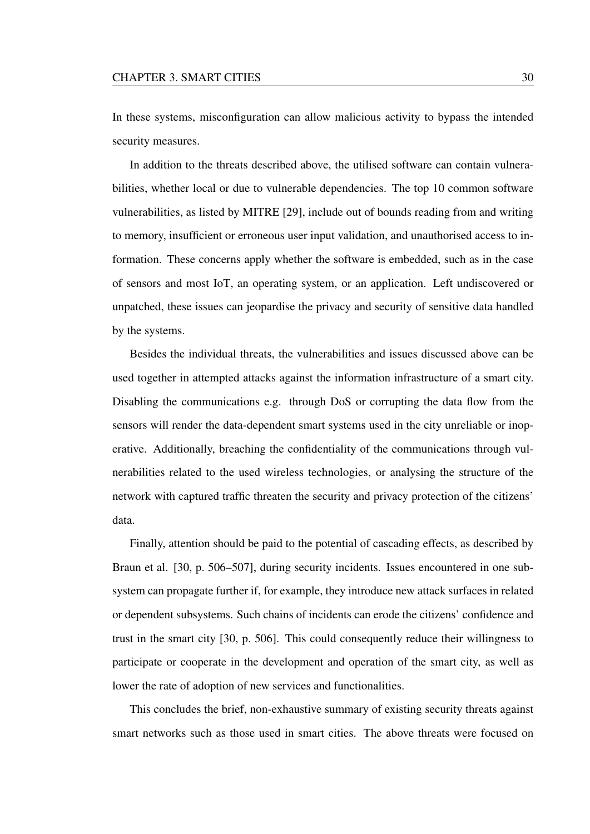In these systems, misconfiguration can allow malicious activity to bypass the intended security measures.

In addition to the threats described above, the utilised software can contain vulnerabilities, whether local or due to vulnerable dependencies. The top 10 common software vulnerabilities, as listed by MITRE [29], include out of bounds reading from and writing to memory, insufficient or erroneous user input validation, and unauthorised access to information. These concerns apply whether the software is embedded, such as in the case of sensors and most IoT, an operating system, or an application. Left undiscovered or unpatched, these issues can jeopardise the privacy and security of sensitive data handled by the systems.

Besides the individual threats, the vulnerabilities and issues discussed above can be used together in attempted attacks against the information infrastructure of a smart city. Disabling the communications e.g. through DoS or corrupting the data flow from the sensors will render the data-dependent smart systems used in the city unreliable or inoperative. Additionally, breaching the confidentiality of the communications through vulnerabilities related to the used wireless technologies, or analysing the structure of the network with captured traffic threaten the security and privacy protection of the citizens' data.

Finally, attention should be paid to the potential of cascading effects, as described by Braun et al. [30, p. 506–507], during security incidents. Issues encountered in one subsystem can propagate further if, for example, they introduce new attack surfaces in related or dependent subsystems. Such chains of incidents can erode the citizens' confidence and trust in the smart city [30, p. 506]. This could consequently reduce their willingness to participate or cooperate in the development and operation of the smart city, as well as lower the rate of adoption of new services and functionalities.

This concludes the brief, non-exhaustive summary of existing security threats against smart networks such as those used in smart cities. The above threats were focused on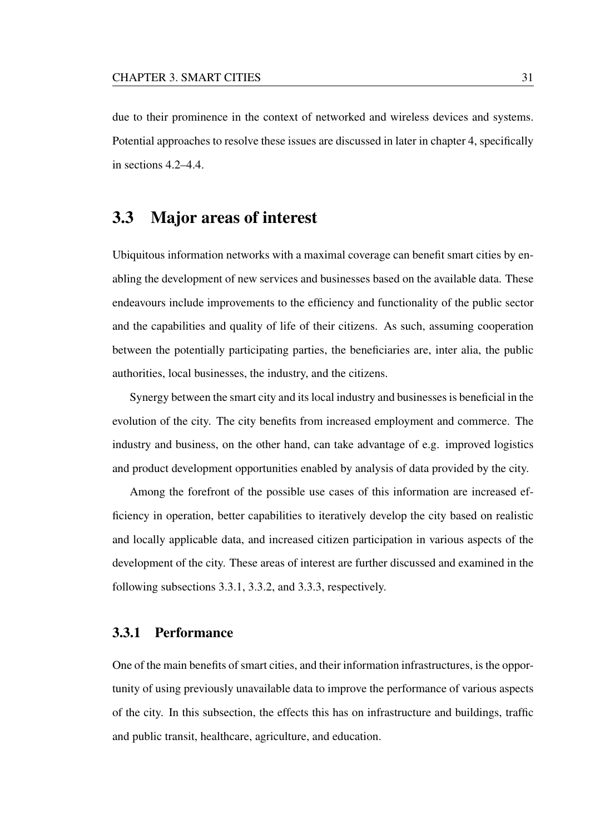due to their prominence in the context of networked and wireless devices and systems. Potential approaches to resolve these issues are discussed in later in chapter 4, specifically in sections 4.2–4.4.

### 3.3 Major areas of interest

Ubiquitous information networks with a maximal coverage can benefit smart cities by enabling the development of new services and businesses based on the available data. These endeavours include improvements to the efficiency and functionality of the public sector and the capabilities and quality of life of their citizens. As such, assuming cooperation between the potentially participating parties, the beneficiaries are, inter alia, the public authorities, local businesses, the industry, and the citizens.

Synergy between the smart city and its local industry and businesses is beneficial in the evolution of the city. The city benefits from increased employment and commerce. The industry and business, on the other hand, can take advantage of e.g. improved logistics and product development opportunities enabled by analysis of data provided by the city.

Among the forefront of the possible use cases of this information are increased efficiency in operation, better capabilities to iteratively develop the city based on realistic and locally applicable data, and increased citizen participation in various aspects of the development of the city. These areas of interest are further discussed and examined in the following subsections 3.3.1, 3.3.2, and 3.3.3, respectively.

### 3.3.1 Performance

One of the main benefits of smart cities, and their information infrastructures, is the opportunity of using previously unavailable data to improve the performance of various aspects of the city. In this subsection, the effects this has on infrastructure and buildings, traffic and public transit, healthcare, agriculture, and education.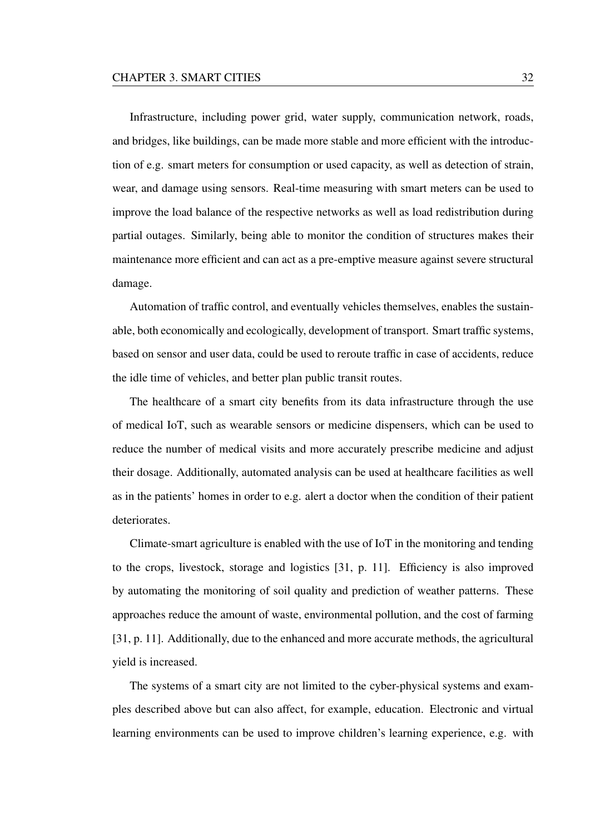Infrastructure, including power grid, water supply, communication network, roads, and bridges, like buildings, can be made more stable and more efficient with the introduction of e.g. smart meters for consumption or used capacity, as well as detection of strain, wear, and damage using sensors. Real-time measuring with smart meters can be used to improve the load balance of the respective networks as well as load redistribution during partial outages. Similarly, being able to monitor the condition of structures makes their maintenance more efficient and can act as a pre-emptive measure against severe structural damage.

Automation of traffic control, and eventually vehicles themselves, enables the sustainable, both economically and ecologically, development of transport. Smart traffic systems, based on sensor and user data, could be used to reroute traffic in case of accidents, reduce the idle time of vehicles, and better plan public transit routes.

The healthcare of a smart city benefits from its data infrastructure through the use of medical IoT, such as wearable sensors or medicine dispensers, which can be used to reduce the number of medical visits and more accurately prescribe medicine and adjust their dosage. Additionally, automated analysis can be used at healthcare facilities as well as in the patients' homes in order to e.g. alert a doctor when the condition of their patient deteriorates.

Climate-smart agriculture is enabled with the use of IoT in the monitoring and tending to the crops, livestock, storage and logistics [31, p. 11]. Efficiency is also improved by automating the monitoring of soil quality and prediction of weather patterns. These approaches reduce the amount of waste, environmental pollution, and the cost of farming [31, p. 11]. Additionally, due to the enhanced and more accurate methods, the agricultural yield is increased.

The systems of a smart city are not limited to the cyber-physical systems and examples described above but can also affect, for example, education. Electronic and virtual learning environments can be used to improve children's learning experience, e.g. with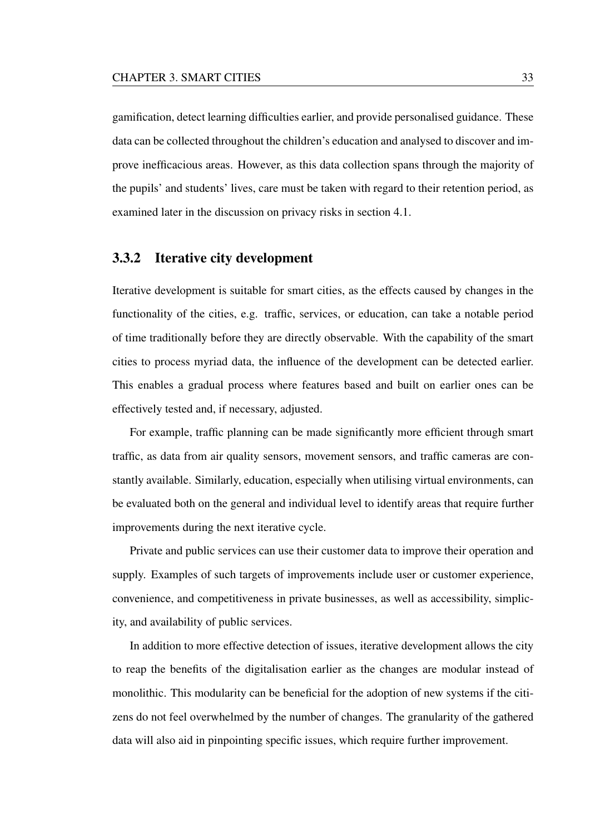gamification, detect learning difficulties earlier, and provide personalised guidance. These data can be collected throughout the children's education and analysed to discover and improve inefficacious areas. However, as this data collection spans through the majority of the pupils' and students' lives, care must be taken with regard to their retention period, as examined later in the discussion on privacy risks in section 4.1.

### 3.3.2 Iterative city development

Iterative development is suitable for smart cities, as the effects caused by changes in the functionality of the cities, e.g. traffic, services, or education, can take a notable period of time traditionally before they are directly observable. With the capability of the smart cities to process myriad data, the influence of the development can be detected earlier. This enables a gradual process where features based and built on earlier ones can be effectively tested and, if necessary, adjusted.

For example, traffic planning can be made significantly more efficient through smart traffic, as data from air quality sensors, movement sensors, and traffic cameras are constantly available. Similarly, education, especially when utilising virtual environments, can be evaluated both on the general and individual level to identify areas that require further improvements during the next iterative cycle.

Private and public services can use their customer data to improve their operation and supply. Examples of such targets of improvements include user or customer experience, convenience, and competitiveness in private businesses, as well as accessibility, simplicity, and availability of public services.

In addition to more effective detection of issues, iterative development allows the city to reap the benefits of the digitalisation earlier as the changes are modular instead of monolithic. This modularity can be beneficial for the adoption of new systems if the citizens do not feel overwhelmed by the number of changes. The granularity of the gathered data will also aid in pinpointing specific issues, which require further improvement.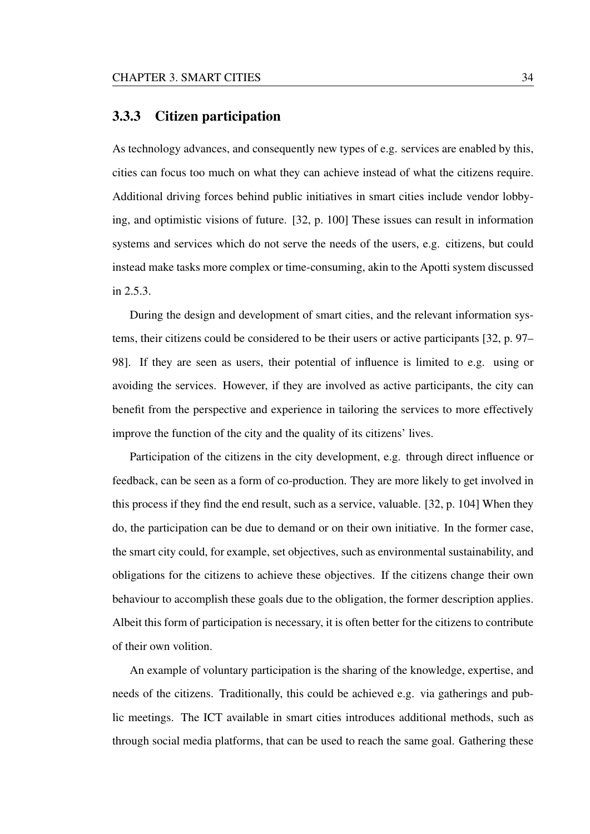### 3.3.3 Citizen participation

As technology advances, and consequently new types of e.g. services are enabled by this, cities can focus too much on what they can achieve instead of what the citizens require. Additional driving forces behind public initiatives in smart cities include vendor lobbying, and optimistic visions of future. [32, p. 100] These issues can result in information systems and services which do not serve the needs of the users, e.g. citizens, but could instead make tasks more complex or time-consuming, akin to the Apotti system discussed in 2.5.3.

During the design and development of smart cities, and the relevant information systems, their citizens could be considered to be their users or active participants [32, p. 97– 98]. If they are seen as users, their potential of influence is limited to e.g. using or avoiding the services. However, if they are involved as active participants, the city can benefit from the perspective and experience in tailoring the services to more effectively improve the function of the city and the quality of its citizens' lives.

Participation of the citizens in the city development, e.g. through direct influence or feedback, can be seen as a form of co-production. They are more likely to get involved in this process if they find the end result, such as a service, valuable. [32, p. 104] When they do, the participation can be due to demand or on their own initiative. In the former case, the smart city could, for example, set objectives, such as environmental sustainability, and obligations for the citizens to achieve these objectives. If the citizens change their own behaviour to accomplish these goals due to the obligation, the former description applies. Albeit this form of participation is necessary, it is often better for the citizens to contribute of their own volition.

An example of voluntary participation is the sharing of the knowledge, expertise, and needs of the citizens. Traditionally, this could be achieved e.g. via gatherings and public meetings. The ICT available in smart cities introduces additional methods, such as through social media platforms, that can be used to reach the same goal. Gathering these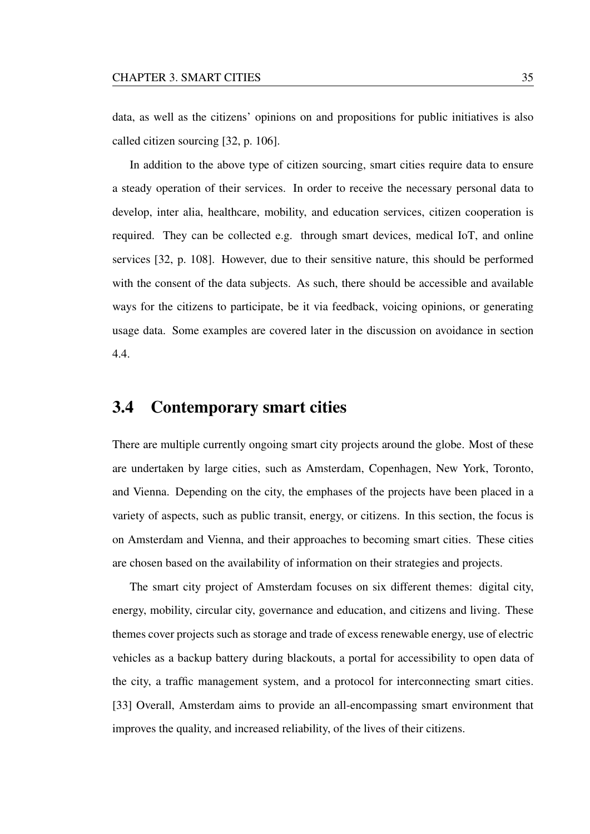data, as well as the citizens' opinions on and propositions for public initiatives is also called citizen sourcing [32, p. 106].

In addition to the above type of citizen sourcing, smart cities require data to ensure a steady operation of their services. In order to receive the necessary personal data to develop, inter alia, healthcare, mobility, and education services, citizen cooperation is required. They can be collected e.g. through smart devices, medical IoT, and online services [32, p. 108]. However, due to their sensitive nature, this should be performed with the consent of the data subjects. As such, there should be accessible and available ways for the citizens to participate, be it via feedback, voicing opinions, or generating usage data. Some examples are covered later in the discussion on avoidance in section 4.4.

# 3.4 Contemporary smart cities

There are multiple currently ongoing smart city projects around the globe. Most of these are undertaken by large cities, such as Amsterdam, Copenhagen, New York, Toronto, and Vienna. Depending on the city, the emphases of the projects have been placed in a variety of aspects, such as public transit, energy, or citizens. In this section, the focus is on Amsterdam and Vienna, and their approaches to becoming smart cities. These cities are chosen based on the availability of information on their strategies and projects.

The smart city project of Amsterdam focuses on six different themes: digital city, energy, mobility, circular city, governance and education, and citizens and living. These themes cover projects such as storage and trade of excess renewable energy, use of electric vehicles as a backup battery during blackouts, a portal for accessibility to open data of the city, a traffic management system, and a protocol for interconnecting smart cities. [33] Overall, Amsterdam aims to provide an all-encompassing smart environment that improves the quality, and increased reliability, of the lives of their citizens.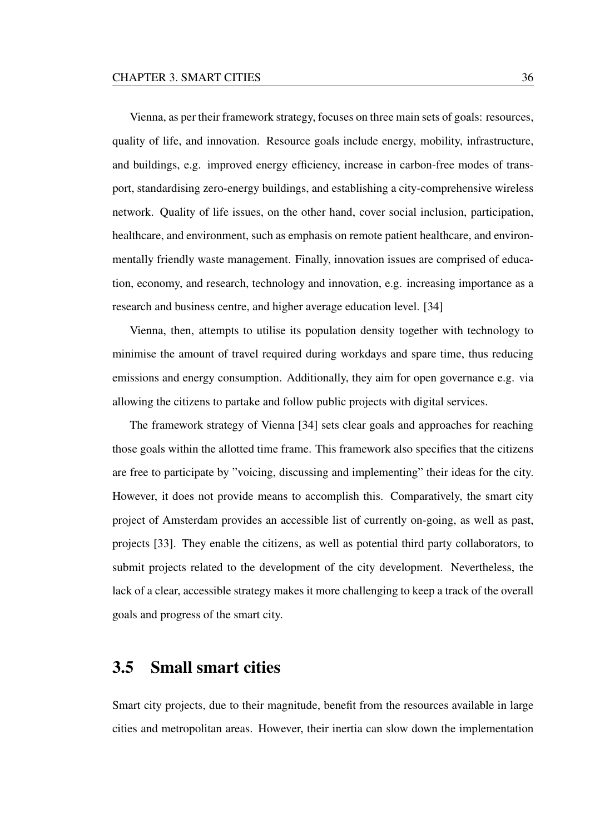Vienna, as per their framework strategy, focuses on three main sets of goals: resources, quality of life, and innovation. Resource goals include energy, mobility, infrastructure, and buildings, e.g. improved energy efficiency, increase in carbon-free modes of transport, standardising zero-energy buildings, and establishing a city-comprehensive wireless network. Quality of life issues, on the other hand, cover social inclusion, participation, healthcare, and environment, such as emphasis on remote patient healthcare, and environmentally friendly waste management. Finally, innovation issues are comprised of education, economy, and research, technology and innovation, e.g. increasing importance as a research and business centre, and higher average education level. [34]

Vienna, then, attempts to utilise its population density together with technology to minimise the amount of travel required during workdays and spare time, thus reducing emissions and energy consumption. Additionally, they aim for open governance e.g. via allowing the citizens to partake and follow public projects with digital services.

The framework strategy of Vienna [34] sets clear goals and approaches for reaching those goals within the allotted time frame. This framework also specifies that the citizens are free to participate by "voicing, discussing and implementing" their ideas for the city. However, it does not provide means to accomplish this. Comparatively, the smart city project of Amsterdam provides an accessible list of currently on-going, as well as past, projects [33]. They enable the citizens, as well as potential third party collaborators, to submit projects related to the development of the city development. Nevertheless, the lack of a clear, accessible strategy makes it more challenging to keep a track of the overall goals and progress of the smart city.

# 3.5 Small smart cities

Smart city projects, due to their magnitude, benefit from the resources available in large cities and metropolitan areas. However, their inertia can slow down the implementation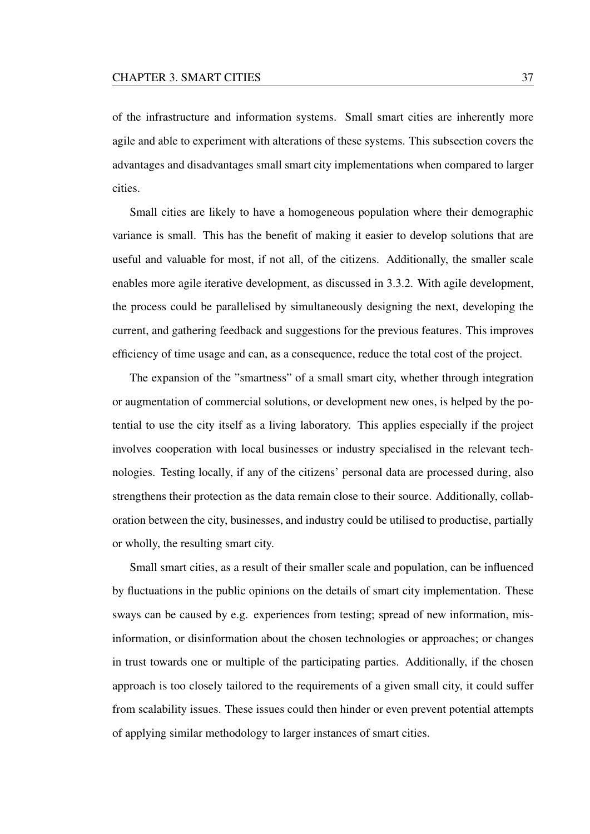of the infrastructure and information systems. Small smart cities are inherently more agile and able to experiment with alterations of these systems. This subsection covers the advantages and disadvantages small smart city implementations when compared to larger cities.

Small cities are likely to have a homogeneous population where their demographic variance is small. This has the benefit of making it easier to develop solutions that are useful and valuable for most, if not all, of the citizens. Additionally, the smaller scale enables more agile iterative development, as discussed in 3.3.2. With agile development, the process could be parallelised by simultaneously designing the next, developing the current, and gathering feedback and suggestions for the previous features. This improves efficiency of time usage and can, as a consequence, reduce the total cost of the project.

The expansion of the "smartness" of a small smart city, whether through integration or augmentation of commercial solutions, or development new ones, is helped by the potential to use the city itself as a living laboratory. This applies especially if the project involves cooperation with local businesses or industry specialised in the relevant technologies. Testing locally, if any of the citizens' personal data are processed during, also strengthens their protection as the data remain close to their source. Additionally, collaboration between the city, businesses, and industry could be utilised to productise, partially or wholly, the resulting smart city.

Small smart cities, as a result of their smaller scale and population, can be influenced by fluctuations in the public opinions on the details of smart city implementation. These sways can be caused by e.g. experiences from testing; spread of new information, misinformation, or disinformation about the chosen technologies or approaches; or changes in trust towards one or multiple of the participating parties. Additionally, if the chosen approach is too closely tailored to the requirements of a given small city, it could suffer from scalability issues. These issues could then hinder or even prevent potential attempts of applying similar methodology to larger instances of smart cities.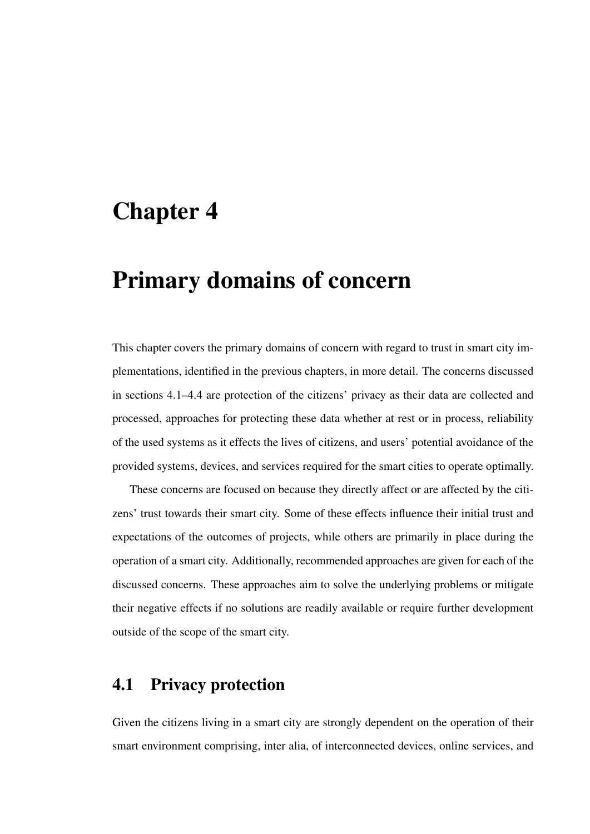# Chapter 4

# Primary domains of concern

This chapter covers the primary domains of concern with regard to trust in smart city implementations, identified in the previous chapters, in more detail. The concerns discussed in sections 4.1–4.4 are protection of the citizens' privacy as their data are collected and processed, approaches for protecting these data whether at rest or in process, reliability of the used systems as it effects the lives of citizens, and users' potential avoidance of the provided systems, devices, and services required for the smart cities to operate optimally.

These concerns are focused on because they directly affect or are affected by the citizens' trust towards their smart city. Some of these effects influence their initial trust and expectations of the outcomes of projects, while others are primarily in place during the operation of a smart city. Additionally, recommended approaches are given for each of the discussed concerns. These approaches aim to solve the underlying problems or mitigate their negative effects if no solutions are readily available or require further development outside of the scope of the smart city.

# 4.1 Privacy protection

Given the citizens living in a smart city are strongly dependent on the operation of their smart environment comprising, inter alia, of interconnected devices, online services, and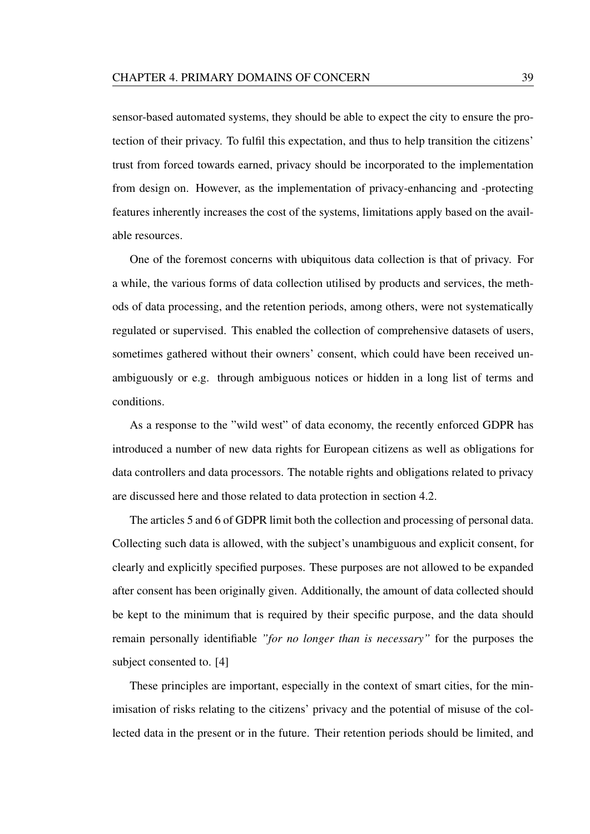sensor-based automated systems, they should be able to expect the city to ensure the protection of their privacy. To fulfil this expectation, and thus to help transition the citizens' trust from forced towards earned, privacy should be incorporated to the implementation from design on. However, as the implementation of privacy-enhancing and -protecting features inherently increases the cost of the systems, limitations apply based on the available resources.

One of the foremost concerns with ubiquitous data collection is that of privacy. For a while, the various forms of data collection utilised by products and services, the methods of data processing, and the retention periods, among others, were not systematically regulated or supervised. This enabled the collection of comprehensive datasets of users, sometimes gathered without their owners' consent, which could have been received unambiguously or e.g. through ambiguous notices or hidden in a long list of terms and conditions.

As a response to the "wild west" of data economy, the recently enforced GDPR has introduced a number of new data rights for European citizens as well as obligations for data controllers and data processors. The notable rights and obligations related to privacy are discussed here and those related to data protection in section 4.2.

The articles 5 and 6 of GDPR limit both the collection and processing of personal data. Collecting such data is allowed, with the subject's unambiguous and explicit consent, for clearly and explicitly specified purposes. These purposes are not allowed to be expanded after consent has been originally given. Additionally, the amount of data collected should be kept to the minimum that is required by their specific purpose, and the data should remain personally identifiable *"for no longer than is necessary"* for the purposes the subject consented to. [4]

These principles are important, especially in the context of smart cities, for the minimisation of risks relating to the citizens' privacy and the potential of misuse of the collected data in the present or in the future. Their retention periods should be limited, and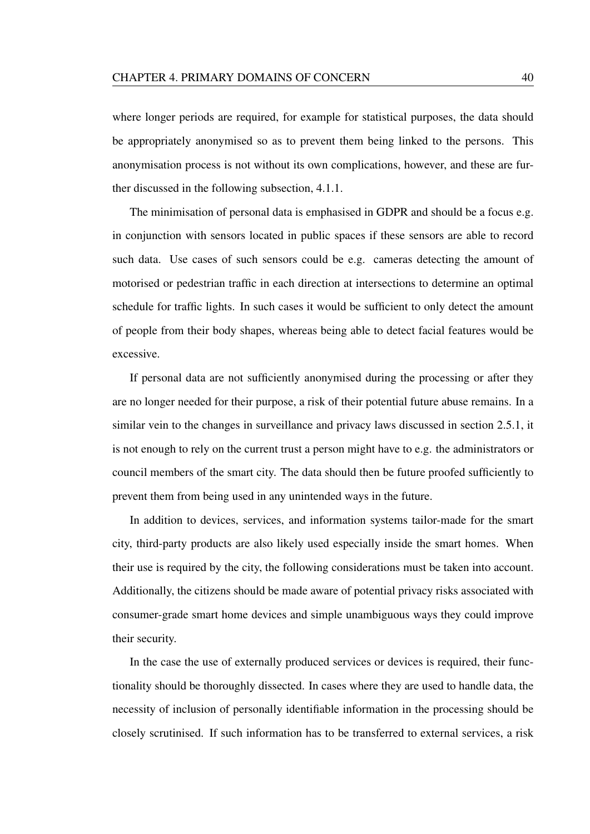where longer periods are required, for example for statistical purposes, the data should be appropriately anonymised so as to prevent them being linked to the persons. This anonymisation process is not without its own complications, however, and these are further discussed in the following subsection, 4.1.1.

The minimisation of personal data is emphasised in GDPR and should be a focus e.g. in conjunction with sensors located in public spaces if these sensors are able to record such data. Use cases of such sensors could be e.g. cameras detecting the amount of motorised or pedestrian traffic in each direction at intersections to determine an optimal schedule for traffic lights. In such cases it would be sufficient to only detect the amount of people from their body shapes, whereas being able to detect facial features would be excessive.

If personal data are not sufficiently anonymised during the processing or after they are no longer needed for their purpose, a risk of their potential future abuse remains. In a similar vein to the changes in surveillance and privacy laws discussed in section 2.5.1, it is not enough to rely on the current trust a person might have to e.g. the administrators or council members of the smart city. The data should then be future proofed sufficiently to prevent them from being used in any unintended ways in the future.

In addition to devices, services, and information systems tailor-made for the smart city, third-party products are also likely used especially inside the smart homes. When their use is required by the city, the following considerations must be taken into account. Additionally, the citizens should be made aware of potential privacy risks associated with consumer-grade smart home devices and simple unambiguous ways they could improve their security.

In the case the use of externally produced services or devices is required, their functionality should be thoroughly dissected. In cases where they are used to handle data, the necessity of inclusion of personally identifiable information in the processing should be closely scrutinised. If such information has to be transferred to external services, a risk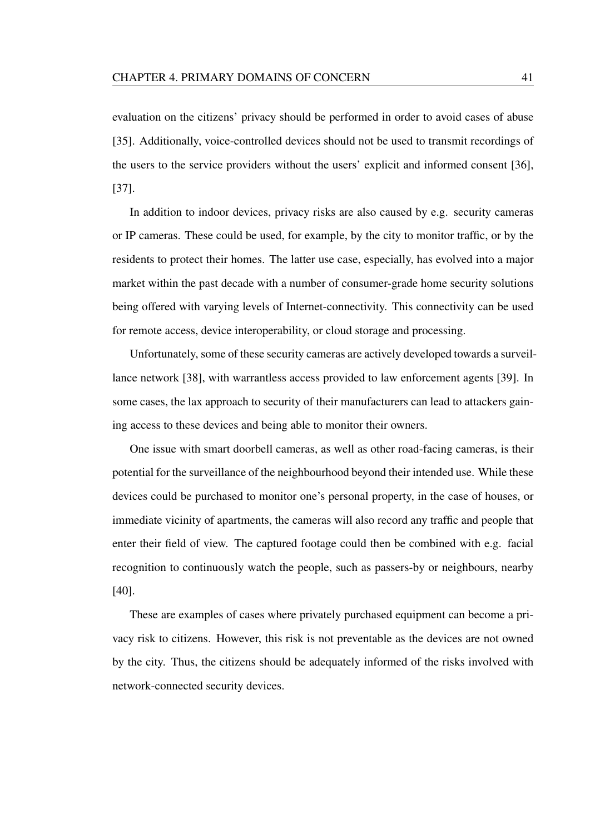evaluation on the citizens' privacy should be performed in order to avoid cases of abuse [35]. Additionally, voice-controlled devices should not be used to transmit recordings of the users to the service providers without the users' explicit and informed consent [36], [37].

In addition to indoor devices, privacy risks are also caused by e.g. security cameras or IP cameras. These could be used, for example, by the city to monitor traffic, or by the residents to protect their homes. The latter use case, especially, has evolved into a major market within the past decade with a number of consumer-grade home security solutions being offered with varying levels of Internet-connectivity. This connectivity can be used for remote access, device interoperability, or cloud storage and processing.

Unfortunately, some of these security cameras are actively developed towards a surveillance network [38], with warrantless access provided to law enforcement agents [39]. In some cases, the lax approach to security of their manufacturers can lead to attackers gaining access to these devices and being able to monitor their owners.

One issue with smart doorbell cameras, as well as other road-facing cameras, is their potential for the surveillance of the neighbourhood beyond their intended use. While these devices could be purchased to monitor one's personal property, in the case of houses, or immediate vicinity of apartments, the cameras will also record any traffic and people that enter their field of view. The captured footage could then be combined with e.g. facial recognition to continuously watch the people, such as passers-by or neighbours, nearby [40].

These are examples of cases where privately purchased equipment can become a privacy risk to citizens. However, this risk is not preventable as the devices are not owned by the city. Thus, the citizens should be adequately informed of the risks involved with network-connected security devices.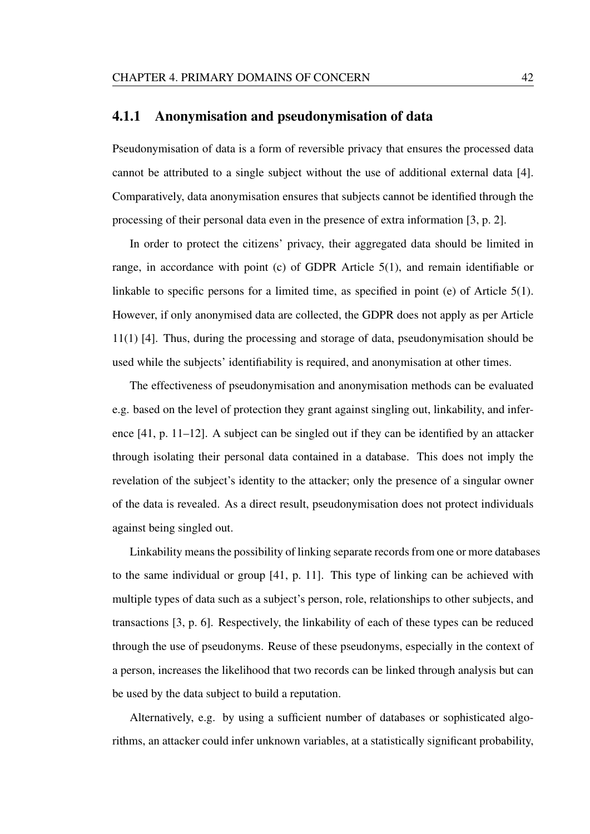### 4.1.1 Anonymisation and pseudonymisation of data

Pseudonymisation of data is a form of reversible privacy that ensures the processed data cannot be attributed to a single subject without the use of additional external data [4]. Comparatively, data anonymisation ensures that subjects cannot be identified through the processing of their personal data even in the presence of extra information [3, p. 2].

In order to protect the citizens' privacy, their aggregated data should be limited in range, in accordance with point (c) of GDPR Article 5(1), and remain identifiable or linkable to specific persons for a limited time, as specified in point (e) of Article 5(1). However, if only anonymised data are collected, the GDPR does not apply as per Article 11(1) [4]. Thus, during the processing and storage of data, pseudonymisation should be used while the subjects' identifiability is required, and anonymisation at other times.

The effectiveness of pseudonymisation and anonymisation methods can be evaluated e.g. based on the level of protection they grant against singling out, linkability, and inference [41, p. 11–12]. A subject can be singled out if they can be identified by an attacker through isolating their personal data contained in a database. This does not imply the revelation of the subject's identity to the attacker; only the presence of a singular owner of the data is revealed. As a direct result, pseudonymisation does not protect individuals against being singled out.

Linkability means the possibility of linking separate records from one or more databases to the same individual or group [41, p. 11]. This type of linking can be achieved with multiple types of data such as a subject's person, role, relationships to other subjects, and transactions [3, p. 6]. Respectively, the linkability of each of these types can be reduced through the use of pseudonyms. Reuse of these pseudonyms, especially in the context of a person, increases the likelihood that two records can be linked through analysis but can be used by the data subject to build a reputation.

Alternatively, e.g. by using a sufficient number of databases or sophisticated algorithms, an attacker could infer unknown variables, at a statistically significant probability,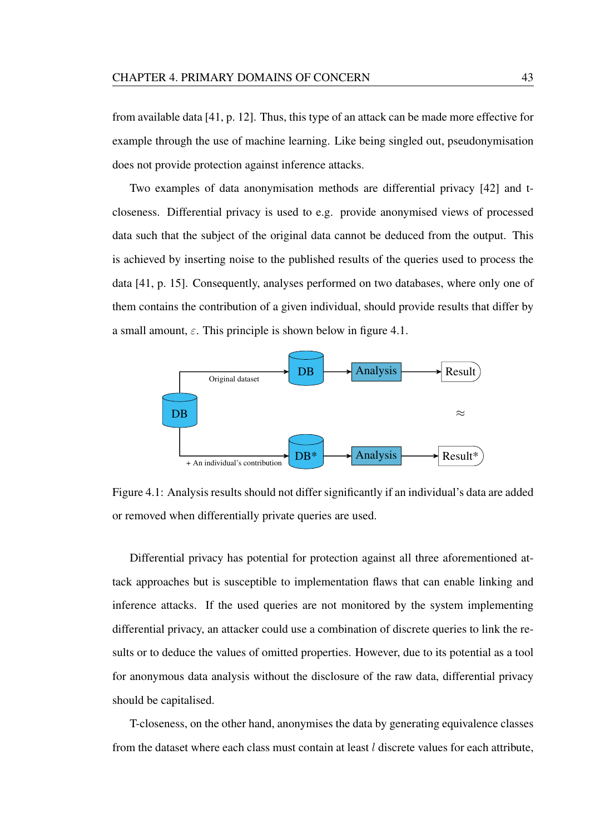from available data [41, p. 12]. Thus, this type of an attack can be made more effective for example through the use of machine learning. Like being singled out, pseudonymisation does not provide protection against inference attacks.

Two examples of data anonymisation methods are differential privacy [42] and tcloseness. Differential privacy is used to e.g. provide anonymised views of processed data such that the subject of the original data cannot be deduced from the output. This is achieved by inserting noise to the published results of the queries used to process the data [41, p. 15]. Consequently, analyses performed on two databases, where only one of them contains the contribution of a given individual, should provide results that differ by a small amount,  $\varepsilon$ . This principle is shown below in figure 4.1.



Figure 4.1: Analysis results should not differ significantly if an individual's data are added or removed when differentially private queries are used.

Differential privacy has potential for protection against all three aforementioned attack approaches but is susceptible to implementation flaws that can enable linking and inference attacks. If the used queries are not monitored by the system implementing differential privacy, an attacker could use a combination of discrete queries to link the results or to deduce the values of omitted properties. However, due to its potential as a tool for anonymous data analysis without the disclosure of the raw data, differential privacy should be capitalised.

T-closeness, on the other hand, anonymises the data by generating equivalence classes from the dataset where each class must contain at least  $l$  discrete values for each attribute,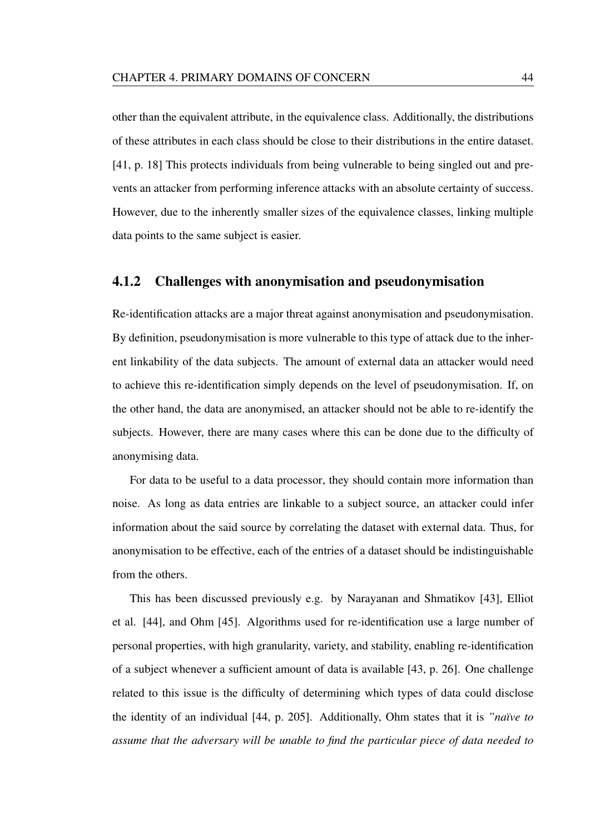other than the equivalent attribute, in the equivalence class. Additionally, the distributions of these attributes in each class should be close to their distributions in the entire dataset. [41, p. 18] This protects individuals from being vulnerable to being singled out and prevents an attacker from performing inference attacks with an absolute certainty of success. However, due to the inherently smaller sizes of the equivalence classes, linking multiple data points to the same subject is easier.

### 4.1.2 Challenges with anonymisation and pseudonymisation

Re-identification attacks are a major threat against anonymisation and pseudonymisation. By definition, pseudonymisation is more vulnerable to this type of attack due to the inherent linkability of the data subjects. The amount of external data an attacker would need to achieve this re-identification simply depends on the level of pseudonymisation. If, on the other hand, the data are anonymised, an attacker should not be able to re-identify the subjects. However, there are many cases where this can be done due to the difficulty of anonymising data.

For data to be useful to a data processor, they should contain more information than noise. As long as data entries are linkable to a subject source, an attacker could infer information about the said source by correlating the dataset with external data. Thus, for anonymisation to be effective, each of the entries of a dataset should be indistinguishable from the others.

This has been discussed previously e.g. by Narayanan and Shmatikov [43], Elliot et al. [44], and Ohm [45]. Algorithms used for re-identification use a large number of personal properties, with high granularity, variety, and stability, enabling re-identification of a subject whenever a sufficient amount of data is available [43, p. 26]. One challenge related to this issue is the difficulty of determining which types of data could disclose the identity of an individual [44, p. 205]. Additionally, Ohm states that it is *"naïve to assume that the adversary will be unable to find the particular piece of data needed to*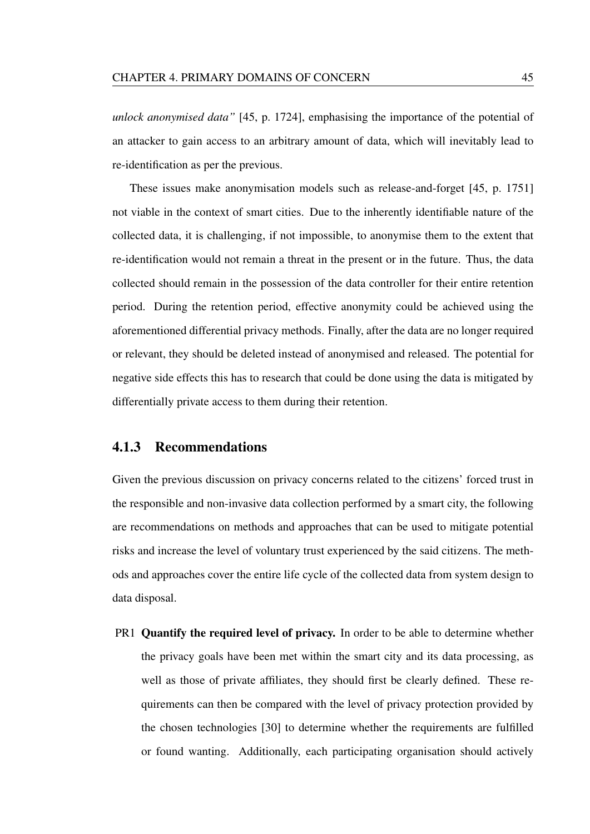*unlock anonymised data"* [45, p. 1724], emphasising the importance of the potential of an attacker to gain access to an arbitrary amount of data, which will inevitably lead to re-identification as per the previous.

These issues make anonymisation models such as release-and-forget [45, p. 1751] not viable in the context of smart cities. Due to the inherently identifiable nature of the collected data, it is challenging, if not impossible, to anonymise them to the extent that re-identification would not remain a threat in the present or in the future. Thus, the data collected should remain in the possession of the data controller for their entire retention period. During the retention period, effective anonymity could be achieved using the aforementioned differential privacy methods. Finally, after the data are no longer required or relevant, they should be deleted instead of anonymised and released. The potential for negative side effects this has to research that could be done using the data is mitigated by differentially private access to them during their retention.

### 4.1.3 Recommendations

Given the previous discussion on privacy concerns related to the citizens' forced trust in the responsible and non-invasive data collection performed by a smart city, the following are recommendations on methods and approaches that can be used to mitigate potential risks and increase the level of voluntary trust experienced by the said citizens. The methods and approaches cover the entire life cycle of the collected data from system design to data disposal.

PR1 Quantify the required level of privacy. In order to be able to determine whether the privacy goals have been met within the smart city and its data processing, as well as those of private affiliates, they should first be clearly defined. These requirements can then be compared with the level of privacy protection provided by the chosen technologies [30] to determine whether the requirements are fulfilled or found wanting. Additionally, each participating organisation should actively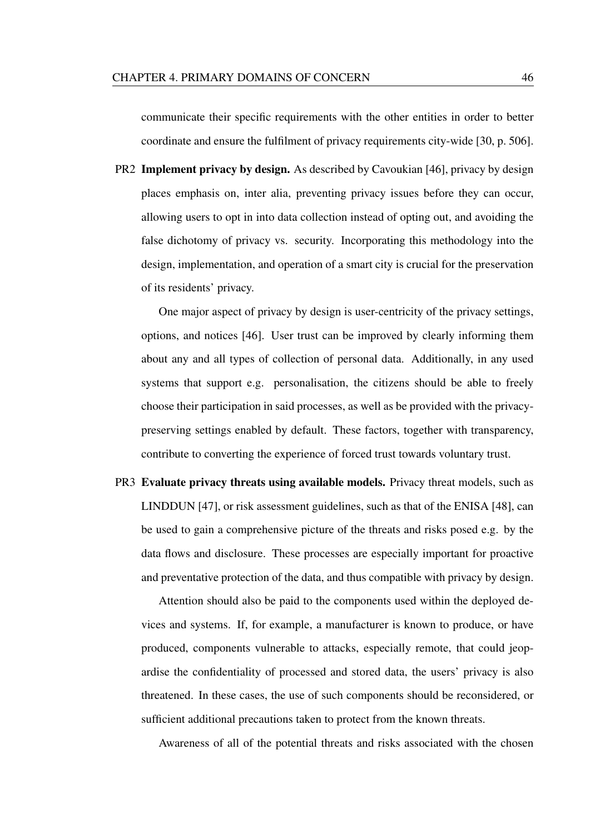communicate their specific requirements with the other entities in order to better coordinate and ensure the fulfilment of privacy requirements city-wide [30, p. 506].

PR2 Implement privacy by design. As described by Cavoukian [46], privacy by design places emphasis on, inter alia, preventing privacy issues before they can occur, allowing users to opt in into data collection instead of opting out, and avoiding the false dichotomy of privacy vs. security. Incorporating this methodology into the design, implementation, and operation of a smart city is crucial for the preservation of its residents' privacy.

One major aspect of privacy by design is user-centricity of the privacy settings, options, and notices [46]. User trust can be improved by clearly informing them about any and all types of collection of personal data. Additionally, in any used systems that support e.g. personalisation, the citizens should be able to freely choose their participation in said processes, as well as be provided with the privacypreserving settings enabled by default. These factors, together with transparency, contribute to converting the experience of forced trust towards voluntary trust.

PR3 Evaluate privacy threats using available models. Privacy threat models, such as LINDDUN [47], or risk assessment guidelines, such as that of the ENISA [48], can be used to gain a comprehensive picture of the threats and risks posed e.g. by the data flows and disclosure. These processes are especially important for proactive and preventative protection of the data, and thus compatible with privacy by design.

Attention should also be paid to the components used within the deployed devices and systems. If, for example, a manufacturer is known to produce, or have produced, components vulnerable to attacks, especially remote, that could jeopardise the confidentiality of processed and stored data, the users' privacy is also threatened. In these cases, the use of such components should be reconsidered, or sufficient additional precautions taken to protect from the known threats.

Awareness of all of the potential threats and risks associated with the chosen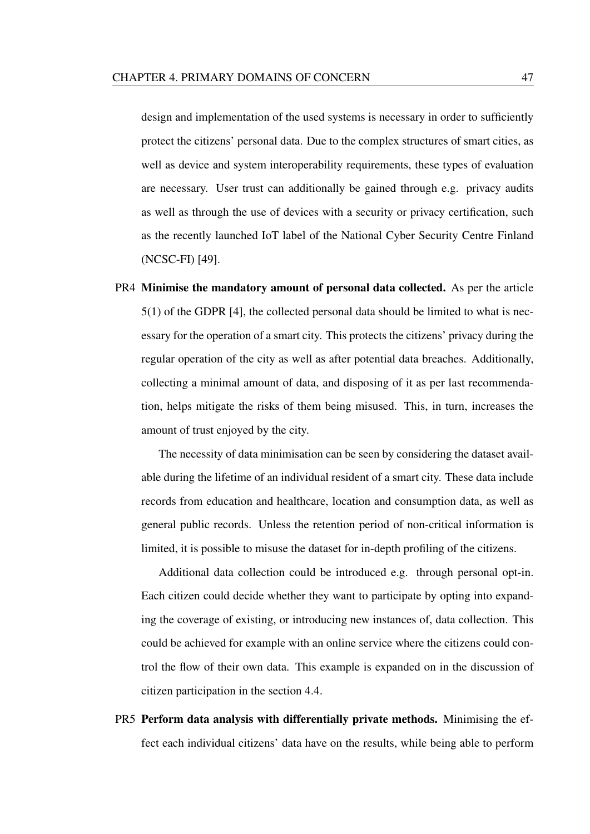design and implementation of the used systems is necessary in order to sufficiently protect the citizens' personal data. Due to the complex structures of smart cities, as well as device and system interoperability requirements, these types of evaluation are necessary. User trust can additionally be gained through e.g. privacy audits as well as through the use of devices with a security or privacy certification, such as the recently launched IoT label of the National Cyber Security Centre Finland (NCSC-FI) [49].

PR4 Minimise the mandatory amount of personal data collected. As per the article 5(1) of the GDPR [4], the collected personal data should be limited to what is necessary for the operation of a smart city. This protects the citizens' privacy during the regular operation of the city as well as after potential data breaches. Additionally, collecting a minimal amount of data, and disposing of it as per last recommendation, helps mitigate the risks of them being misused. This, in turn, increases the amount of trust enjoyed by the city.

The necessity of data minimisation can be seen by considering the dataset available during the lifetime of an individual resident of a smart city. These data include records from education and healthcare, location and consumption data, as well as general public records. Unless the retention period of non-critical information is limited, it is possible to misuse the dataset for in-depth profiling of the citizens.

Additional data collection could be introduced e.g. through personal opt-in. Each citizen could decide whether they want to participate by opting into expanding the coverage of existing, or introducing new instances of, data collection. This could be achieved for example with an online service where the citizens could control the flow of their own data. This example is expanded on in the discussion of citizen participation in the section 4.4.

PR5 Perform data analysis with differentially private methods. Minimising the effect each individual citizens' data have on the results, while being able to perform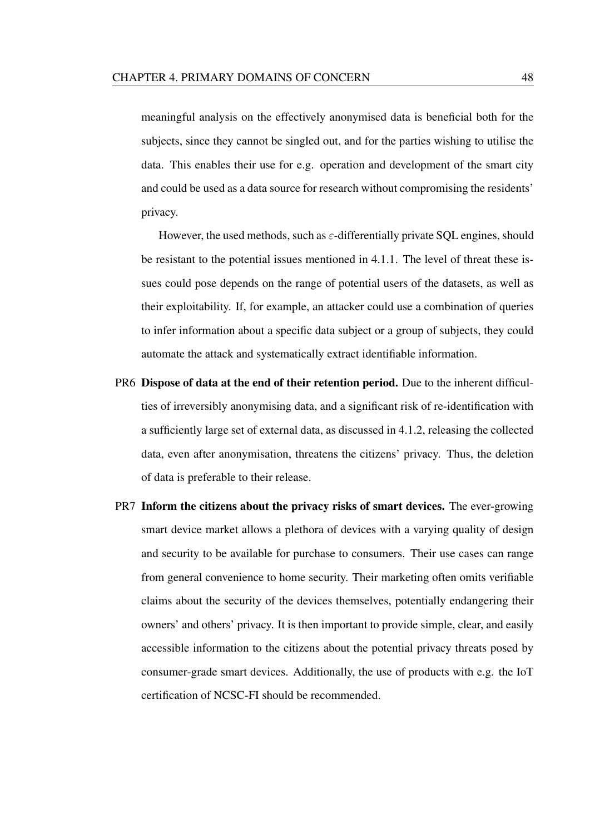meaningful analysis on the effectively anonymised data is beneficial both for the subjects, since they cannot be singled out, and for the parties wishing to utilise the data. This enables their use for e.g. operation and development of the smart city and could be used as a data source for research without compromising the residents' privacy.

However, the used methods, such as  $\varepsilon$ -differentially private SQL engines, should be resistant to the potential issues mentioned in 4.1.1. The level of threat these issues could pose depends on the range of potential users of the datasets, as well as their exploitability. If, for example, an attacker could use a combination of queries to infer information about a specific data subject or a group of subjects, they could automate the attack and systematically extract identifiable information.

- PR6 Dispose of data at the end of their retention period. Due to the inherent difficulties of irreversibly anonymising data, and a significant risk of re-identification with a sufficiently large set of external data, as discussed in 4.1.2, releasing the collected data, even after anonymisation, threatens the citizens' privacy. Thus, the deletion of data is preferable to their release.
- PR7 Inform the citizens about the privacy risks of smart devices. The ever-growing smart device market allows a plethora of devices with a varying quality of design and security to be available for purchase to consumers. Their use cases can range from general convenience to home security. Their marketing often omits verifiable claims about the security of the devices themselves, potentially endangering their owners' and others' privacy. It is then important to provide simple, clear, and easily accessible information to the citizens about the potential privacy threats posed by consumer-grade smart devices. Additionally, the use of products with e.g. the IoT certification of NCSC-FI should be recommended.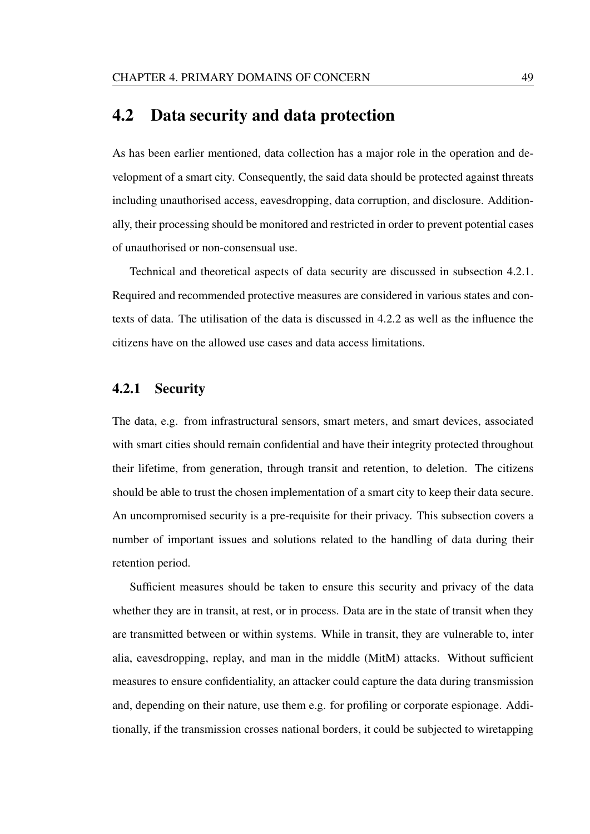# 4.2 Data security and data protection

As has been earlier mentioned, data collection has a major role in the operation and development of a smart city. Consequently, the said data should be protected against threats including unauthorised access, eavesdropping, data corruption, and disclosure. Additionally, their processing should be monitored and restricted in order to prevent potential cases of unauthorised or non-consensual use.

Technical and theoretical aspects of data security are discussed in subsection 4.2.1. Required and recommended protective measures are considered in various states and contexts of data. The utilisation of the data is discussed in 4.2.2 as well as the influence the citizens have on the allowed use cases and data access limitations.

### 4.2.1 Security

The data, e.g. from infrastructural sensors, smart meters, and smart devices, associated with smart cities should remain confidential and have their integrity protected throughout their lifetime, from generation, through transit and retention, to deletion. The citizens should be able to trust the chosen implementation of a smart city to keep their data secure. An uncompromised security is a pre-requisite for their privacy. This subsection covers a number of important issues and solutions related to the handling of data during their retention period.

Sufficient measures should be taken to ensure this security and privacy of the data whether they are in transit, at rest, or in process. Data are in the state of transit when they are transmitted between or within systems. While in transit, they are vulnerable to, inter alia, eavesdropping, replay, and man in the middle (MitM) attacks. Without sufficient measures to ensure confidentiality, an attacker could capture the data during transmission and, depending on their nature, use them e.g. for profiling or corporate espionage. Additionally, if the transmission crosses national borders, it could be subjected to wiretapping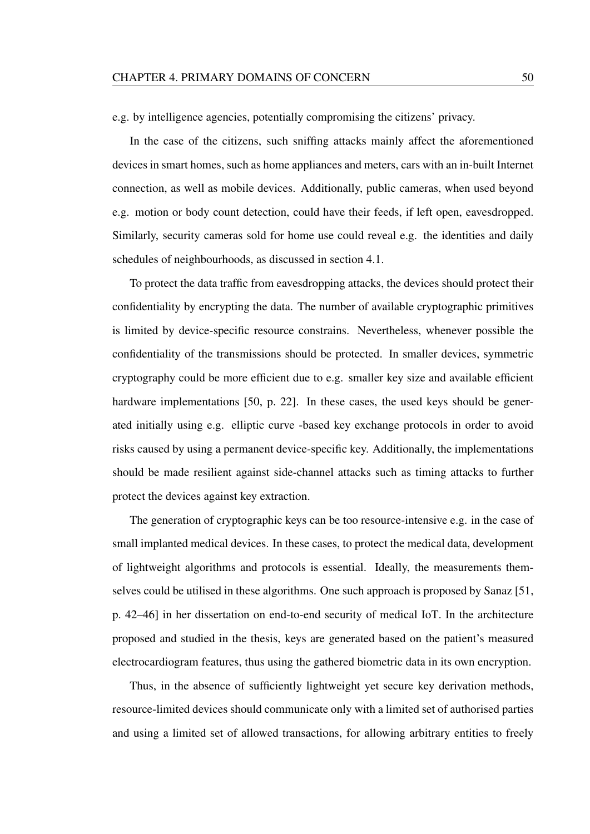e.g. by intelligence agencies, potentially compromising the citizens' privacy.

In the case of the citizens, such sniffing attacks mainly affect the aforementioned devices in smart homes, such as home appliances and meters, cars with an in-built Internet connection, as well as mobile devices. Additionally, public cameras, when used beyond e.g. motion or body count detection, could have their feeds, if left open, eavesdropped. Similarly, security cameras sold for home use could reveal e.g. the identities and daily schedules of neighbourhoods, as discussed in section 4.1.

To protect the data traffic from eavesdropping attacks, the devices should protect their confidentiality by encrypting the data. The number of available cryptographic primitives is limited by device-specific resource constrains. Nevertheless, whenever possible the confidentiality of the transmissions should be protected. In smaller devices, symmetric cryptography could be more efficient due to e.g. smaller key size and available efficient hardware implementations [50, p. 22]. In these cases, the used keys should be generated initially using e.g. elliptic curve -based key exchange protocols in order to avoid risks caused by using a permanent device-specific key. Additionally, the implementations should be made resilient against side-channel attacks such as timing attacks to further protect the devices against key extraction.

The generation of cryptographic keys can be too resource-intensive e.g. in the case of small implanted medical devices. In these cases, to protect the medical data, development of lightweight algorithms and protocols is essential. Ideally, the measurements themselves could be utilised in these algorithms. One such approach is proposed by Sanaz [51, p. 42–46] in her dissertation on end-to-end security of medical IoT. In the architecture proposed and studied in the thesis, keys are generated based on the patient's measured electrocardiogram features, thus using the gathered biometric data in its own encryption.

Thus, in the absence of sufficiently lightweight yet secure key derivation methods, resource-limited devices should communicate only with a limited set of authorised parties and using a limited set of allowed transactions, for allowing arbitrary entities to freely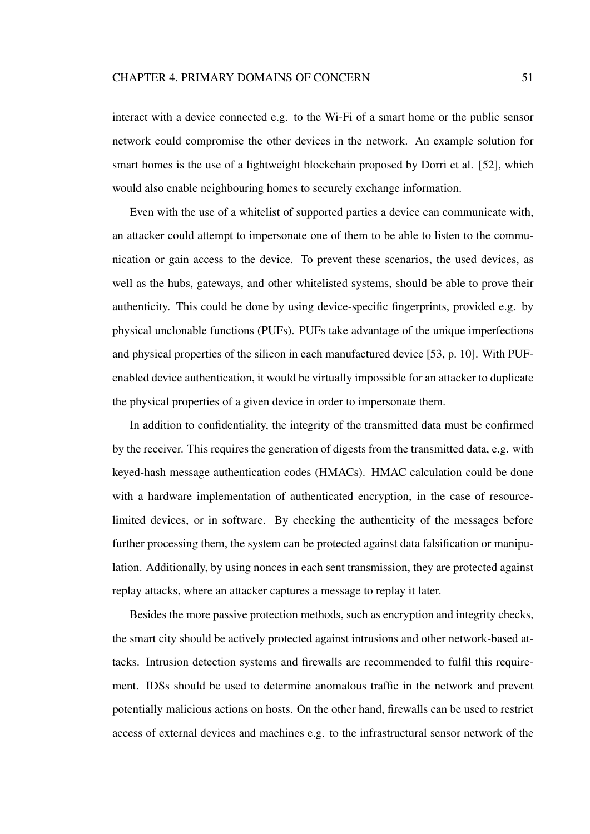interact with a device connected e.g. to the Wi-Fi of a smart home or the public sensor network could compromise the other devices in the network. An example solution for smart homes is the use of a lightweight blockchain proposed by Dorri et al. [52], which would also enable neighbouring homes to securely exchange information.

Even with the use of a whitelist of supported parties a device can communicate with, an attacker could attempt to impersonate one of them to be able to listen to the communication or gain access to the device. To prevent these scenarios, the used devices, as well as the hubs, gateways, and other whitelisted systems, should be able to prove their authenticity. This could be done by using device-specific fingerprints, provided e.g. by physical unclonable functions (PUFs). PUFs take advantage of the unique imperfections and physical properties of the silicon in each manufactured device [53, p. 10]. With PUFenabled device authentication, it would be virtually impossible for an attacker to duplicate the physical properties of a given device in order to impersonate them.

In addition to confidentiality, the integrity of the transmitted data must be confirmed by the receiver. This requires the generation of digests from the transmitted data, e.g. with keyed-hash message authentication codes (HMACs). HMAC calculation could be done with a hardware implementation of authenticated encryption, in the case of resourcelimited devices, or in software. By checking the authenticity of the messages before further processing them, the system can be protected against data falsification or manipulation. Additionally, by using nonces in each sent transmission, they are protected against replay attacks, where an attacker captures a message to replay it later.

Besides the more passive protection methods, such as encryption and integrity checks, the smart city should be actively protected against intrusions and other network-based attacks. Intrusion detection systems and firewalls are recommended to fulfil this requirement. IDSs should be used to determine anomalous traffic in the network and prevent potentially malicious actions on hosts. On the other hand, firewalls can be used to restrict access of external devices and machines e.g. to the infrastructural sensor network of the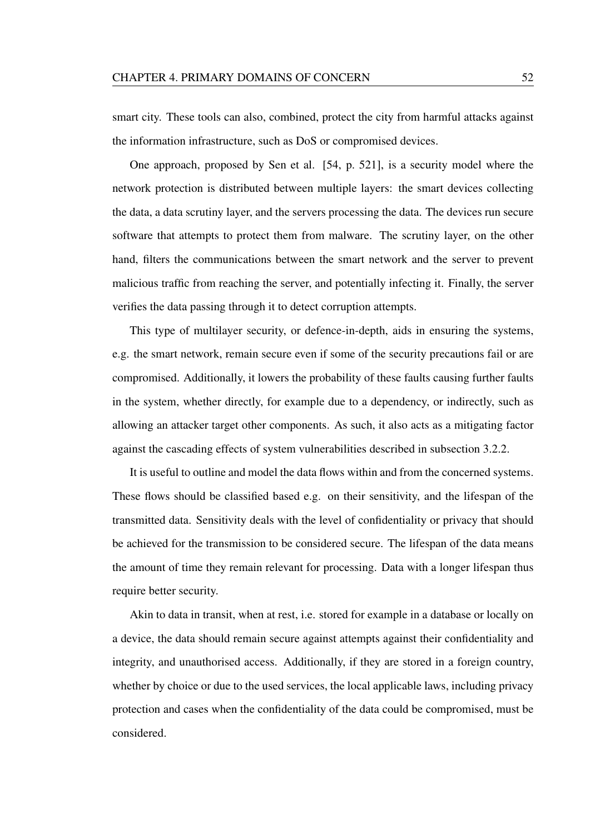smart city. These tools can also, combined, protect the city from harmful attacks against the information infrastructure, such as DoS or compromised devices.

One approach, proposed by Sen et al. [54, p. 521], is a security model where the network protection is distributed between multiple layers: the smart devices collecting the data, a data scrutiny layer, and the servers processing the data. The devices run secure software that attempts to protect them from malware. The scrutiny layer, on the other hand, filters the communications between the smart network and the server to prevent malicious traffic from reaching the server, and potentially infecting it. Finally, the server verifies the data passing through it to detect corruption attempts.

This type of multilayer security, or defence-in-depth, aids in ensuring the systems, e.g. the smart network, remain secure even if some of the security precautions fail or are compromised. Additionally, it lowers the probability of these faults causing further faults in the system, whether directly, for example due to a dependency, or indirectly, such as allowing an attacker target other components. As such, it also acts as a mitigating factor against the cascading effects of system vulnerabilities described in subsection 3.2.2.

It is useful to outline and model the data flows within and from the concerned systems. These flows should be classified based e.g. on their sensitivity, and the lifespan of the transmitted data. Sensitivity deals with the level of confidentiality or privacy that should be achieved for the transmission to be considered secure. The lifespan of the data means the amount of time they remain relevant for processing. Data with a longer lifespan thus require better security.

Akin to data in transit, when at rest, i.e. stored for example in a database or locally on a device, the data should remain secure against attempts against their confidentiality and integrity, and unauthorised access. Additionally, if they are stored in a foreign country, whether by choice or due to the used services, the local applicable laws, including privacy protection and cases when the confidentiality of the data could be compromised, must be considered.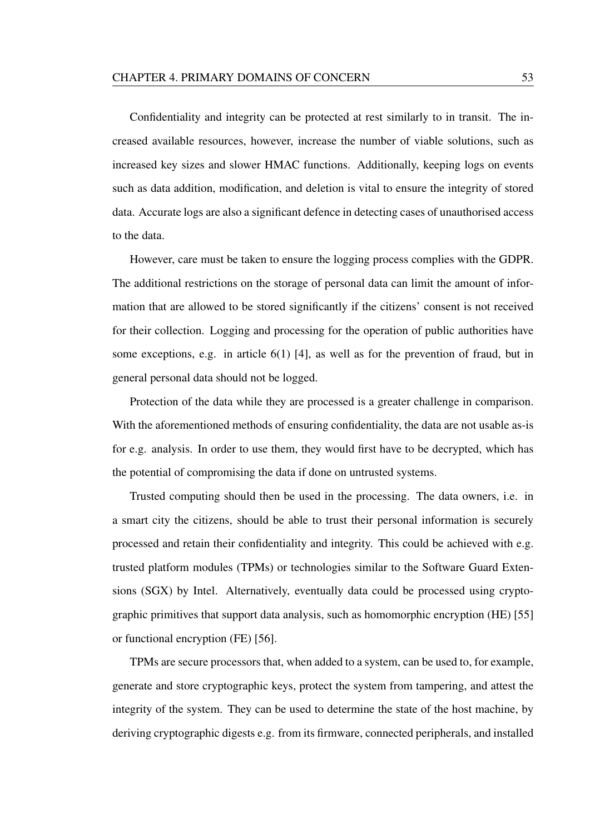Confidentiality and integrity can be protected at rest similarly to in transit. The increased available resources, however, increase the number of viable solutions, such as increased key sizes and slower HMAC functions. Additionally, keeping logs on events such as data addition, modification, and deletion is vital to ensure the integrity of stored data. Accurate logs are also a significant defence in detecting cases of unauthorised access to the data.

However, care must be taken to ensure the logging process complies with the GDPR. The additional restrictions on the storage of personal data can limit the amount of information that are allowed to be stored significantly if the citizens' consent is not received for their collection. Logging and processing for the operation of public authorities have some exceptions, e.g. in article 6(1) [4], as well as for the prevention of fraud, but in general personal data should not be logged.

Protection of the data while they are processed is a greater challenge in comparison. With the aforementioned methods of ensuring confidentiality, the data are not usable as-is for e.g. analysis. In order to use them, they would first have to be decrypted, which has the potential of compromising the data if done on untrusted systems.

Trusted computing should then be used in the processing. The data owners, i.e. in a smart city the citizens, should be able to trust their personal information is securely processed and retain their confidentiality and integrity. This could be achieved with e.g. trusted platform modules (TPMs) or technologies similar to the Software Guard Extensions (SGX) by Intel. Alternatively, eventually data could be processed using cryptographic primitives that support data analysis, such as homomorphic encryption (HE) [55] or functional encryption (FE) [56].

TPMs are secure processors that, when added to a system, can be used to, for example, generate and store cryptographic keys, protect the system from tampering, and attest the integrity of the system. They can be used to determine the state of the host machine, by deriving cryptographic digests e.g. from its firmware, connected peripherals, and installed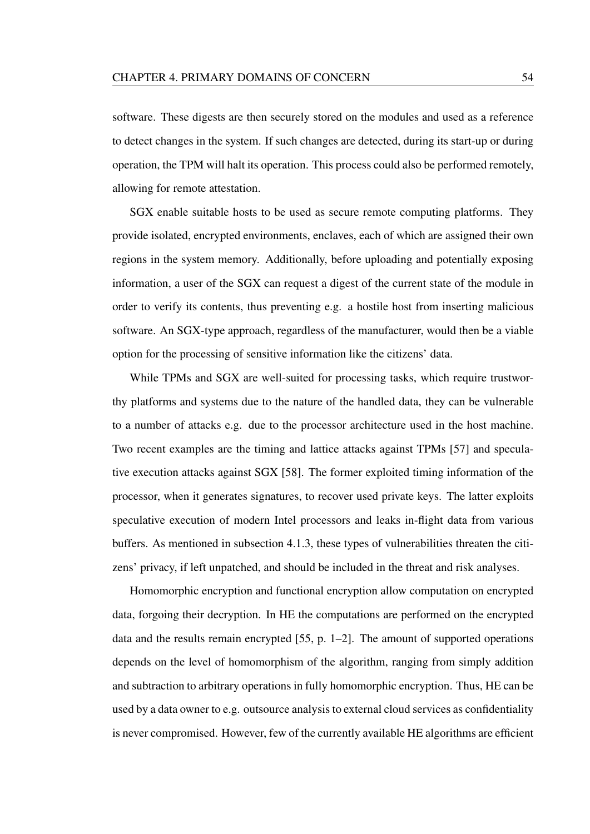software. These digests are then securely stored on the modules and used as a reference to detect changes in the system. If such changes are detected, during its start-up or during operation, the TPM will halt its operation. This process could also be performed remotely, allowing for remote attestation.

SGX enable suitable hosts to be used as secure remote computing platforms. They provide isolated, encrypted environments, enclaves, each of which are assigned their own regions in the system memory. Additionally, before uploading and potentially exposing information, a user of the SGX can request a digest of the current state of the module in order to verify its contents, thus preventing e.g. a hostile host from inserting malicious software. An SGX-type approach, regardless of the manufacturer, would then be a viable option for the processing of sensitive information like the citizens' data.

While TPMs and SGX are well-suited for processing tasks, which require trustworthy platforms and systems due to the nature of the handled data, they can be vulnerable to a number of attacks e.g. due to the processor architecture used in the host machine. Two recent examples are the timing and lattice attacks against TPMs [57] and speculative execution attacks against SGX [58]. The former exploited timing information of the processor, when it generates signatures, to recover used private keys. The latter exploits speculative execution of modern Intel processors and leaks in-flight data from various buffers. As mentioned in subsection 4.1.3, these types of vulnerabilities threaten the citizens' privacy, if left unpatched, and should be included in the threat and risk analyses.

Homomorphic encryption and functional encryption allow computation on encrypted data, forgoing their decryption. In HE the computations are performed on the encrypted data and the results remain encrypted [55, p. 1–2]. The amount of supported operations depends on the level of homomorphism of the algorithm, ranging from simply addition and subtraction to arbitrary operations in fully homomorphic encryption. Thus, HE can be used by a data owner to e.g. outsource analysis to external cloud services as confidentiality is never compromised. However, few of the currently available HE algorithms are efficient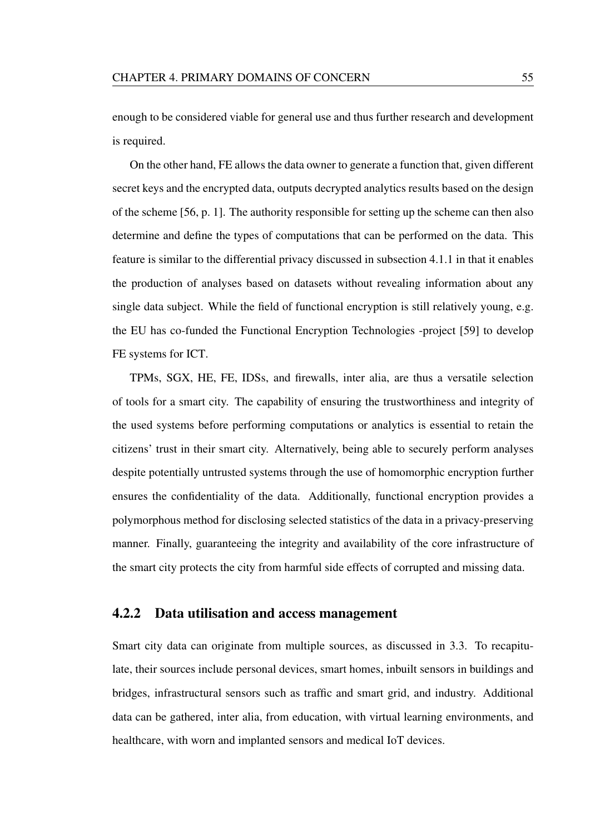enough to be considered viable for general use and thus further research and development is required.

On the other hand, FE allows the data owner to generate a function that, given different secret keys and the encrypted data, outputs decrypted analytics results based on the design of the scheme [56, p. 1]. The authority responsible for setting up the scheme can then also determine and define the types of computations that can be performed on the data. This feature is similar to the differential privacy discussed in subsection 4.1.1 in that it enables the production of analyses based on datasets without revealing information about any single data subject. While the field of functional encryption is still relatively young, e.g. the EU has co-funded the Functional Encryption Technologies -project [59] to develop FE systems for ICT.

TPMs, SGX, HE, FE, IDSs, and firewalls, inter alia, are thus a versatile selection of tools for a smart city. The capability of ensuring the trustworthiness and integrity of the used systems before performing computations or analytics is essential to retain the citizens' trust in their smart city. Alternatively, being able to securely perform analyses despite potentially untrusted systems through the use of homomorphic encryption further ensures the confidentiality of the data. Additionally, functional encryption provides a polymorphous method for disclosing selected statistics of the data in a privacy-preserving manner. Finally, guaranteeing the integrity and availability of the core infrastructure of the smart city protects the city from harmful side effects of corrupted and missing data.

### 4.2.2 Data utilisation and access management

Smart city data can originate from multiple sources, as discussed in 3.3. To recapitulate, their sources include personal devices, smart homes, inbuilt sensors in buildings and bridges, infrastructural sensors such as traffic and smart grid, and industry. Additional data can be gathered, inter alia, from education, with virtual learning environments, and healthcare, with worn and implanted sensors and medical IoT devices.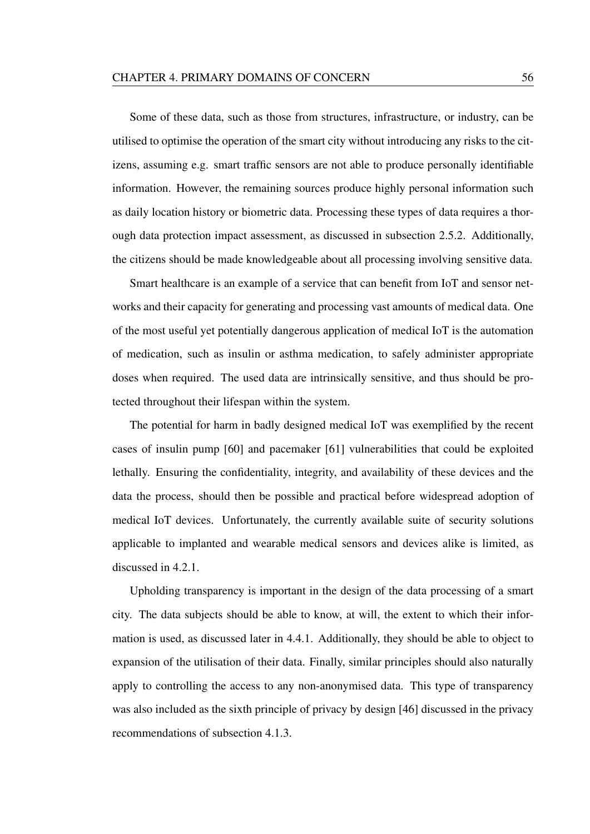Some of these data, such as those from structures, infrastructure, or industry, can be utilised to optimise the operation of the smart city without introducing any risks to the citizens, assuming e.g. smart traffic sensors are not able to produce personally identifiable information. However, the remaining sources produce highly personal information such as daily location history or biometric data. Processing these types of data requires a thorough data protection impact assessment, as discussed in subsection 2.5.2. Additionally, the citizens should be made knowledgeable about all processing involving sensitive data.

Smart healthcare is an example of a service that can benefit from IoT and sensor networks and their capacity for generating and processing vast amounts of medical data. One of the most useful yet potentially dangerous application of medical IoT is the automation of medication, such as insulin or asthma medication, to safely administer appropriate doses when required. The used data are intrinsically sensitive, and thus should be protected throughout their lifespan within the system.

The potential for harm in badly designed medical IoT was exemplified by the recent cases of insulin pump [60] and pacemaker [61] vulnerabilities that could be exploited lethally. Ensuring the confidentiality, integrity, and availability of these devices and the data the process, should then be possible and practical before widespread adoption of medical IoT devices. Unfortunately, the currently available suite of security solutions applicable to implanted and wearable medical sensors and devices alike is limited, as discussed in 4.2.1.

Upholding transparency is important in the design of the data processing of a smart city. The data subjects should be able to know, at will, the extent to which their information is used, as discussed later in 4.4.1. Additionally, they should be able to object to expansion of the utilisation of their data. Finally, similar principles should also naturally apply to controlling the access to any non-anonymised data. This type of transparency was also included as the sixth principle of privacy by design [46] discussed in the privacy recommendations of subsection 4.1.3.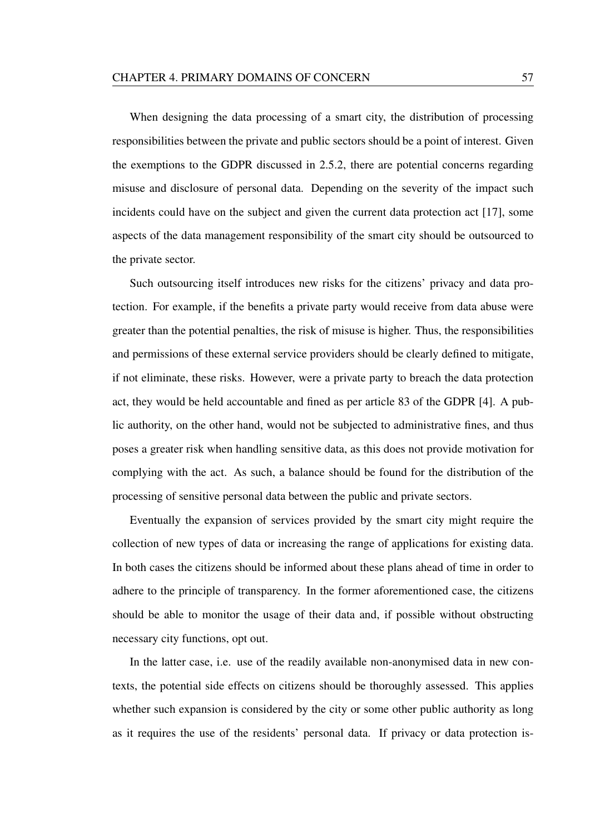When designing the data processing of a smart city, the distribution of processing responsibilities between the private and public sectors should be a point of interest. Given the exemptions to the GDPR discussed in 2.5.2, there are potential concerns regarding misuse and disclosure of personal data. Depending on the severity of the impact such incidents could have on the subject and given the current data protection act [17], some aspects of the data management responsibility of the smart city should be outsourced to the private sector.

Such outsourcing itself introduces new risks for the citizens' privacy and data protection. For example, if the benefits a private party would receive from data abuse were greater than the potential penalties, the risk of misuse is higher. Thus, the responsibilities and permissions of these external service providers should be clearly defined to mitigate, if not eliminate, these risks. However, were a private party to breach the data protection act, they would be held accountable and fined as per article 83 of the GDPR [4]. A public authority, on the other hand, would not be subjected to administrative fines, and thus poses a greater risk when handling sensitive data, as this does not provide motivation for complying with the act. As such, a balance should be found for the distribution of the processing of sensitive personal data between the public and private sectors.

Eventually the expansion of services provided by the smart city might require the collection of new types of data or increasing the range of applications for existing data. In both cases the citizens should be informed about these plans ahead of time in order to adhere to the principle of transparency. In the former aforementioned case, the citizens should be able to monitor the usage of their data and, if possible without obstructing necessary city functions, opt out.

In the latter case, i.e. use of the readily available non-anonymised data in new contexts, the potential side effects on citizens should be thoroughly assessed. This applies whether such expansion is considered by the city or some other public authority as long as it requires the use of the residents' personal data. If privacy or data protection is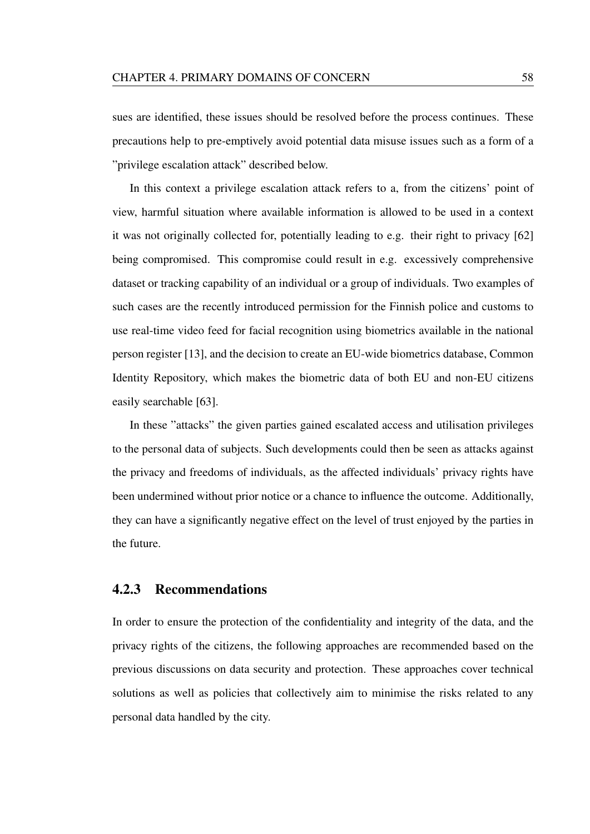sues are identified, these issues should be resolved before the process continues. These precautions help to pre-emptively avoid potential data misuse issues such as a form of a "privilege escalation attack" described below.

In this context a privilege escalation attack refers to a, from the citizens' point of view, harmful situation where available information is allowed to be used in a context it was not originally collected for, potentially leading to e.g. their right to privacy [62] being compromised. This compromise could result in e.g. excessively comprehensive dataset or tracking capability of an individual or a group of individuals. Two examples of such cases are the recently introduced permission for the Finnish police and customs to use real-time video feed for facial recognition using biometrics available in the national person register [13], and the decision to create an EU-wide biometrics database, Common Identity Repository, which makes the biometric data of both EU and non-EU citizens easily searchable [63].

In these "attacks" the given parties gained escalated access and utilisation privileges to the personal data of subjects. Such developments could then be seen as attacks against the privacy and freedoms of individuals, as the affected individuals' privacy rights have been undermined without prior notice or a chance to influence the outcome. Additionally, they can have a significantly negative effect on the level of trust enjoyed by the parties in the future.

### 4.2.3 Recommendations

In order to ensure the protection of the confidentiality and integrity of the data, and the privacy rights of the citizens, the following approaches are recommended based on the previous discussions on data security and protection. These approaches cover technical solutions as well as policies that collectively aim to minimise the risks related to any personal data handled by the city.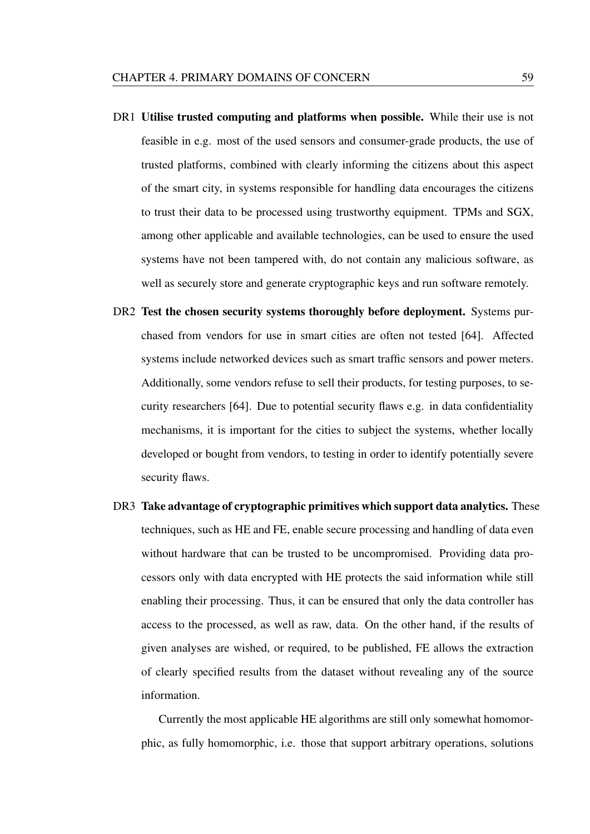- DR1 Utilise trusted computing and platforms when possible. While their use is not feasible in e.g. most of the used sensors and consumer-grade products, the use of trusted platforms, combined with clearly informing the citizens about this aspect of the smart city, in systems responsible for handling data encourages the citizens to trust their data to be processed using trustworthy equipment. TPMs and SGX, among other applicable and available technologies, can be used to ensure the used systems have not been tampered with, do not contain any malicious software, as well as securely store and generate cryptographic keys and run software remotely.
- DR2 Test the chosen security systems thoroughly before deployment. Systems purchased from vendors for use in smart cities are often not tested [64]. Affected systems include networked devices such as smart traffic sensors and power meters. Additionally, some vendors refuse to sell their products, for testing purposes, to security researchers [64]. Due to potential security flaws e.g. in data confidentiality mechanisms, it is important for the cities to subject the systems, whether locally developed or bought from vendors, to testing in order to identify potentially severe security flaws.
- DR3 Take advantage of cryptographic primitives which support data analytics. These techniques, such as HE and FE, enable secure processing and handling of data even without hardware that can be trusted to be uncompromised. Providing data processors only with data encrypted with HE protects the said information while still enabling their processing. Thus, it can be ensured that only the data controller has access to the processed, as well as raw, data. On the other hand, if the results of given analyses are wished, or required, to be published, FE allows the extraction of clearly specified results from the dataset without revealing any of the source information.

Currently the most applicable HE algorithms are still only somewhat homomorphic, as fully homomorphic, i.e. those that support arbitrary operations, solutions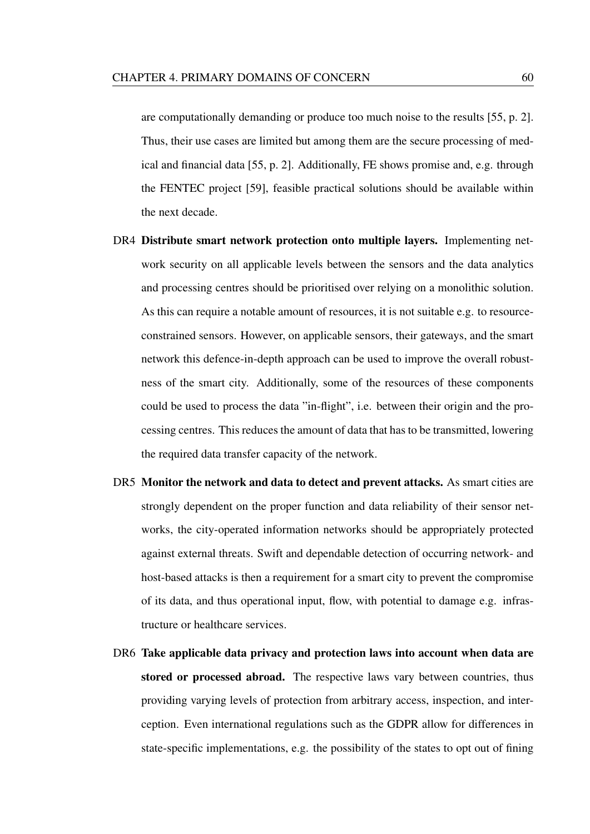are computationally demanding or produce too much noise to the results [55, p. 2]. Thus, their use cases are limited but among them are the secure processing of medical and financial data [55, p. 2]. Additionally, FE shows promise and, e.g. through the FENTEC project [59], feasible practical solutions should be available within the next decade.

- DR4 Distribute smart network protection onto multiple layers. Implementing network security on all applicable levels between the sensors and the data analytics and processing centres should be prioritised over relying on a monolithic solution. As this can require a notable amount of resources, it is not suitable e.g. to resourceconstrained sensors. However, on applicable sensors, their gateways, and the smart network this defence-in-depth approach can be used to improve the overall robustness of the smart city. Additionally, some of the resources of these components could be used to process the data "in-flight", i.e. between their origin and the processing centres. This reduces the amount of data that has to be transmitted, lowering the required data transfer capacity of the network.
- DR5 Monitor the network and data to detect and prevent attacks. As smart cities are strongly dependent on the proper function and data reliability of their sensor networks, the city-operated information networks should be appropriately protected against external threats. Swift and dependable detection of occurring network- and host-based attacks is then a requirement for a smart city to prevent the compromise of its data, and thus operational input, flow, with potential to damage e.g. infrastructure or healthcare services.
- DR6 Take applicable data privacy and protection laws into account when data are stored or processed abroad. The respective laws vary between countries, thus providing varying levels of protection from arbitrary access, inspection, and interception. Even international regulations such as the GDPR allow for differences in state-specific implementations, e.g. the possibility of the states to opt out of fining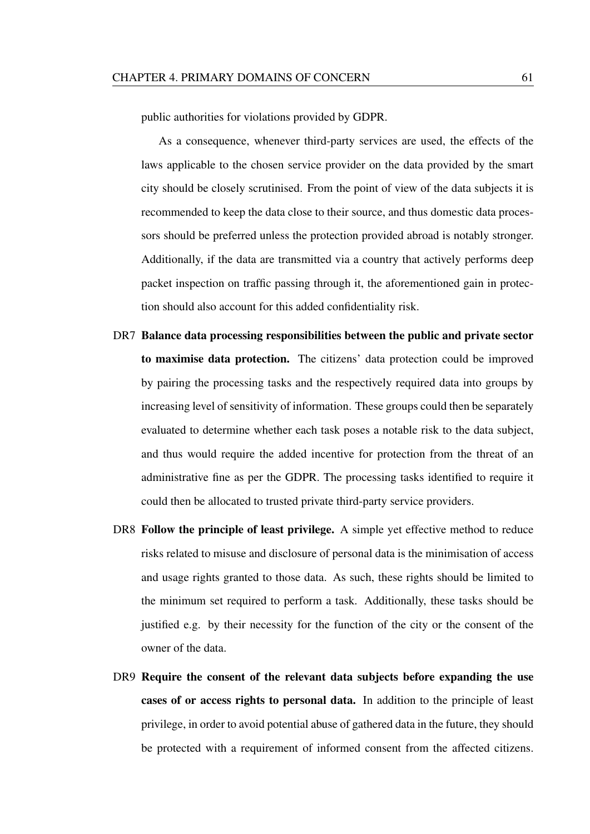public authorities for violations provided by GDPR.

As a consequence, whenever third-party services are used, the effects of the laws applicable to the chosen service provider on the data provided by the smart city should be closely scrutinised. From the point of view of the data subjects it is recommended to keep the data close to their source, and thus domestic data processors should be preferred unless the protection provided abroad is notably stronger. Additionally, if the data are transmitted via a country that actively performs deep packet inspection on traffic passing through it, the aforementioned gain in protection should also account for this added confidentiality risk.

- DR7 Balance data processing responsibilities between the public and private sector to maximise data protection. The citizens' data protection could be improved by pairing the processing tasks and the respectively required data into groups by increasing level of sensitivity of information. These groups could then be separately evaluated to determine whether each task poses a notable risk to the data subject, and thus would require the added incentive for protection from the threat of an administrative fine as per the GDPR. The processing tasks identified to require it could then be allocated to trusted private third-party service providers.
- DR8 Follow the principle of least privilege. A simple yet effective method to reduce risks related to misuse and disclosure of personal data is the minimisation of access and usage rights granted to those data. As such, these rights should be limited to the minimum set required to perform a task. Additionally, these tasks should be justified e.g. by their necessity for the function of the city or the consent of the owner of the data.
- DR9 Require the consent of the relevant data subjects before expanding the use cases of or access rights to personal data. In addition to the principle of least privilege, in order to avoid potential abuse of gathered data in the future, they should be protected with a requirement of informed consent from the affected citizens.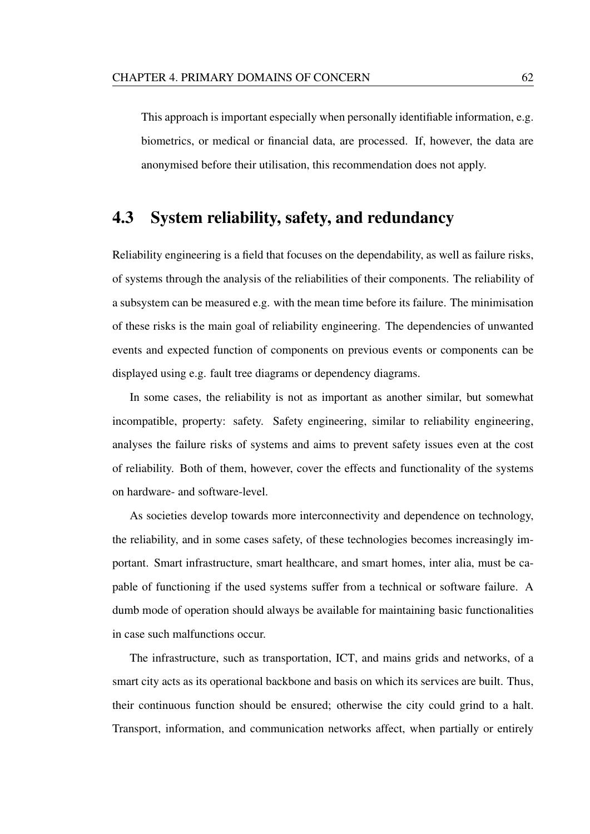This approach is important especially when personally identifiable information, e.g. biometrics, or medical or financial data, are processed. If, however, the data are anonymised before their utilisation, this recommendation does not apply.

# 4.3 System reliability, safety, and redundancy

Reliability engineering is a field that focuses on the dependability, as well as failure risks, of systems through the analysis of the reliabilities of their components. The reliability of a subsystem can be measured e.g. with the mean time before its failure. The minimisation of these risks is the main goal of reliability engineering. The dependencies of unwanted events and expected function of components on previous events or components can be displayed using e.g. fault tree diagrams or dependency diagrams.

In some cases, the reliability is not as important as another similar, but somewhat incompatible, property: safety. Safety engineering, similar to reliability engineering, analyses the failure risks of systems and aims to prevent safety issues even at the cost of reliability. Both of them, however, cover the effects and functionality of the systems on hardware- and software-level.

As societies develop towards more interconnectivity and dependence on technology, the reliability, and in some cases safety, of these technologies becomes increasingly important. Smart infrastructure, smart healthcare, and smart homes, inter alia, must be capable of functioning if the used systems suffer from a technical or software failure. A dumb mode of operation should always be available for maintaining basic functionalities in case such malfunctions occur.

The infrastructure, such as transportation, ICT, and mains grids and networks, of a smart city acts as its operational backbone and basis on which its services are built. Thus, their continuous function should be ensured; otherwise the city could grind to a halt. Transport, information, and communication networks affect, when partially or entirely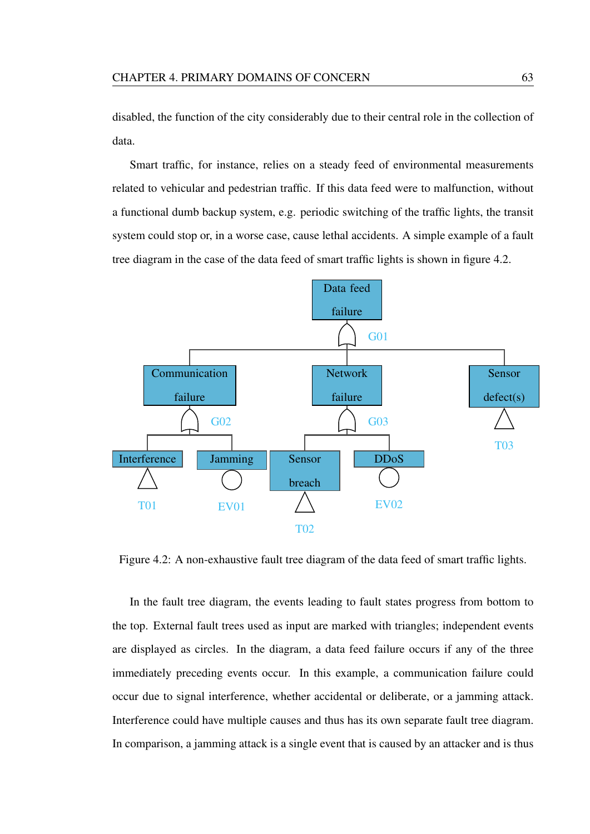disabled, the function of the city considerably due to their central role in the collection of data.

Smart traffic, for instance, relies on a steady feed of environmental measurements related to vehicular and pedestrian traffic. If this data feed were to malfunction, without a functional dumb backup system, e.g. periodic switching of the traffic lights, the transit system could stop or, in a worse case, cause lethal accidents. A simple example of a fault tree diagram in the case of the data feed of smart traffic lights is shown in figure 4.2.



Figure 4.2: A non-exhaustive fault tree diagram of the data feed of smart traffic lights.

In the fault tree diagram, the events leading to fault states progress from bottom to the top. External fault trees used as input are marked with triangles; independent events are displayed as circles. In the diagram, a data feed failure occurs if any of the three immediately preceding events occur. In this example, a communication failure could occur due to signal interference, whether accidental or deliberate, or a jamming attack. Interference could have multiple causes and thus has its own separate fault tree diagram. In comparison, a jamming attack is a single event that is caused by an attacker and is thus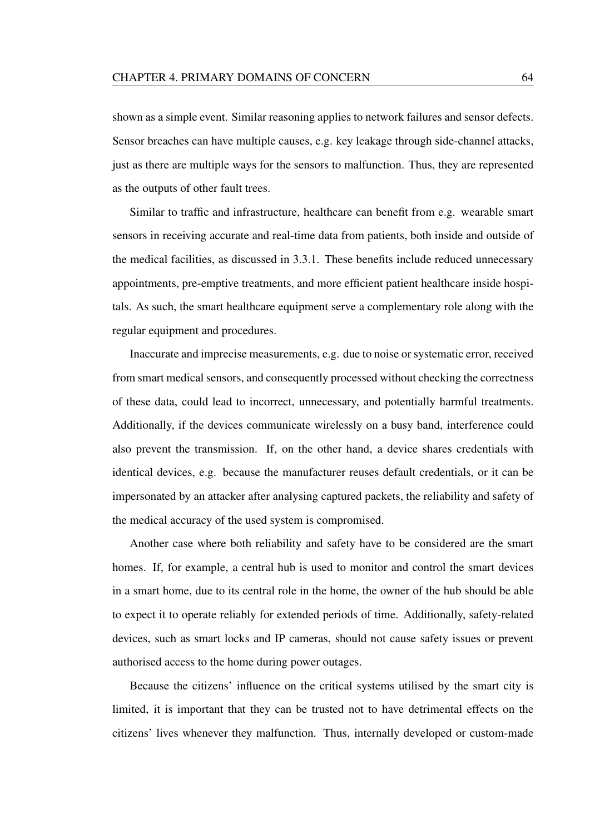shown as a simple event. Similar reasoning applies to network failures and sensor defects. Sensor breaches can have multiple causes, e.g. key leakage through side-channel attacks, just as there are multiple ways for the sensors to malfunction. Thus, they are represented as the outputs of other fault trees.

Similar to traffic and infrastructure, healthcare can benefit from e.g. wearable smart sensors in receiving accurate and real-time data from patients, both inside and outside of the medical facilities, as discussed in 3.3.1. These benefits include reduced unnecessary appointments, pre-emptive treatments, and more efficient patient healthcare inside hospitals. As such, the smart healthcare equipment serve a complementary role along with the regular equipment and procedures.

Inaccurate and imprecise measurements, e.g. due to noise or systematic error, received from smart medical sensors, and consequently processed without checking the correctness of these data, could lead to incorrect, unnecessary, and potentially harmful treatments. Additionally, if the devices communicate wirelessly on a busy band, interference could also prevent the transmission. If, on the other hand, a device shares credentials with identical devices, e.g. because the manufacturer reuses default credentials, or it can be impersonated by an attacker after analysing captured packets, the reliability and safety of the medical accuracy of the used system is compromised.

Another case where both reliability and safety have to be considered are the smart homes. If, for example, a central hub is used to monitor and control the smart devices in a smart home, due to its central role in the home, the owner of the hub should be able to expect it to operate reliably for extended periods of time. Additionally, safety-related devices, such as smart locks and IP cameras, should not cause safety issues or prevent authorised access to the home during power outages.

Because the citizens' influence on the critical systems utilised by the smart city is limited, it is important that they can be trusted not to have detrimental effects on the citizens' lives whenever they malfunction. Thus, internally developed or custom-made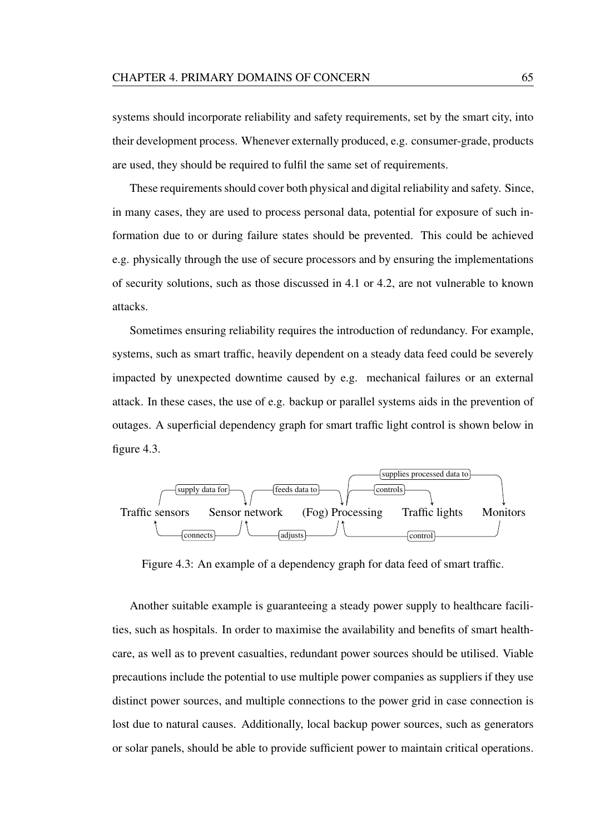systems should incorporate reliability and safety requirements, set by the smart city, into their development process. Whenever externally produced, e.g. consumer-grade, products are used, they should be required to fulfil the same set of requirements.

These requirements should cover both physical and digital reliability and safety. Since, in many cases, they are used to process personal data, potential for exposure of such information due to or during failure states should be prevented. This could be achieved e.g. physically through the use of secure processors and by ensuring the implementations of security solutions, such as those discussed in 4.1 or 4.2, are not vulnerable to known attacks.

Sometimes ensuring reliability requires the introduction of redundancy. For example, systems, such as smart traffic, heavily dependent on a steady data feed could be severely impacted by unexpected downtime caused by e.g. mechanical failures or an external attack. In these cases, the use of e.g. backup or parallel systems aids in the prevention of outages. A superficial dependency graph for smart traffic light control is shown below in figure 4.3.



Figure 4.3: An example of a dependency graph for data feed of smart traffic.

Another suitable example is guaranteeing a steady power supply to healthcare facilities, such as hospitals. In order to maximise the availability and benefits of smart healthcare, as well as to prevent casualties, redundant power sources should be utilised. Viable precautions include the potential to use multiple power companies as suppliers if they use distinct power sources, and multiple connections to the power grid in case connection is lost due to natural causes. Additionally, local backup power sources, such as generators or solar panels, should be able to provide sufficient power to maintain critical operations.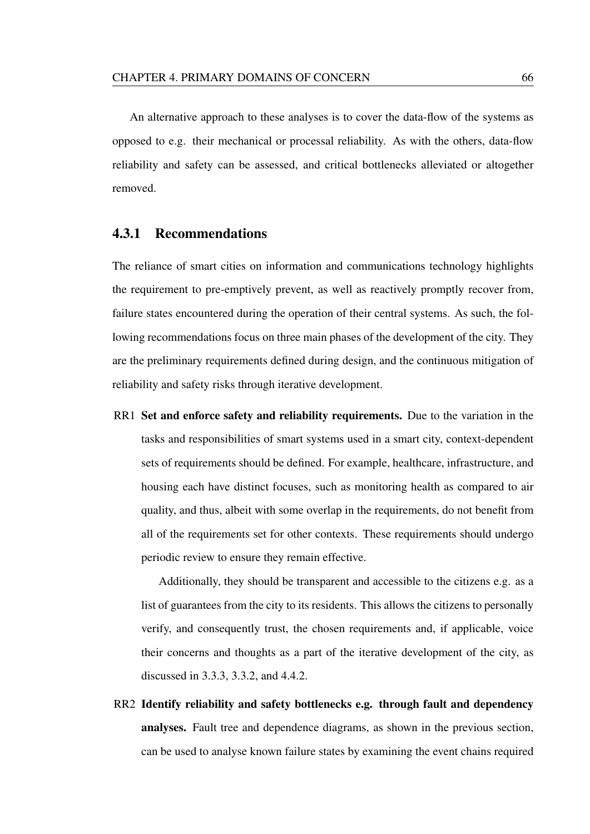An alternative approach to these analyses is to cover the data-flow of the systems as opposed to e.g. their mechanical or processal reliability. As with the others, data-flow reliability and safety can be assessed, and critical bottlenecks alleviated or altogether removed.

#### 4.3.1 Recommendations

The reliance of smart cities on information and communications technology highlights the requirement to pre-emptively prevent, as well as reactively promptly recover from, failure states encountered during the operation of their central systems. As such, the following recommendations focus on three main phases of the development of the city. They are the preliminary requirements defined during design, and the continuous mitigation of reliability and safety risks through iterative development.

RR1 Set and enforce safety and reliability requirements. Due to the variation in the tasks and responsibilities of smart systems used in a smart city, context-dependent sets of requirements should be defined. For example, healthcare, infrastructure, and housing each have distinct focuses, such as monitoring health as compared to air quality, and thus, albeit with some overlap in the requirements, do not benefit from all of the requirements set for other contexts. These requirements should undergo periodic review to ensure they remain effective.

Additionally, they should be transparent and accessible to the citizens e.g. as a list of guarantees from the city to its residents. This allows the citizens to personally verify, and consequently trust, the chosen requirements and, if applicable, voice their concerns and thoughts as a part of the iterative development of the city, as discussed in 3.3.3, 3.3.2, and 4.4.2.

RR2 Identify reliability and safety bottlenecks e.g. through fault and dependency analyses. Fault tree and dependence diagrams, as shown in the previous section, can be used to analyse known failure states by examining the event chains required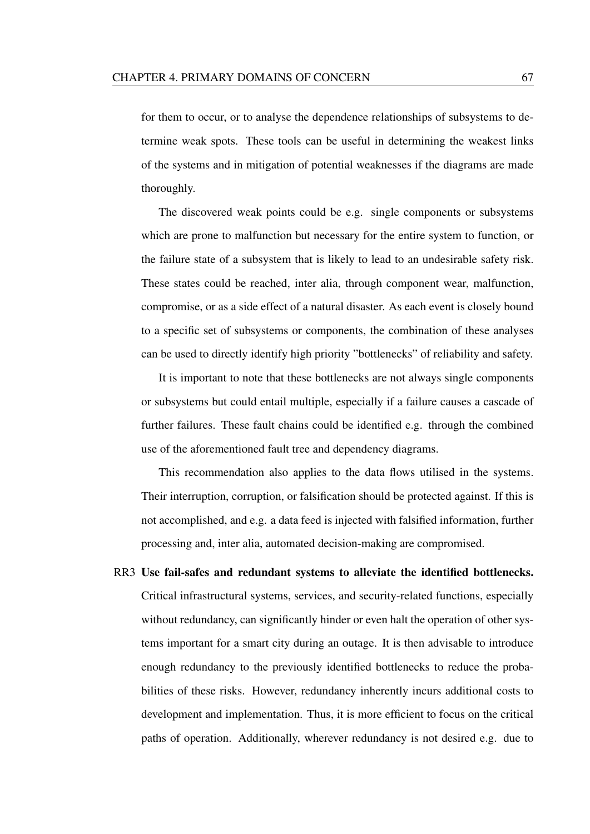for them to occur, or to analyse the dependence relationships of subsystems to determine weak spots. These tools can be useful in determining the weakest links of the systems and in mitigation of potential weaknesses if the diagrams are made thoroughly.

The discovered weak points could be e.g. single components or subsystems which are prone to malfunction but necessary for the entire system to function, or the failure state of a subsystem that is likely to lead to an undesirable safety risk. These states could be reached, inter alia, through component wear, malfunction, compromise, or as a side effect of a natural disaster. As each event is closely bound to a specific set of subsystems or components, the combination of these analyses can be used to directly identify high priority "bottlenecks" of reliability and safety.

It is important to note that these bottlenecks are not always single components or subsystems but could entail multiple, especially if a failure causes a cascade of further failures. These fault chains could be identified e.g. through the combined use of the aforementioned fault tree and dependency diagrams.

This recommendation also applies to the data flows utilised in the systems. Their interruption, corruption, or falsification should be protected against. If this is not accomplished, and e.g. a data feed is injected with falsified information, further processing and, inter alia, automated decision-making are compromised.

RR3 Use fail-safes and redundant systems to alleviate the identified bottlenecks. Critical infrastructural systems, services, and security-related functions, especially without redundancy, can significantly hinder or even halt the operation of other systems important for a smart city during an outage. It is then advisable to introduce enough redundancy to the previously identified bottlenecks to reduce the probabilities of these risks. However, redundancy inherently incurs additional costs to development and implementation. Thus, it is more efficient to focus on the critical paths of operation. Additionally, wherever redundancy is not desired e.g. due to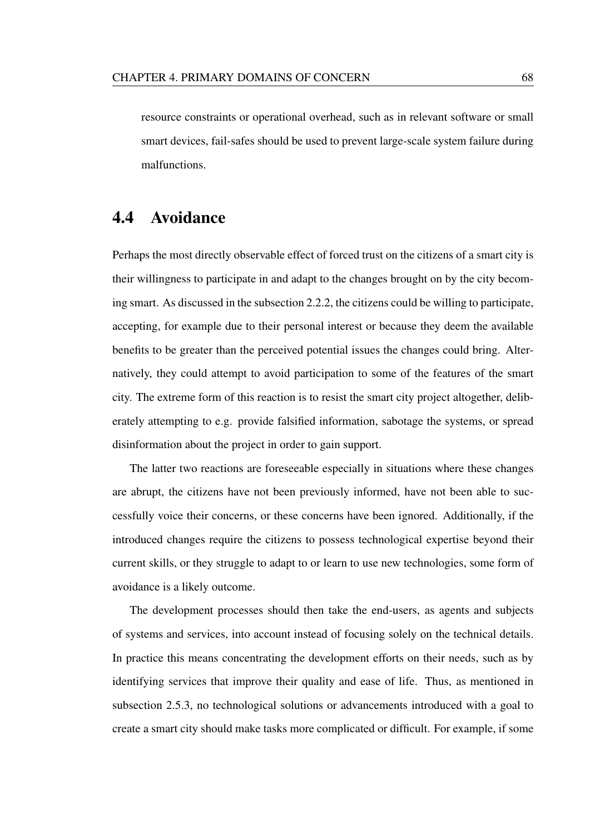resource constraints or operational overhead, such as in relevant software or small smart devices, fail-safes should be used to prevent large-scale system failure during malfunctions.

### 4.4 Avoidance

Perhaps the most directly observable effect of forced trust on the citizens of a smart city is their willingness to participate in and adapt to the changes brought on by the city becoming smart. As discussed in the subsection 2.2.2, the citizens could be willing to participate, accepting, for example due to their personal interest or because they deem the available benefits to be greater than the perceived potential issues the changes could bring. Alternatively, they could attempt to avoid participation to some of the features of the smart city. The extreme form of this reaction is to resist the smart city project altogether, deliberately attempting to e.g. provide falsified information, sabotage the systems, or spread disinformation about the project in order to gain support.

The latter two reactions are foreseeable especially in situations where these changes are abrupt, the citizens have not been previously informed, have not been able to successfully voice their concerns, or these concerns have been ignored. Additionally, if the introduced changes require the citizens to possess technological expertise beyond their current skills, or they struggle to adapt to or learn to use new technologies, some form of avoidance is a likely outcome.

The development processes should then take the end-users, as agents and subjects of systems and services, into account instead of focusing solely on the technical details. In practice this means concentrating the development efforts on their needs, such as by identifying services that improve their quality and ease of life. Thus, as mentioned in subsection 2.5.3, no technological solutions or advancements introduced with a goal to create a smart city should make tasks more complicated or difficult. For example, if some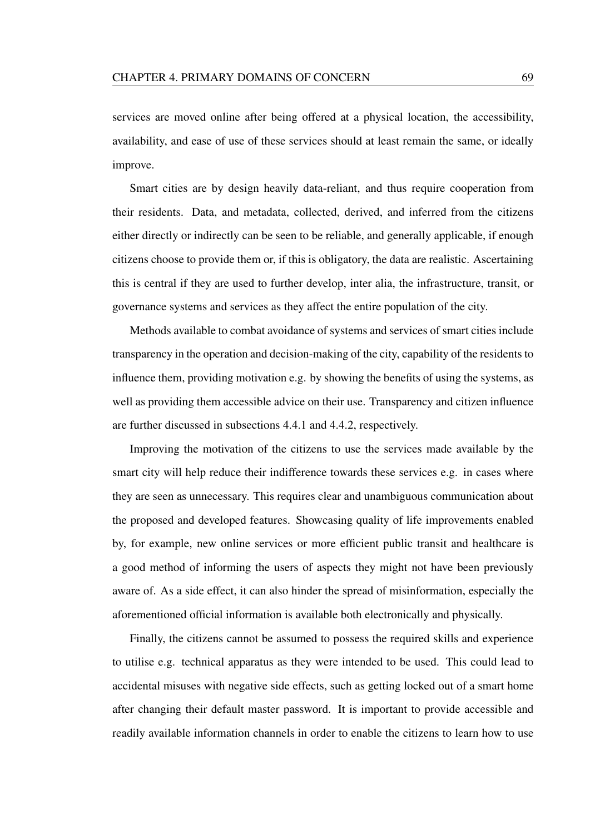services are moved online after being offered at a physical location, the accessibility, availability, and ease of use of these services should at least remain the same, or ideally improve.

Smart cities are by design heavily data-reliant, and thus require cooperation from their residents. Data, and metadata, collected, derived, and inferred from the citizens either directly or indirectly can be seen to be reliable, and generally applicable, if enough citizens choose to provide them or, if this is obligatory, the data are realistic. Ascertaining this is central if they are used to further develop, inter alia, the infrastructure, transit, or governance systems and services as they affect the entire population of the city.

Methods available to combat avoidance of systems and services of smart cities include transparency in the operation and decision-making of the city, capability of the residents to influence them, providing motivation e.g. by showing the benefits of using the systems, as well as providing them accessible advice on their use. Transparency and citizen influence are further discussed in subsections 4.4.1 and 4.4.2, respectively.

Improving the motivation of the citizens to use the services made available by the smart city will help reduce their indifference towards these services e.g. in cases where they are seen as unnecessary. This requires clear and unambiguous communication about the proposed and developed features. Showcasing quality of life improvements enabled by, for example, new online services or more efficient public transit and healthcare is a good method of informing the users of aspects they might not have been previously aware of. As a side effect, it can also hinder the spread of misinformation, especially the aforementioned official information is available both electronically and physically.

Finally, the citizens cannot be assumed to possess the required skills and experience to utilise e.g. technical apparatus as they were intended to be used. This could lead to accidental misuses with negative side effects, such as getting locked out of a smart home after changing their default master password. It is important to provide accessible and readily available information channels in order to enable the citizens to learn how to use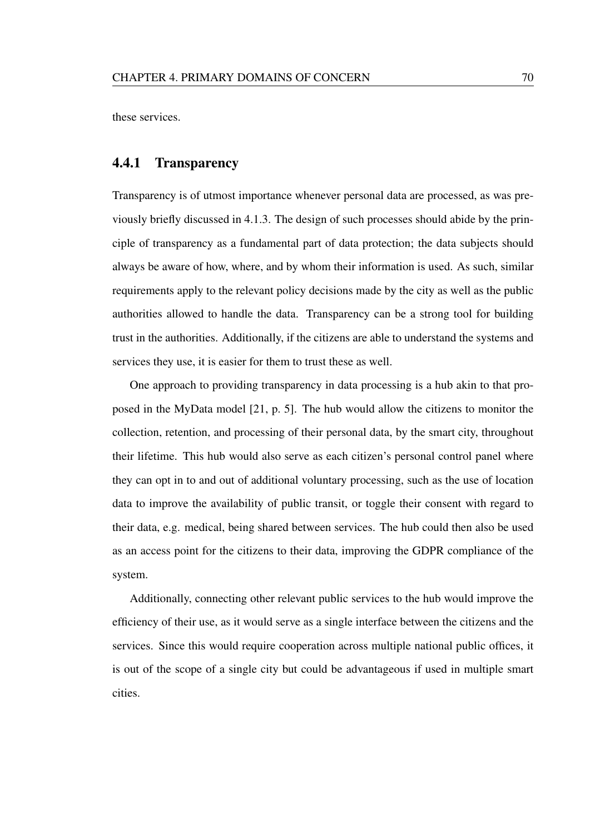these services.

#### 4.4.1 Transparency

Transparency is of utmost importance whenever personal data are processed, as was previously briefly discussed in 4.1.3. The design of such processes should abide by the principle of transparency as a fundamental part of data protection; the data subjects should always be aware of how, where, and by whom their information is used. As such, similar requirements apply to the relevant policy decisions made by the city as well as the public authorities allowed to handle the data. Transparency can be a strong tool for building trust in the authorities. Additionally, if the citizens are able to understand the systems and services they use, it is easier for them to trust these as well.

One approach to providing transparency in data processing is a hub akin to that proposed in the MyData model [21, p. 5]. The hub would allow the citizens to monitor the collection, retention, and processing of their personal data, by the smart city, throughout their lifetime. This hub would also serve as each citizen's personal control panel where they can opt in to and out of additional voluntary processing, such as the use of location data to improve the availability of public transit, or toggle their consent with regard to their data, e.g. medical, being shared between services. The hub could then also be used as an access point for the citizens to their data, improving the GDPR compliance of the system.

Additionally, connecting other relevant public services to the hub would improve the efficiency of their use, as it would serve as a single interface between the citizens and the services. Since this would require cooperation across multiple national public offices, it is out of the scope of a single city but could be advantageous if used in multiple smart cities.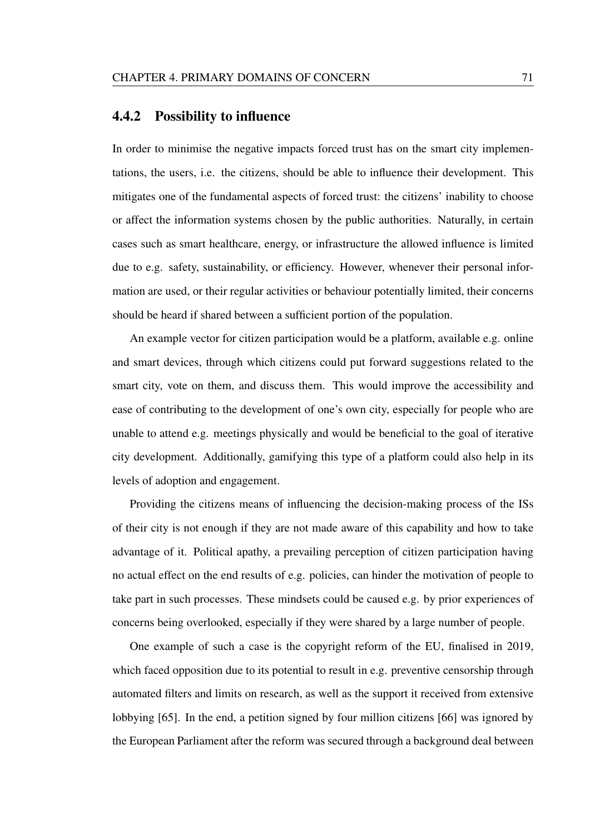#### 4.4.2 Possibility to influence

In order to minimise the negative impacts forced trust has on the smart city implementations, the users, i.e. the citizens, should be able to influence their development. This mitigates one of the fundamental aspects of forced trust: the citizens' inability to choose or affect the information systems chosen by the public authorities. Naturally, in certain cases such as smart healthcare, energy, or infrastructure the allowed influence is limited due to e.g. safety, sustainability, or efficiency. However, whenever their personal information are used, or their regular activities or behaviour potentially limited, their concerns should be heard if shared between a sufficient portion of the population.

An example vector for citizen participation would be a platform, available e.g. online and smart devices, through which citizens could put forward suggestions related to the smart city, vote on them, and discuss them. This would improve the accessibility and ease of contributing to the development of one's own city, especially for people who are unable to attend e.g. meetings physically and would be beneficial to the goal of iterative city development. Additionally, gamifying this type of a platform could also help in its levels of adoption and engagement.

Providing the citizens means of influencing the decision-making process of the ISs of their city is not enough if they are not made aware of this capability and how to take advantage of it. Political apathy, a prevailing perception of citizen participation having no actual effect on the end results of e.g. policies, can hinder the motivation of people to take part in such processes. These mindsets could be caused e.g. by prior experiences of concerns being overlooked, especially if they were shared by a large number of people.

One example of such a case is the copyright reform of the EU, finalised in 2019, which faced opposition due to its potential to result in e.g. preventive censorship through automated filters and limits on research, as well as the support it received from extensive lobbying [65]. In the end, a petition signed by four million citizens [66] was ignored by the European Parliament after the reform was secured through a background deal between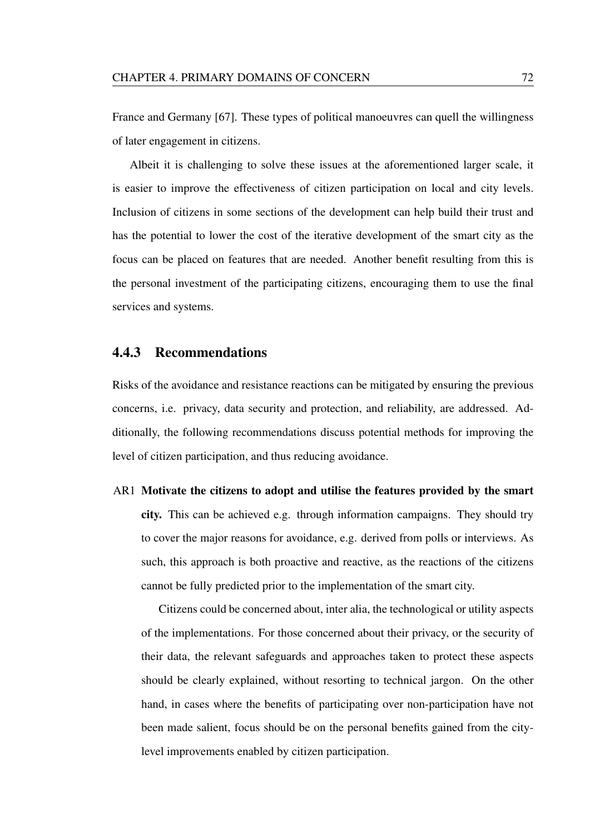France and Germany [67]. These types of political manoeuvres can quell the willingness of later engagement in citizens.

Albeit it is challenging to solve these issues at the aforementioned larger scale, it is easier to improve the effectiveness of citizen participation on local and city levels. Inclusion of citizens in some sections of the development can help build their trust and has the potential to lower the cost of the iterative development of the smart city as the focus can be placed on features that are needed. Another benefit resulting from this is the personal investment of the participating citizens, encouraging them to use the final services and systems.

#### 4.4.3 Recommendations

Risks of the avoidance and resistance reactions can be mitigated by ensuring the previous concerns, i.e. privacy, data security and protection, and reliability, are addressed. Additionally, the following recommendations discuss potential methods for improving the level of citizen participation, and thus reducing avoidance.

## AR1 Motivate the citizens to adopt and utilise the features provided by the smart city. This can be achieved e.g. through information campaigns. They should try to cover the major reasons for avoidance, e.g. derived from polls or interviews. As such, this approach is both proactive and reactive, as the reactions of the citizens cannot be fully predicted prior to the implementation of the smart city.

Citizens could be concerned about, inter alia, the technological or utility aspects of the implementations. For those concerned about their privacy, or the security of their data, the relevant safeguards and approaches taken to protect these aspects should be clearly explained, without resorting to technical jargon. On the other hand, in cases where the benefits of participating over non-participation have not been made salient, focus should be on the personal benefits gained from the citylevel improvements enabled by citizen participation.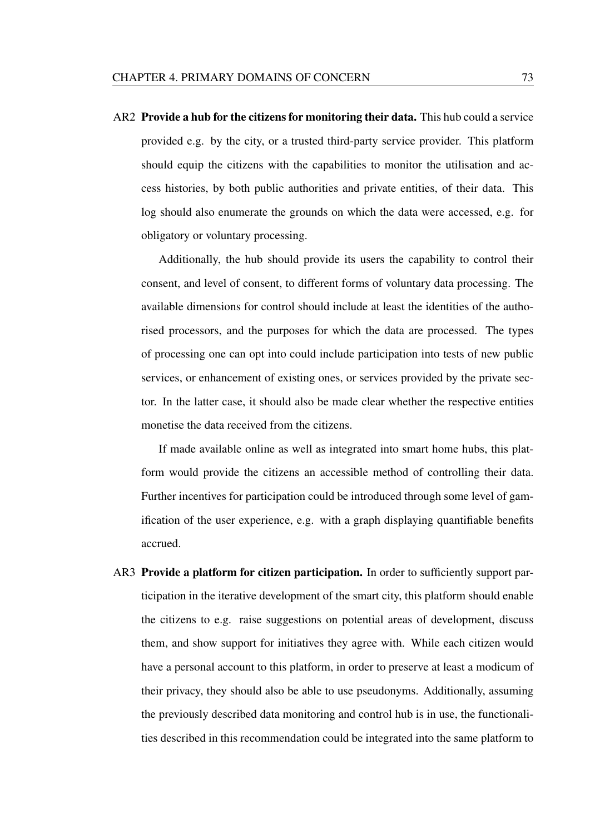AR2 Provide a hub for the citizens for monitoring their data. This hub could a service provided e.g. by the city, or a trusted third-party service provider. This platform should equip the citizens with the capabilities to monitor the utilisation and access histories, by both public authorities and private entities, of their data. This log should also enumerate the grounds on which the data were accessed, e.g. for obligatory or voluntary processing.

Additionally, the hub should provide its users the capability to control their consent, and level of consent, to different forms of voluntary data processing. The available dimensions for control should include at least the identities of the authorised processors, and the purposes for which the data are processed. The types of processing one can opt into could include participation into tests of new public services, or enhancement of existing ones, or services provided by the private sector. In the latter case, it should also be made clear whether the respective entities monetise the data received from the citizens.

If made available online as well as integrated into smart home hubs, this platform would provide the citizens an accessible method of controlling their data. Further incentives for participation could be introduced through some level of gamification of the user experience, e.g. with a graph displaying quantifiable benefits accrued.

AR3 Provide a platform for citizen participation. In order to sufficiently support participation in the iterative development of the smart city, this platform should enable the citizens to e.g. raise suggestions on potential areas of development, discuss them, and show support for initiatives they agree with. While each citizen would have a personal account to this platform, in order to preserve at least a modicum of their privacy, they should also be able to use pseudonyms. Additionally, assuming the previously described data monitoring and control hub is in use, the functionalities described in this recommendation could be integrated into the same platform to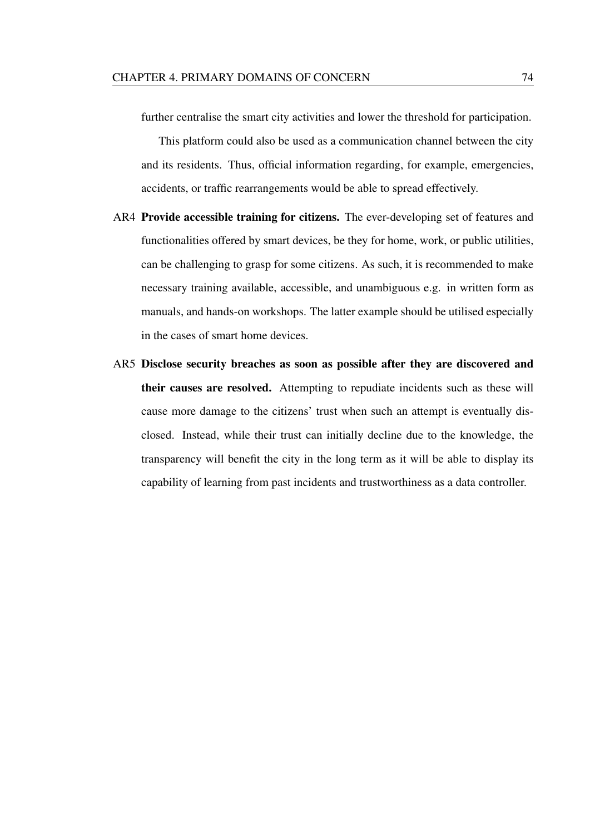further centralise the smart city activities and lower the threshold for participation.

This platform could also be used as a communication channel between the city and its residents. Thus, official information regarding, for example, emergencies, accidents, or traffic rearrangements would be able to spread effectively.

- AR4 Provide accessible training for citizens. The ever-developing set of features and functionalities offered by smart devices, be they for home, work, or public utilities, can be challenging to grasp for some citizens. As such, it is recommended to make necessary training available, accessible, and unambiguous e.g. in written form as manuals, and hands-on workshops. The latter example should be utilised especially in the cases of smart home devices.
- AR5 Disclose security breaches as soon as possible after they are discovered and their causes are resolved. Attempting to repudiate incidents such as these will cause more damage to the citizens' trust when such an attempt is eventually disclosed. Instead, while their trust can initially decline due to the knowledge, the transparency will benefit the city in the long term as it will be able to display its capability of learning from past incidents and trustworthiness as a data controller.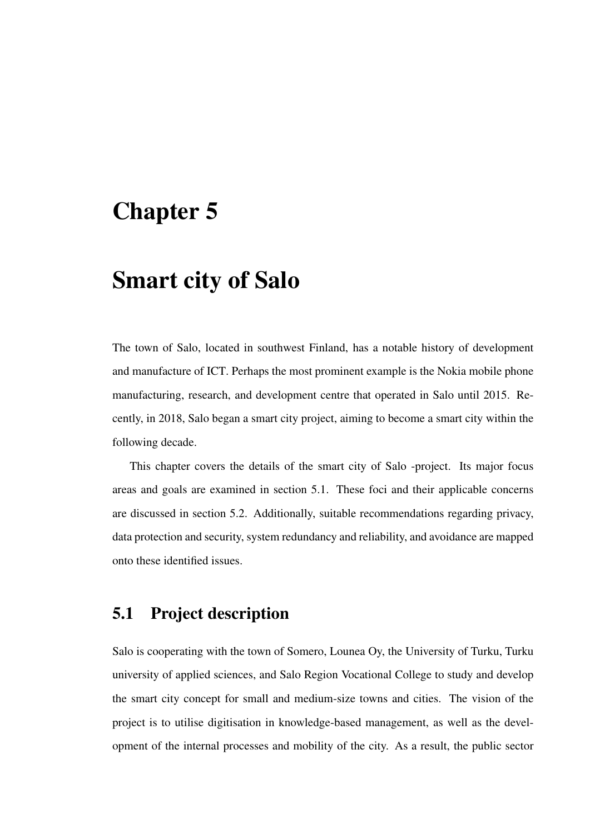## Chapter 5

## Smart city of Salo

The town of Salo, located in southwest Finland, has a notable history of development and manufacture of ICT. Perhaps the most prominent example is the Nokia mobile phone manufacturing, research, and development centre that operated in Salo until 2015. Recently, in 2018, Salo began a smart city project, aiming to become a smart city within the following decade.

This chapter covers the details of the smart city of Salo -project. Its major focus areas and goals are examined in section 5.1. These foci and their applicable concerns are discussed in section 5.2. Additionally, suitable recommendations regarding privacy, data protection and security, system redundancy and reliability, and avoidance are mapped onto these identified issues.

## 5.1 Project description

Salo is cooperating with the town of Somero, Lounea Oy, the University of Turku, Turku university of applied sciences, and Salo Region Vocational College to study and develop the smart city concept for small and medium-size towns and cities. The vision of the project is to utilise digitisation in knowledge-based management, as well as the development of the internal processes and mobility of the city. As a result, the public sector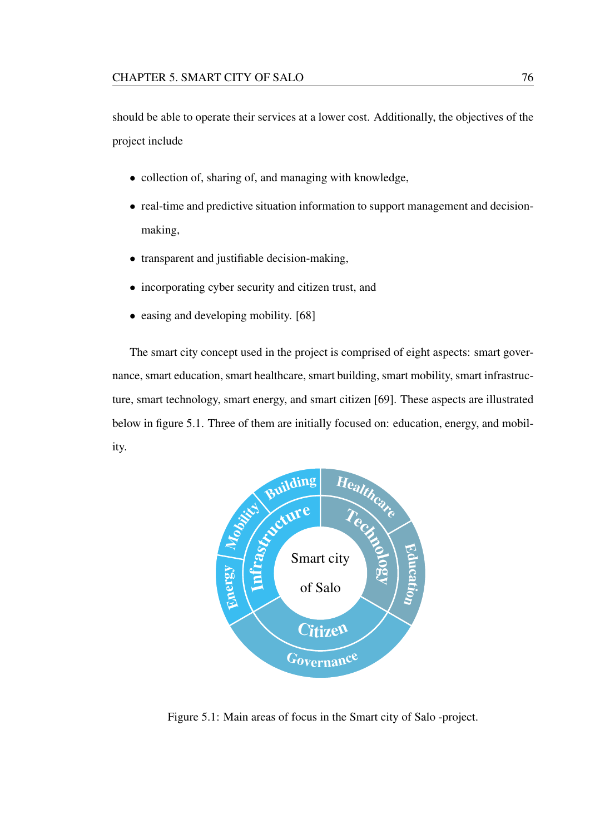should be able to operate their services at a lower cost. Additionally, the objectives of the project include

- collection of, sharing of, and managing with knowledge,
- real-time and predictive situation information to support management and decisionmaking,
- transparent and justifiable decision-making,
- incorporating cyber security and citizen trust, and
- easing and developing mobility. [68]

The smart city concept used in the project is comprised of eight aspects: smart governance, smart education, smart healthcare, smart building, smart mobility, smart infrastructure, smart technology, smart energy, and smart citizen [69]. These aspects are illustrated below in figure 5.1. Three of them are initially focused on: education, energy, and mobility.



Figure 5.1: Main areas of focus in the Smart city of Salo -project.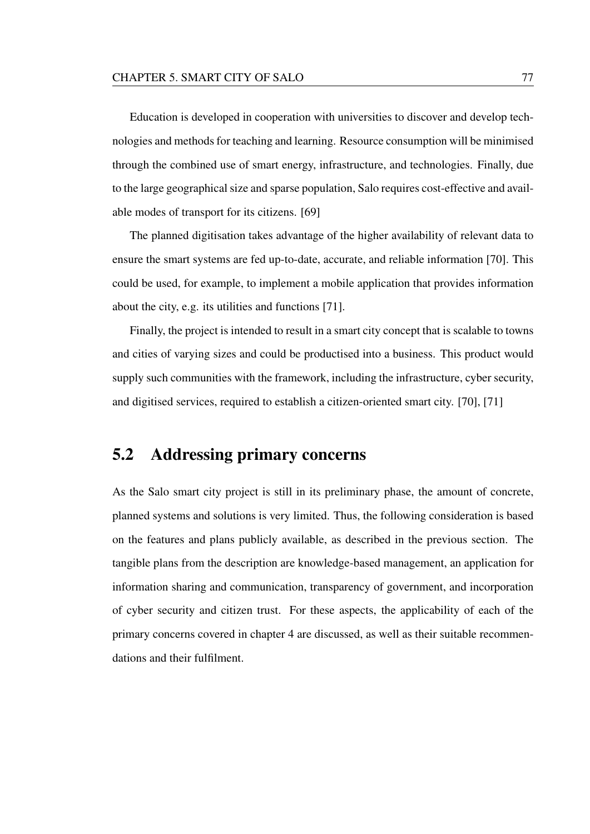Education is developed in cooperation with universities to discover and develop technologies and methods for teaching and learning. Resource consumption will be minimised through the combined use of smart energy, infrastructure, and technologies. Finally, due to the large geographical size and sparse population, Salo requires cost-effective and available modes of transport for its citizens. [69]

The planned digitisation takes advantage of the higher availability of relevant data to ensure the smart systems are fed up-to-date, accurate, and reliable information [70]. This could be used, for example, to implement a mobile application that provides information about the city, e.g. its utilities and functions [71].

Finally, the project is intended to result in a smart city concept that is scalable to towns and cities of varying sizes and could be productised into a business. This product would supply such communities with the framework, including the infrastructure, cyber security, and digitised services, required to establish a citizen-oriented smart city. [70], [71]

### 5.2 Addressing primary concerns

As the Salo smart city project is still in its preliminary phase, the amount of concrete, planned systems and solutions is very limited. Thus, the following consideration is based on the features and plans publicly available, as described in the previous section. The tangible plans from the description are knowledge-based management, an application for information sharing and communication, transparency of government, and incorporation of cyber security and citizen trust. For these aspects, the applicability of each of the primary concerns covered in chapter 4 are discussed, as well as their suitable recommendations and their fulfilment.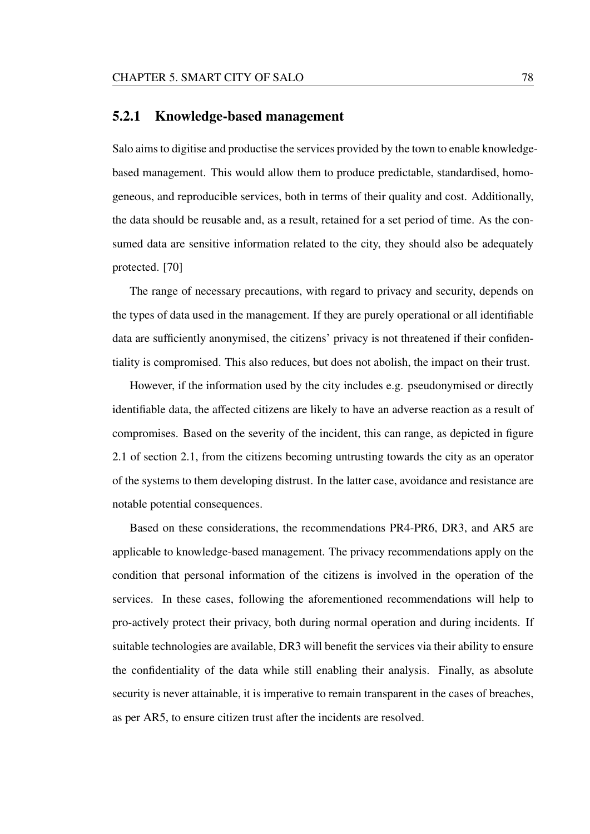#### 5.2.1 Knowledge-based management

Salo aims to digitise and productise the services provided by the town to enable knowledgebased management. This would allow them to produce predictable, standardised, homogeneous, and reproducible services, both in terms of their quality and cost. Additionally, the data should be reusable and, as a result, retained for a set period of time. As the consumed data are sensitive information related to the city, they should also be adequately protected. [70]

The range of necessary precautions, with regard to privacy and security, depends on the types of data used in the management. If they are purely operational or all identifiable data are sufficiently anonymised, the citizens' privacy is not threatened if their confidentiality is compromised. This also reduces, but does not abolish, the impact on their trust.

However, if the information used by the city includes e.g. pseudonymised or directly identifiable data, the affected citizens are likely to have an adverse reaction as a result of compromises. Based on the severity of the incident, this can range, as depicted in figure 2.1 of section 2.1, from the citizens becoming untrusting towards the city as an operator of the systems to them developing distrust. In the latter case, avoidance and resistance are notable potential consequences.

Based on these considerations, the recommendations PR4-PR6, DR3, and AR5 are applicable to knowledge-based management. The privacy recommendations apply on the condition that personal information of the citizens is involved in the operation of the services. In these cases, following the aforementioned recommendations will help to pro-actively protect their privacy, both during normal operation and during incidents. If suitable technologies are available, DR3 will benefit the services via their ability to ensure the confidentiality of the data while still enabling their analysis. Finally, as absolute security is never attainable, it is imperative to remain transparent in the cases of breaches, as per AR5, to ensure citizen trust after the incidents are resolved.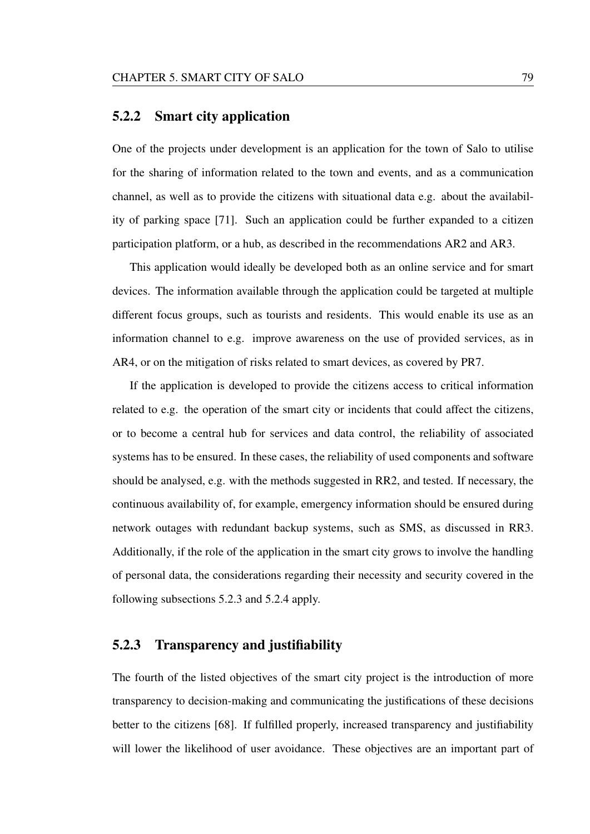#### 5.2.2 Smart city application

One of the projects under development is an application for the town of Salo to utilise for the sharing of information related to the town and events, and as a communication channel, as well as to provide the citizens with situational data e.g. about the availability of parking space [71]. Such an application could be further expanded to a citizen participation platform, or a hub, as described in the recommendations AR2 and AR3.

This application would ideally be developed both as an online service and for smart devices. The information available through the application could be targeted at multiple different focus groups, such as tourists and residents. This would enable its use as an information channel to e.g. improve awareness on the use of provided services, as in AR4, or on the mitigation of risks related to smart devices, as covered by PR7.

If the application is developed to provide the citizens access to critical information related to e.g. the operation of the smart city or incidents that could affect the citizens, or to become a central hub for services and data control, the reliability of associated systems has to be ensured. In these cases, the reliability of used components and software should be analysed, e.g. with the methods suggested in RR2, and tested. If necessary, the continuous availability of, for example, emergency information should be ensured during network outages with redundant backup systems, such as SMS, as discussed in RR3. Additionally, if the role of the application in the smart city grows to involve the handling of personal data, the considerations regarding their necessity and security covered in the following subsections 5.2.3 and 5.2.4 apply.

#### 5.2.3 Transparency and justifiability

The fourth of the listed objectives of the smart city project is the introduction of more transparency to decision-making and communicating the justifications of these decisions better to the citizens [68]. If fulfilled properly, increased transparency and justifiability will lower the likelihood of user avoidance. These objectives are an important part of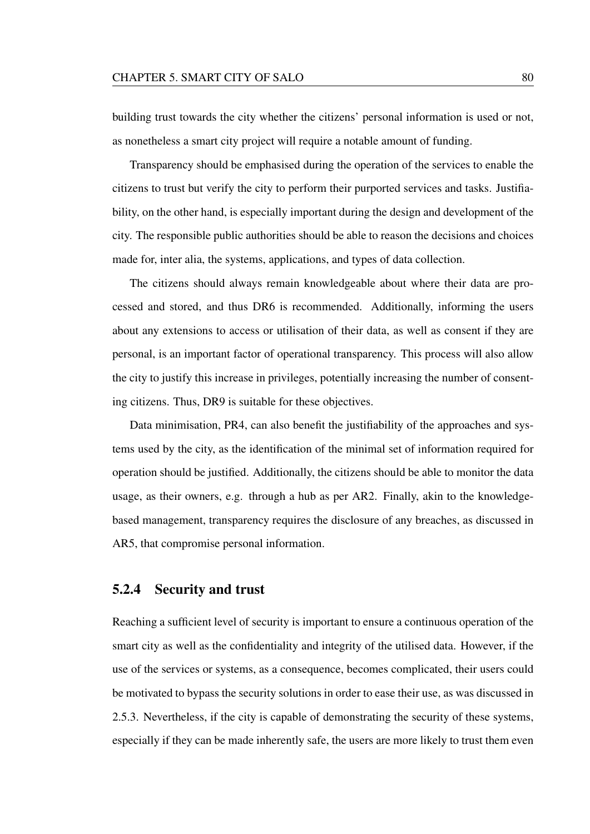building trust towards the city whether the citizens' personal information is used or not, as nonetheless a smart city project will require a notable amount of funding.

Transparency should be emphasised during the operation of the services to enable the citizens to trust but verify the city to perform their purported services and tasks. Justifiability, on the other hand, is especially important during the design and development of the city. The responsible public authorities should be able to reason the decisions and choices made for, inter alia, the systems, applications, and types of data collection.

The citizens should always remain knowledgeable about where their data are processed and stored, and thus DR6 is recommended. Additionally, informing the users about any extensions to access or utilisation of their data, as well as consent if they are personal, is an important factor of operational transparency. This process will also allow the city to justify this increase in privileges, potentially increasing the number of consenting citizens. Thus, DR9 is suitable for these objectives.

Data minimisation, PR4, can also benefit the justifiability of the approaches and systems used by the city, as the identification of the minimal set of information required for operation should be justified. Additionally, the citizens should be able to monitor the data usage, as their owners, e.g. through a hub as per AR2. Finally, akin to the knowledgebased management, transparency requires the disclosure of any breaches, as discussed in AR5, that compromise personal information.

#### 5.2.4 Security and trust

Reaching a sufficient level of security is important to ensure a continuous operation of the smart city as well as the confidentiality and integrity of the utilised data. However, if the use of the services or systems, as a consequence, becomes complicated, their users could be motivated to bypass the security solutions in order to ease their use, as was discussed in 2.5.3. Nevertheless, if the city is capable of demonstrating the security of these systems, especially if they can be made inherently safe, the users are more likely to trust them even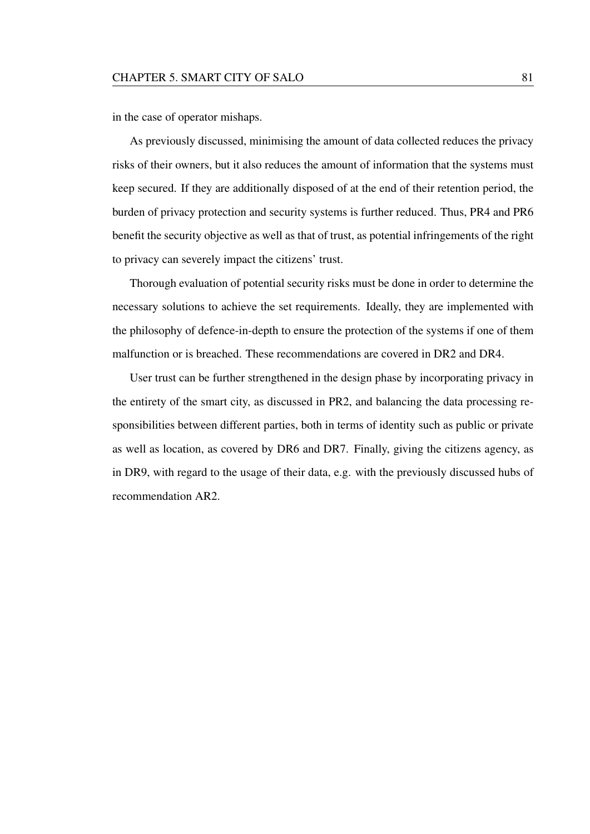in the case of operator mishaps.

As previously discussed, minimising the amount of data collected reduces the privacy risks of their owners, but it also reduces the amount of information that the systems must keep secured. If they are additionally disposed of at the end of their retention period, the burden of privacy protection and security systems is further reduced. Thus, PR4 and PR6 benefit the security objective as well as that of trust, as potential infringements of the right to privacy can severely impact the citizens' trust.

Thorough evaluation of potential security risks must be done in order to determine the necessary solutions to achieve the set requirements. Ideally, they are implemented with the philosophy of defence-in-depth to ensure the protection of the systems if one of them malfunction or is breached. These recommendations are covered in DR2 and DR4.

User trust can be further strengthened in the design phase by incorporating privacy in the entirety of the smart city, as discussed in PR2, and balancing the data processing responsibilities between different parties, both in terms of identity such as public or private as well as location, as covered by DR6 and DR7. Finally, giving the citizens agency, as in DR9, with regard to the usage of their data, e.g. with the previously discussed hubs of recommendation AR2.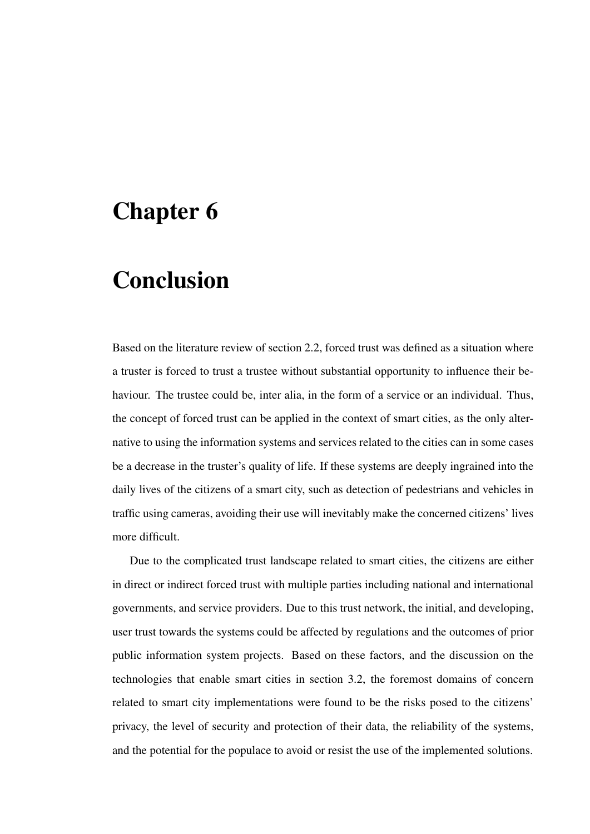## Chapter 6

# Conclusion

Based on the literature review of section 2.2, forced trust was defined as a situation where a truster is forced to trust a trustee without substantial opportunity to influence their behaviour. The trustee could be, inter alia, in the form of a service or an individual. Thus, the concept of forced trust can be applied in the context of smart cities, as the only alternative to using the information systems and services related to the cities can in some cases be a decrease in the truster's quality of life. If these systems are deeply ingrained into the daily lives of the citizens of a smart city, such as detection of pedestrians and vehicles in traffic using cameras, avoiding their use will inevitably make the concerned citizens' lives more difficult.

Due to the complicated trust landscape related to smart cities, the citizens are either in direct or indirect forced trust with multiple parties including national and international governments, and service providers. Due to this trust network, the initial, and developing, user trust towards the systems could be affected by regulations and the outcomes of prior public information system projects. Based on these factors, and the discussion on the technologies that enable smart cities in section 3.2, the foremost domains of concern related to smart city implementations were found to be the risks posed to the citizens' privacy, the level of security and protection of their data, the reliability of the systems, and the potential for the populace to avoid or resist the use of the implemented solutions.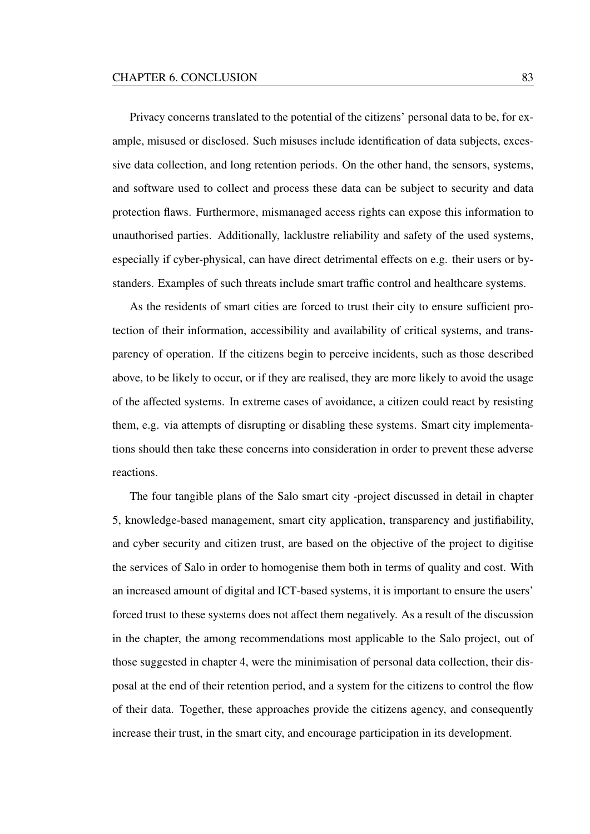Privacy concerns translated to the potential of the citizens' personal data to be, for example, misused or disclosed. Such misuses include identification of data subjects, excessive data collection, and long retention periods. On the other hand, the sensors, systems, and software used to collect and process these data can be subject to security and data protection flaws. Furthermore, mismanaged access rights can expose this information to unauthorised parties. Additionally, lacklustre reliability and safety of the used systems, especially if cyber-physical, can have direct detrimental effects on e.g. their users or bystanders. Examples of such threats include smart traffic control and healthcare systems.

As the residents of smart cities are forced to trust their city to ensure sufficient protection of their information, accessibility and availability of critical systems, and transparency of operation. If the citizens begin to perceive incidents, such as those described above, to be likely to occur, or if they are realised, they are more likely to avoid the usage of the affected systems. In extreme cases of avoidance, a citizen could react by resisting them, e.g. via attempts of disrupting or disabling these systems. Smart city implementations should then take these concerns into consideration in order to prevent these adverse reactions.

The four tangible plans of the Salo smart city -project discussed in detail in chapter 5, knowledge-based management, smart city application, transparency and justifiability, and cyber security and citizen trust, are based on the objective of the project to digitise the services of Salo in order to homogenise them both in terms of quality and cost. With an increased amount of digital and ICT-based systems, it is important to ensure the users' forced trust to these systems does not affect them negatively. As a result of the discussion in the chapter, the among recommendations most applicable to the Salo project, out of those suggested in chapter 4, were the minimisation of personal data collection, their disposal at the end of their retention period, and a system for the citizens to control the flow of their data. Together, these approaches provide the citizens agency, and consequently increase their trust, in the smart city, and encourage participation in its development.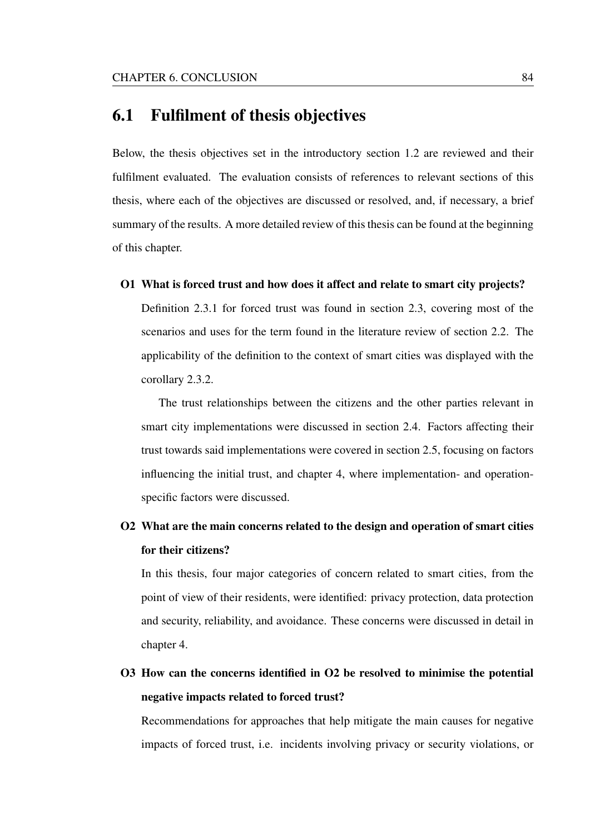### 6.1 Fulfilment of thesis objectives

Below, the thesis objectives set in the introductory section 1.2 are reviewed and their fulfilment evaluated. The evaluation consists of references to relevant sections of this thesis, where each of the objectives are discussed or resolved, and, if necessary, a brief summary of the results. A more detailed review of this thesis can be found at the beginning of this chapter.

O1 What is forced trust and how does it affect and relate to smart city projects?

Definition 2.3.1 for forced trust was found in section 2.3, covering most of the scenarios and uses for the term found in the literature review of section 2.2. The applicability of the definition to the context of smart cities was displayed with the corollary 2.3.2.

The trust relationships between the citizens and the other parties relevant in smart city implementations were discussed in section 2.4. Factors affecting their trust towards said implementations were covered in section 2.5, focusing on factors influencing the initial trust, and chapter 4, where implementation- and operationspecific factors were discussed.

## O2 What are the main concerns related to the design and operation of smart cities for their citizens?

In this thesis, four major categories of concern related to smart cities, from the point of view of their residents, were identified: privacy protection, data protection and security, reliability, and avoidance. These concerns were discussed in detail in chapter 4.

O3 How can the concerns identified in O2 be resolved to minimise the potential negative impacts related to forced trust?

Recommendations for approaches that help mitigate the main causes for negative impacts of forced trust, i.e. incidents involving privacy or security violations, or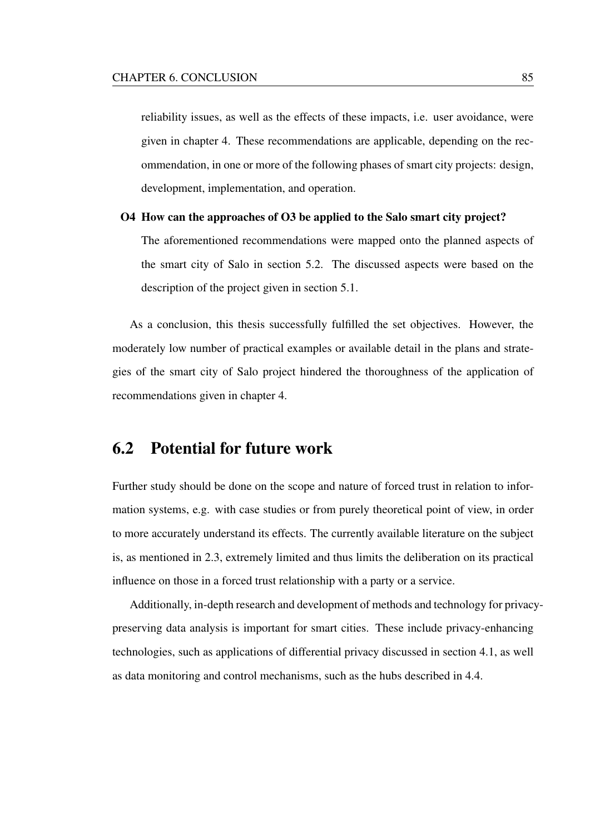reliability issues, as well as the effects of these impacts, i.e. user avoidance, were given in chapter 4. These recommendations are applicable, depending on the recommendation, in one or more of the following phases of smart city projects: design, development, implementation, and operation.

#### O4 How can the approaches of O3 be applied to the Salo smart city project?

The aforementioned recommendations were mapped onto the planned aspects of the smart city of Salo in section 5.2. The discussed aspects were based on the description of the project given in section 5.1.

As a conclusion, this thesis successfully fulfilled the set objectives. However, the moderately low number of practical examples or available detail in the plans and strategies of the smart city of Salo project hindered the thoroughness of the application of recommendations given in chapter 4.

### 6.2 Potential for future work

Further study should be done on the scope and nature of forced trust in relation to information systems, e.g. with case studies or from purely theoretical point of view, in order to more accurately understand its effects. The currently available literature on the subject is, as mentioned in 2.3, extremely limited and thus limits the deliberation on its practical influence on those in a forced trust relationship with a party or a service.

Additionally, in-depth research and development of methods and technology for privacypreserving data analysis is important for smart cities. These include privacy-enhancing technologies, such as applications of differential privacy discussed in section 4.1, as well as data monitoring and control mechanisms, such as the hubs described in 4.4.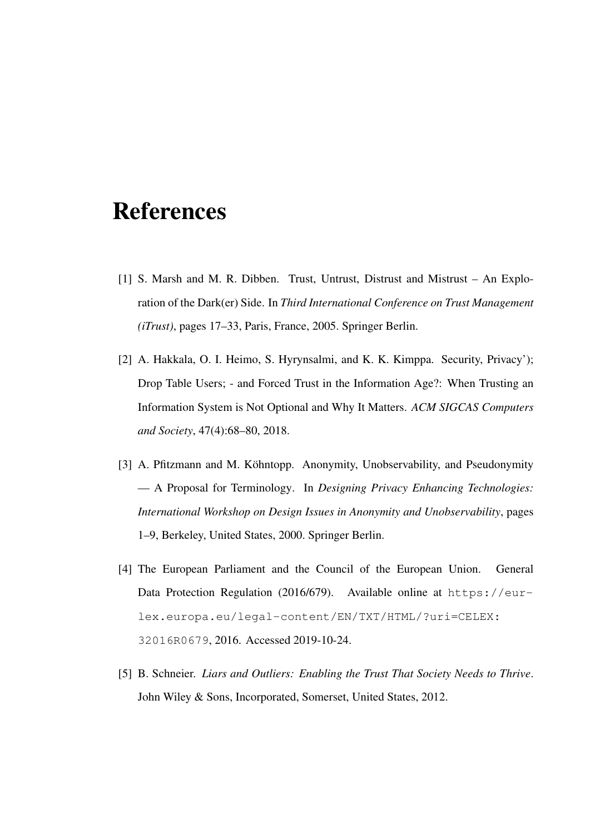## References

- [1] S. Marsh and M. R. Dibben. Trust, Untrust, Distrust and Mistrust An Exploration of the Dark(er) Side. In *Third International Conference on Trust Management (iTrust)*, pages 17–33, Paris, France, 2005. Springer Berlin.
- [2] A. Hakkala, O. I. Heimo, S. Hyrynsalmi, and K. K. Kimppa. Security, Privacy'); Drop Table Users; - and Forced Trust in the Information Age?: When Trusting an Information System is Not Optional and Why It Matters. *ACM SIGCAS Computers and Society*, 47(4):68–80, 2018.
- [3] A. Pfitzmann and M. Köhntopp. Anonymity, Unobservability, and Pseudonymity — A Proposal for Terminology. In *Designing Privacy Enhancing Technologies: International Workshop on Design Issues in Anonymity and Unobservability*, pages 1–9, Berkeley, United States, 2000. Springer Berlin.
- [4] The European Parliament and the Council of the European Union. General Data Protection Regulation (2016/679). Available online at https://eurlex.europa.eu/legal-content/EN/TXT/HTML/?uri=CELEX: 32016R0679, 2016. Accessed 2019-10-24.
- [5] B. Schneier. *Liars and Outliers: Enabling the Trust That Society Needs to Thrive*. John Wiley & Sons, Incorporated, Somerset, United States, 2012.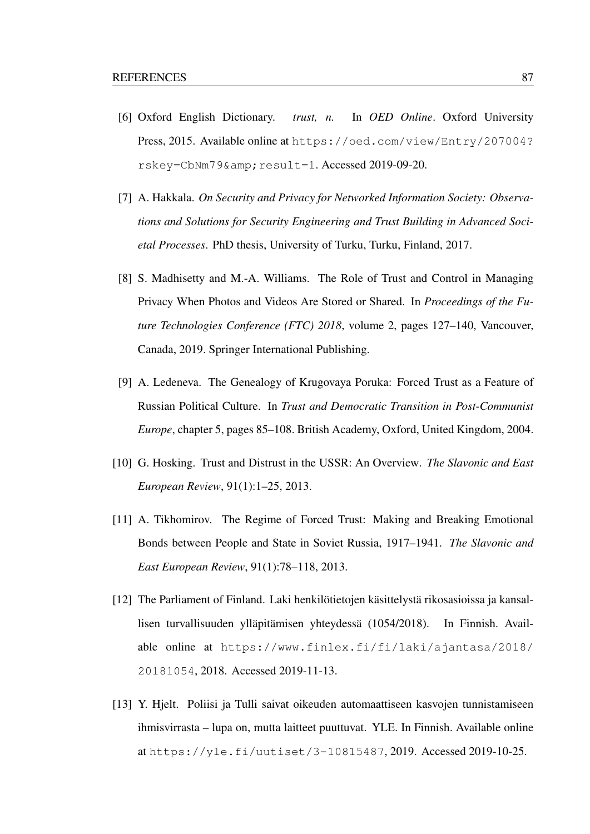- [6] Oxford English Dictionary. *trust, n.* In *OED Online*. Oxford University Press, 2015. Available online at https://oed.com/view/Entry/207004? rskey=CbNm79& result=1. Accessed 2019-09-20.
- [7] A. Hakkala. *On Security and Privacy for Networked Information Society: Observations and Solutions for Security Engineering and Trust Building in Advanced Societal Processes*. PhD thesis, University of Turku, Turku, Finland, 2017.
- [8] S. Madhisetty and M.-A. Williams. The Role of Trust and Control in Managing Privacy When Photos and Videos Are Stored or Shared. In *Proceedings of the Future Technologies Conference (FTC) 2018*, volume 2, pages 127–140, Vancouver, Canada, 2019. Springer International Publishing.
- [9] A. Ledeneva. The Genealogy of Krugovaya Poruka: Forced Trust as a Feature of Russian Political Culture. In *Trust and Democratic Transition in Post-Communist Europe*, chapter 5, pages 85–108. British Academy, Oxford, United Kingdom, 2004.
- [10] G. Hosking. Trust and Distrust in the USSR: An Overview. *The Slavonic and East European Review*, 91(1):1–25, 2013.
- [11] A. Tikhomirov. The Regime of Forced Trust: Making and Breaking Emotional Bonds between People and State in Soviet Russia, 1917–1941. *The Slavonic and East European Review*, 91(1):78–118, 2013.
- [12] The Parliament of Finland. Laki henkilötietojen käsittelystä rikosasioissa ja kansallisen turvallisuuden ylläpitämisen yhteydessä (1054/2018). In Finnish. Available online at https://www.finlex.fi/fi/laki/ajantasa/2018/ 20181054, 2018. Accessed 2019-11-13.
- [13] Y. Hjelt. Poliisi ja Tulli saivat oikeuden automaattiseen kasvojen tunnistamiseen ihmisvirrasta – lupa on, mutta laitteet puuttuvat. YLE. In Finnish. Available online at https://yle.fi/uutiset/3-10815487, 2019. Accessed 2019-10-25.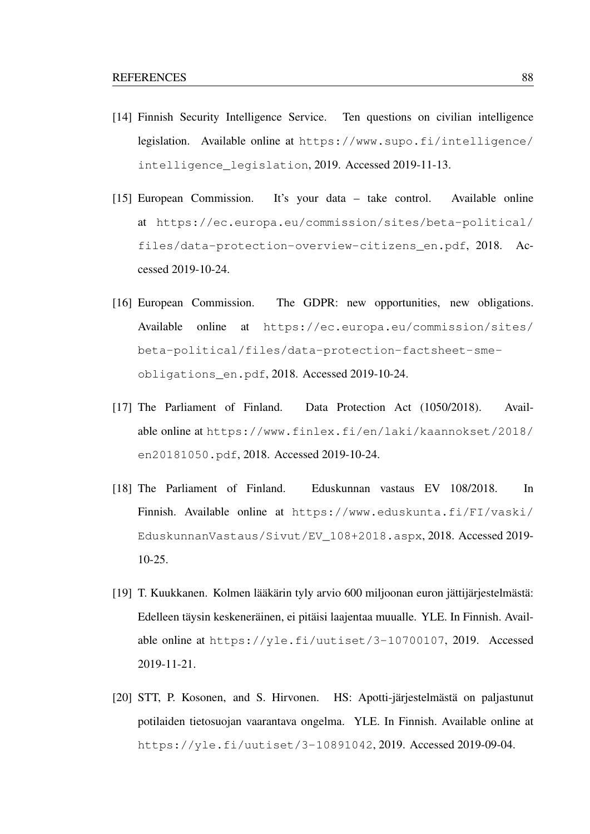- [14] Finnish Security Intelligence Service. Ten questions on civilian intelligence legislation. Available online at https://www.supo.fi/intelligence/ intelligence\_legislation, 2019. Accessed 2019-11-13.
- [15] European Commission. It's your data take control. Available online at https://ec.europa.eu/commission/sites/beta-political/ files/data-protection-overview-citizens\_en.pdf, 2018. Accessed 2019-10-24.
- [16] European Commission. The GDPR: new opportunities, new obligations. Available online at https://ec.europa.eu/commission/sites/ beta-political/files/data-protection-factsheet-smeobligations\_en.pdf, 2018. Accessed 2019-10-24.
- [17] The Parliament of Finland. Data Protection Act (1050/2018). Available online at https://www.finlex.fi/en/laki/kaannokset/2018/ en20181050.pdf, 2018. Accessed 2019-10-24.
- [18] The Parliament of Finland. Eduskunnan vastaus EV 108/2018. In Finnish. Available online at https://www.eduskunta.fi/FI/vaski/ EduskunnanVastaus/Sivut/EV\_108+2018.aspx, 2018. Accessed 2019- 10-25.
- [19] T. Kuukkanen. Kolmen lääkärin tyly arvio 600 miljoonan euron jättijärjestelmästä: Edelleen täysin keskeneräinen, ei pitäisi laajentaa muualle. YLE. In Finnish. Available online at https://yle.fi/uutiset/3-10700107, 2019. Accessed 2019-11-21.
- [20] STT, P. Kosonen, and S. Hirvonen. HS: Apotti-järjestelmästä on paljastunut potilaiden tietosuojan vaarantava ongelma. YLE. In Finnish. Available online at https://yle.fi/uutiset/3-10891042, 2019. Accessed 2019-09-04.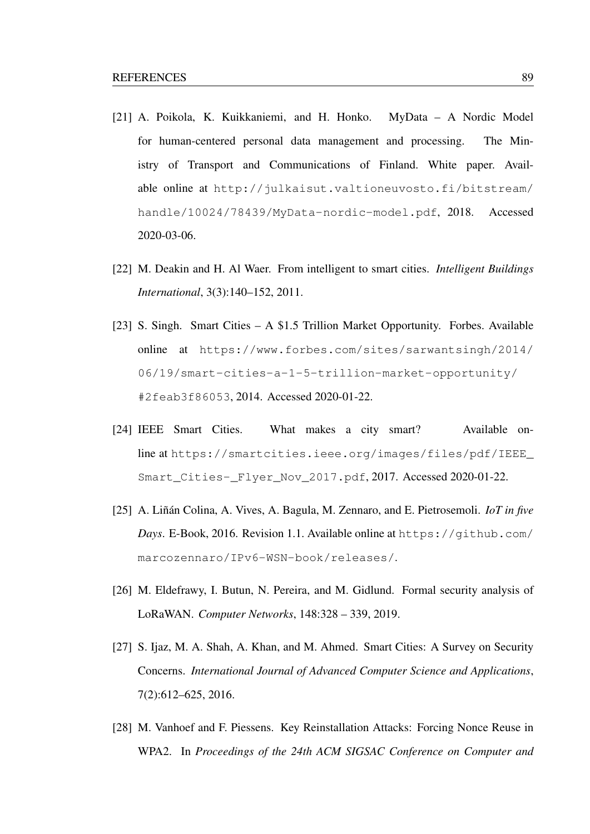- [21] A. Poikola, K. Kuikkaniemi, and H. Honko. MyData A Nordic Model for human-centered personal data management and processing. The Ministry of Transport and Communications of Finland. White paper. Available online at http://julkaisut.valtioneuvosto.fi/bitstream/ handle/10024/78439/MyData-nordic-model.pdf, 2018. Accessed 2020-03-06.
- [22] M. Deakin and H. Al Waer. From intelligent to smart cities. *Intelligent Buildings International*, 3(3):140–152, 2011.
- [23] S. Singh. Smart Cities A \$1.5 Trillion Market Opportunity. Forbes. Available online at https://www.forbes.com/sites/sarwantsingh/2014/ 06/19/smart-cities-a-1-5-trillion-market-opportunity/ #2feab3f86053, 2014. Accessed 2020-01-22.
- [24] IEEE Smart Cities. What makes a city smart? Available online at https://smartcities.ieee.org/images/files/pdf/IEEE\_ Smart\_Cities-\_Flyer\_Nov\_2017.pdf, 2017. Accessed 2020-01-22.
- [25] A. Liñán Colina, A. Vives, A. Bagula, M. Zennaro, and E. Pietrosemoli. *IoT in five Days*. E-Book, 2016. Revision 1.1. Available online at https://github.com/ marcozennaro/IPv6-WSN-book/releases/.
- [26] M. Eldefrawy, I. Butun, N. Pereira, and M. Gidlund. Formal security analysis of LoRaWAN. *Computer Networks*, 148:328 – 339, 2019.
- [27] S. Ijaz, M. A. Shah, A. Khan, and M. Ahmed. Smart Cities: A Survey on Security Concerns. *International Journal of Advanced Computer Science and Applications*, 7(2):612–625, 2016.
- [28] M. Vanhoef and F. Piessens. Key Reinstallation Attacks: Forcing Nonce Reuse in WPA2. In *Proceedings of the 24th ACM SIGSAC Conference on Computer and*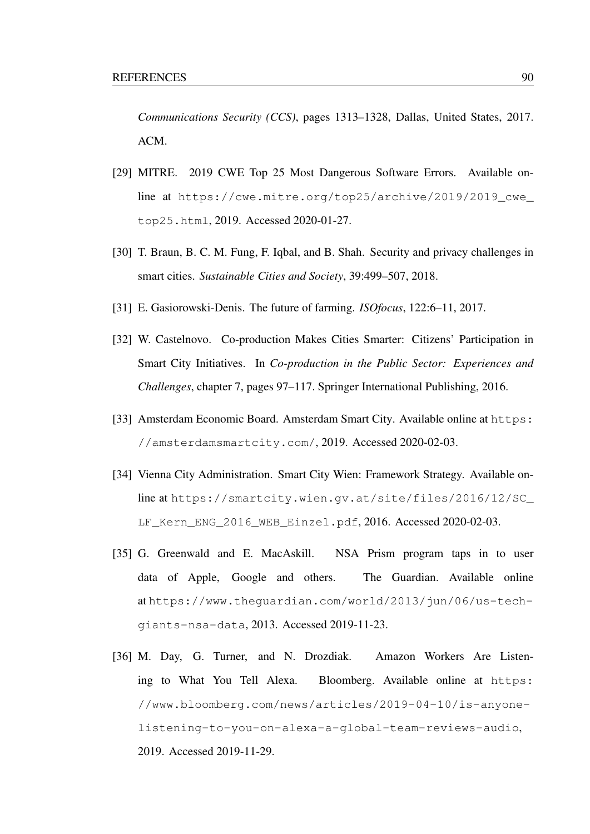*Communications Security (CCS)*, pages 1313–1328, Dallas, United States, 2017. ACM.

- [29] MITRE. 2019 CWE Top 25 Most Dangerous Software Errors. Available online at https://cwe.mitre.org/top25/archive/2019/2019\_cwe\_ top25.html, 2019. Accessed 2020-01-27.
- [30] T. Braun, B. C. M. Fung, F. Iqbal, and B. Shah. Security and privacy challenges in smart cities. *Sustainable Cities and Society*, 39:499–507, 2018.
- [31] E. Gasiorowski-Denis. The future of farming. *ISOfocus*, 122:6–11, 2017.
- [32] W. Castelnovo. Co-production Makes Cities Smarter: Citizens' Participation in Smart City Initiatives. In *Co-production in the Public Sector: Experiences and Challenges*, chapter 7, pages 97–117. Springer International Publishing, 2016.
- [33] Amsterdam Economic Board. Amsterdam Smart City. Available online at https: //amsterdamsmartcity.com/, 2019. Accessed 2020-02-03.
- [34] Vienna City Administration. Smart City Wien: Framework Strategy. Available online at https://smartcity.wien.gv.at/site/files/2016/12/SC\_ LF\_Kern\_ENG\_2016\_WEB\_Einzel.pdf, 2016. Accessed 2020-02-03.
- [35] G. Greenwald and E. MacAskill. NSA Prism program taps in to user data of Apple, Google and others. The Guardian. Available online at https://www.theguardian.com/world/2013/jun/06/us-techgiants-nsa-data, 2013. Accessed 2019-11-23.
- [36] M. Day, G. Turner, and N. Drozdiak. Amazon Workers Are Listening to What You Tell Alexa. Bloomberg. Available online at https: //www.bloomberg.com/news/articles/2019-04-10/is-anyonelistening-to-you-on-alexa-a-global-team-reviews-audio, 2019. Accessed 2019-11-29.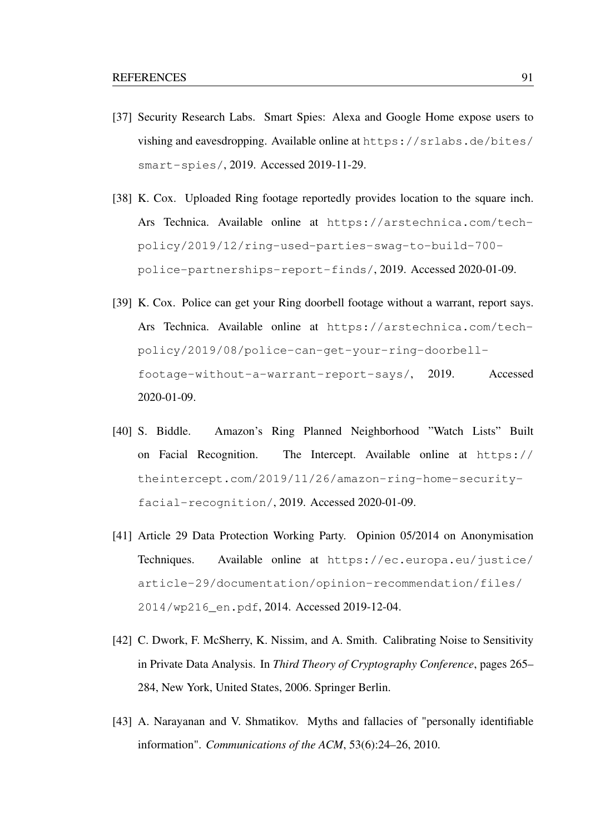- [37] Security Research Labs. Smart Spies: Alexa and Google Home expose users to vishing and eavesdropping. Available online at https://srlabs.de/bites/ smart-spies/, 2019. Accessed 2019-11-29.
- [38] K. Cox. Uploaded Ring footage reportedly provides location to the square inch. Ars Technica. Available online at https://arstechnica.com/techpolicy/2019/12/ring-used-parties-swag-to-build-700 police-partnerships-report-finds/, 2019. Accessed 2020-01-09.
- [39] K. Cox. Police can get your Ring doorbell footage without a warrant, report says. Ars Technica. Available online at https://arstechnica.com/techpolicy/2019/08/police-can-get-your-ring-doorbellfootage-without-a-warrant-report-says/, 2019. Accessed 2020-01-09.
- [40] S. Biddle. Amazon's Ring Planned Neighborhood "Watch Lists" Built on Facial Recognition. The Intercept. Available online at https:// theintercept.com/2019/11/26/amazon-ring-home-securityfacial-recognition/, 2019. Accessed 2020-01-09.
- [41] Article 29 Data Protection Working Party. Opinion 05/2014 on Anonymisation Techniques. Available online at https://ec.europa.eu/justice/ article-29/documentation/opinion-recommendation/files/ 2014/wp216\_en.pdf, 2014. Accessed 2019-12-04.
- [42] C. Dwork, F. McSherry, K. Nissim, and A. Smith. Calibrating Noise to Sensitivity in Private Data Analysis. In *Third Theory of Cryptography Conference*, pages 265– 284, New York, United States, 2006. Springer Berlin.
- [43] A. Narayanan and V. Shmatikov. Myths and fallacies of "personally identifiable information". *Communications of the ACM*, 53(6):24–26, 2010.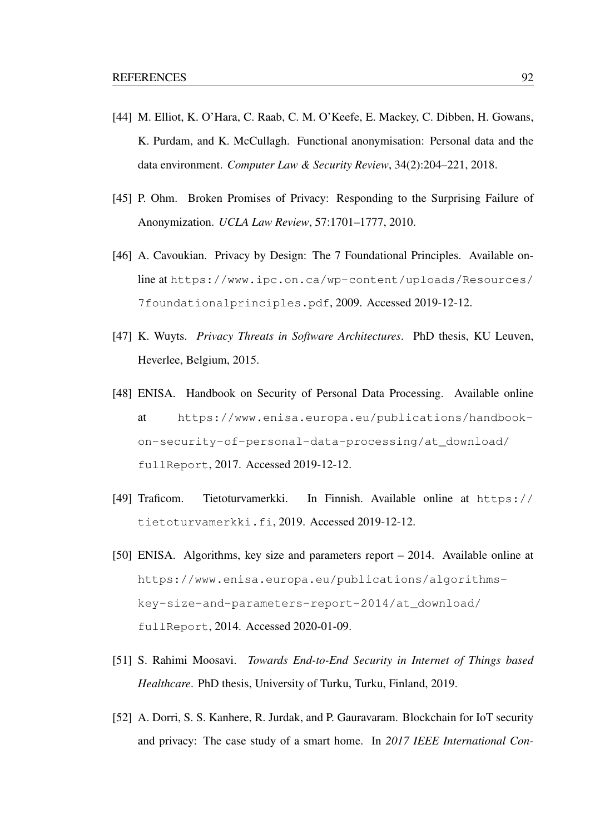- [44] M. Elliot, K. O'Hara, C. Raab, C. M. O'Keefe, E. Mackey, C. Dibben, H. Gowans, K. Purdam, and K. McCullagh. Functional anonymisation: Personal data and the data environment. *Computer Law & Security Review*, 34(2):204–221, 2018.
- [45] P. Ohm. Broken Promises of Privacy: Responding to the Surprising Failure of Anonymization. *UCLA Law Review*, 57:1701–1777, 2010.
- [46] A. Cavoukian. Privacy by Design: The 7 Foundational Principles. Available online at https://www.ipc.on.ca/wp-content/uploads/Resources/ 7foundationalprinciples.pdf, 2009. Accessed 2019-12-12.
- [47] K. Wuyts. *Privacy Threats in Software Architectures*. PhD thesis, KU Leuven, Heverlee, Belgium, 2015.
- [48] ENISA. Handbook on Security of Personal Data Processing. Available online at https://www.enisa.europa.eu/publications/handbookon-security-of-personal-data-processing/at\_download/ fullReport, 2017. Accessed 2019-12-12.
- [49] Traficom. Tietoturvamerkki. In Finnish. Available online at https:// tietoturvamerkki.fi, 2019. Accessed 2019-12-12.
- [50] ENISA. Algorithms, key size and parameters report 2014. Available online at https://www.enisa.europa.eu/publications/algorithmskey-size-and-parameters-report-2014/at\_download/ fullReport, 2014. Accessed 2020-01-09.
- [51] S. Rahimi Moosavi. *Towards End-to-End Security in Internet of Things based Healthcare*. PhD thesis, University of Turku, Turku, Finland, 2019.
- [52] A. Dorri, S. S. Kanhere, R. Jurdak, and P. Gauravaram. Blockchain for IoT security and privacy: The case study of a smart home. In *2017 IEEE International Con-*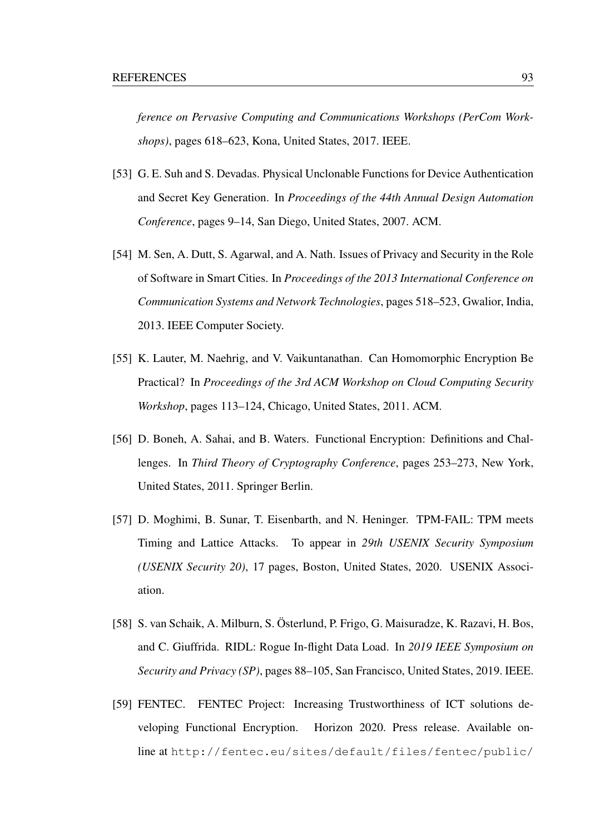*ference on Pervasive Computing and Communications Workshops (PerCom Workshops)*, pages 618–623, Kona, United States, 2017. IEEE.

- [53] G. E. Suh and S. Devadas. Physical Unclonable Functions for Device Authentication and Secret Key Generation. In *Proceedings of the 44th Annual Design Automation Conference*, pages 9–14, San Diego, United States, 2007. ACM.
- [54] M. Sen, A. Dutt, S. Agarwal, and A. Nath. Issues of Privacy and Security in the Role of Software in Smart Cities. In *Proceedings of the 2013 International Conference on Communication Systems and Network Technologies*, pages 518–523, Gwalior, India, 2013. IEEE Computer Society.
- [55] K. Lauter, M. Naehrig, and V. Vaikuntanathan. Can Homomorphic Encryption Be Practical? In *Proceedings of the 3rd ACM Workshop on Cloud Computing Security Workshop*, pages 113–124, Chicago, United States, 2011. ACM.
- [56] D. Boneh, A. Sahai, and B. Waters. Functional Encryption: Definitions and Challenges. In *Third Theory of Cryptography Conference*, pages 253–273, New York, United States, 2011. Springer Berlin.
- [57] D. Moghimi, B. Sunar, T. Eisenbarth, and N. Heninger. TPM-FAIL: TPM meets Timing and Lattice Attacks. To appear in *29th USENIX Security Symposium (USENIX Security 20)*, 17 pages, Boston, United States, 2020. USENIX Association.
- [58] S. van Schaik, A. Milburn, S. Österlund, P. Frigo, G. Maisuradze, K. Razavi, H. Bos, and C. Giuffrida. RIDL: Rogue In-flight Data Load. In *2019 IEEE Symposium on Security and Privacy (SP)*, pages 88–105, San Francisco, United States, 2019. IEEE.
- [59] FENTEC. FENTEC Project: Increasing Trustworthiness of ICT solutions developing Functional Encryption. Horizon 2020. Press release. Available online at http://fentec.eu/sites/default/files/fentec/public/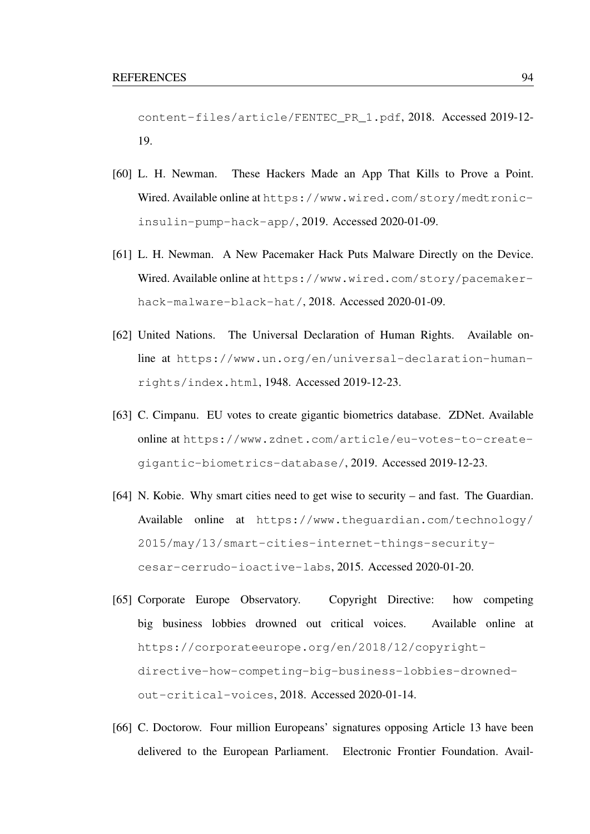content-files/article/FENTEC\_PR\_1.pdf, 2018. Accessed 2019-12- 19.

- [60] L. H. Newman. These Hackers Made an App That Kills to Prove a Point. Wired. Available online at https://www.wired.com/story/medtronicinsulin-pump-hack-app/, 2019. Accessed 2020-01-09.
- [61] L. H. Newman. A New Pacemaker Hack Puts Malware Directly on the Device. Wired. Available online at https://www.wired.com/story/pacemakerhack-malware-black-hat/, 2018. Accessed 2020-01-09.
- [62] United Nations. The Universal Declaration of Human Rights. Available online at https://www.un.org/en/universal-declaration-humanrights/index.html, 1948. Accessed 2019-12-23.
- [63] C. Cimpanu. EU votes to create gigantic biometrics database. ZDNet. Available online at https://www.zdnet.com/article/eu-votes-to-creategigantic-biometrics-database/, 2019. Accessed 2019-12-23.
- [64] N. Kobie. Why smart cities need to get wise to security and fast. The Guardian. Available online at https://www.theguardian.com/technology/ 2015/may/13/smart-cities-internet-things-securitycesar-cerrudo-ioactive-labs, 2015. Accessed 2020-01-20.
- [65] Corporate Europe Observatory. Copyright Directive: how competing big business lobbies drowned out critical voices. Available online at https://corporateeurope.org/en/2018/12/copyrightdirective-how-competing-big-business-lobbies-drownedout-critical-voices, 2018. Accessed 2020-01-14.
- [66] C. Doctorow. Four million Europeans' signatures opposing Article 13 have been delivered to the European Parliament. Electronic Frontier Foundation. Avail-